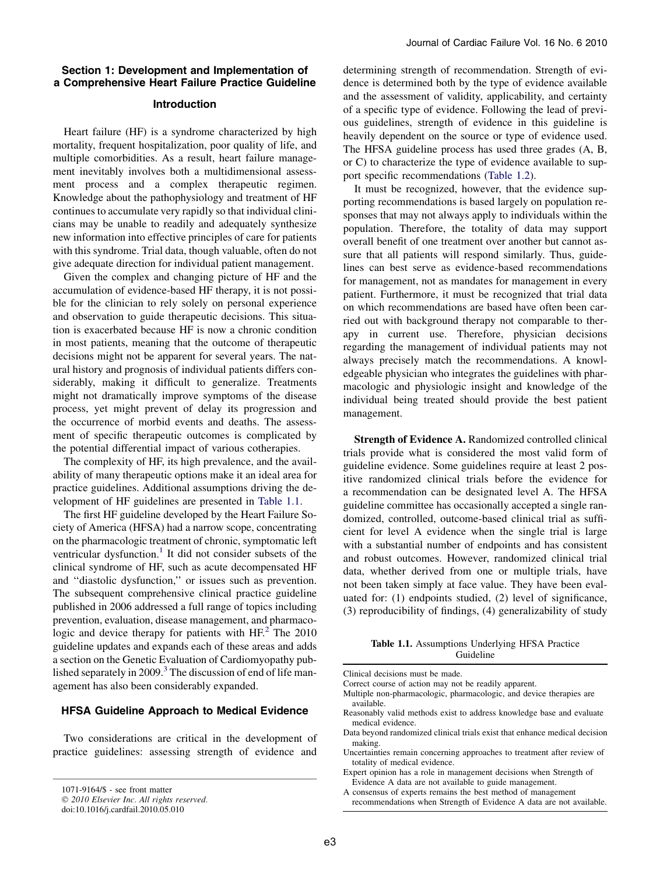# Section 1: Development and Implementation of a Comprehensive Heart Failure Practice Guideline

## Introduction

Heart failure (HF) is a syndrome characterized by high mortality, frequent hospitalization, poor quality of life, and multiple comorbidities. As a result, heart failure management inevitably involves both a multidimensional assessment process and a complex therapeutic regimen. Knowledge about the pathophysiology and treatment of HF continues to accumulate very rapidly so that individual clinicians may be unable to readily and adequately synthesize new information into effective principles of care for patients with this syndrome. Trial data, though valuable, often do not give adequate direction for individual patient management.

Given the complex and changing picture of HF and the accumulation of evidence-based HF therapy, it is not possible for the clinician to rely solely on personal experience and observation to guide therapeutic decisions. This situation is exacerbated because HF is now a chronic condition in most patients, meaning that the outcome of therapeutic decisions might not be apparent for several years. The natural history and prognosis of individual patients differs considerably, making it difficult to generalize. Treatments might not dramatically improve symptoms of the disease process, yet might prevent of delay its progression and the occurrence of morbid events and deaths. The assessment of specific therapeutic outcomes is complicated by the potential differential impact of various cotherapies.

The complexity of HF, its high prevalence, and the availability of many therapeutic options make it an ideal area for practice guidelines. Additional assumptions driving the development of HF guidelines are presented in Table 1.1.

The first HF guideline developed by the Heart Failure Society of America (HFSA) had a narrow scope, concentrating on the pharmacologic treatment of chronic, symptomatic left ventricular dysfunction.<sup>1</sup> It did not consider subsets of the clinical syndrome of HF, such as acute decompensated HF and ''diastolic dysfunction,'' or issues such as prevention. The subsequent comprehensive clinical practice guideline published in 2006 addressed a full range of topics including prevention, evaluation, disease management, and pharmaco-logic and device therapy for patients with HF.<sup>[2](#page-3-0)</sup> The 2010 guideline updates and expands each of these areas and adds a section on the Genetic Evaluation of Cardiomyopathy published separately in  $2009$ .<sup>3</sup> The discussion of end of life management has also been considerably expanded.

## HFSA Guideline Approach to Medical Evidence

Two considerations are critical in the development of practice guidelines: assessing strength of evidence and determining strength of recommendation. Strength of evidence is determined both by the type of evidence available and the assessment of validity, applicability, and certainty of a specific type of evidence. Following the lead of previous guidelines, strength of evidence in this guideline is heavily dependent on the source or type of evidence used. The HFSA guideline process has used three grades (A, B, or C) to characterize the type of evidence available to support specific recommendations ([Table 1.2\)](#page-1-0).

It must be recognized, however, that the evidence supporting recommendations is based largely on population responses that may not always apply to individuals within the population. Therefore, the totality of data may support overall benefit of one treatment over another but cannot assure that all patients will respond similarly. Thus, guidelines can best serve as evidence-based recommendations for management, not as mandates for management in every patient. Furthermore, it must be recognized that trial data on which recommendations are based have often been carried out with background therapy not comparable to therapy in current use. Therefore, physician decisions regarding the management of individual patients may not always precisely match the recommendations. A knowledgeable physician who integrates the guidelines with pharmacologic and physiologic insight and knowledge of the individual being treated should provide the best patient management.

Strength of Evidence A. Randomized controlled clinical trials provide what is considered the most valid form of guideline evidence. Some guidelines require at least 2 positive randomized clinical trials before the evidence for a recommendation can be designated level A. The HFSA guideline committee has occasionally accepted a single randomized, controlled, outcome-based clinical trial as sufficient for level A evidence when the single trial is large with a substantial number of endpoints and has consistent and robust outcomes. However, randomized clinical trial data, whether derived from one or multiple trials, have not been taken simply at face value. They have been evaluated for: (1) endpoints studied, (2) level of significance, (3) reproducibility of findings, (4) generalizability of study

Table 1.1. Assumptions Underlying HFSA Practice Guideline

| Clinical decisions must be made. |  |
|----------------------------------|--|
|----------------------------------|--|

Correct course of action may not be readily apparent.

- Reasonably valid methods exist to address knowledge base and evaluate medical evidence.
- Data beyond randomized clinical trials exist that enhance medical decision making.
- Uncertainties remain concerning approaches to treatment after review of totality of medical evidence.
- Expert opinion has a role in management decisions when Strength of Evidence A data are not available to guide management.
- A consensus of experts remains the best method of management recommendations when Strength of Evidence A data are not available.

<sup>1071-9164/\$ -</sup> see front matter

<sup>© 2010</sup> Elsevier Inc. All rights reserved.

doi:10.1016/j.cardfail.2010.05.010

Multiple non-pharmacologic, pharmacologic, and device therapies are available.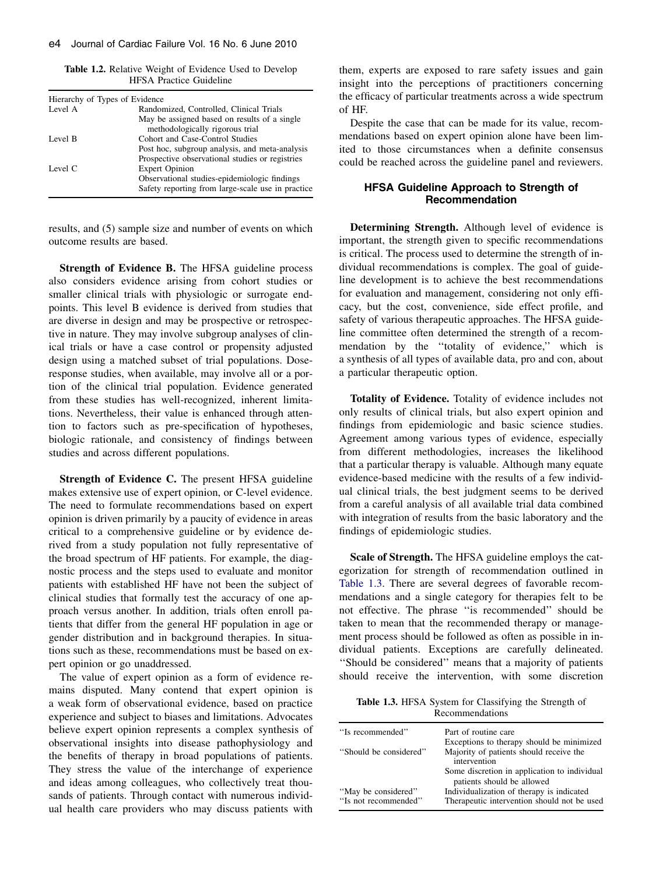| Hierarchy of Types of Evidence |                                                   |
|--------------------------------|---------------------------------------------------|
| Level A                        | Randomized, Controlled, Clinical Trials           |
|                                | May be assigned based on results of a single      |
|                                | methodologically rigorous trial                   |
| Level B                        | Cohort and Case-Control Studies                   |
|                                | Post hoc, subgroup analysis, and meta-analysis    |
|                                | Prospective observational studies or registries   |
| Level C                        | <b>Expert Opinion</b>                             |
|                                | Observational studies-epidemiologic findings      |
|                                | Safety reporting from large-scale use in practice |

<span id="page-1-0"></span>Table 1.2. Relative Weight of Evidence Used to Develop HFSA Practice Guideline

results, and (5) sample size and number of events on which outcome results are based.

Strength of Evidence B. The HFSA guideline process also considers evidence arising from cohort studies or smaller clinical trials with physiologic or surrogate endpoints. This level B evidence is derived from studies that are diverse in design and may be prospective or retrospective in nature. They may involve subgroup analyses of clinical trials or have a case control or propensity adjusted design using a matched subset of trial populations. Doseresponse studies, when available, may involve all or a portion of the clinical trial population. Evidence generated from these studies has well-recognized, inherent limitations. Nevertheless, their value is enhanced through attention to factors such as pre-specification of hypotheses, biologic rationale, and consistency of findings between studies and across different populations.

Strength of Evidence C. The present HFSA guideline makes extensive use of expert opinion, or C-level evidence. The need to formulate recommendations based on expert opinion is driven primarily by a paucity of evidence in areas critical to a comprehensive guideline or by evidence derived from a study population not fully representative of the broad spectrum of HF patients. For example, the diagnostic process and the steps used to evaluate and monitor patients with established HF have not been the subject of clinical studies that formally test the accuracy of one approach versus another. In addition, trials often enroll patients that differ from the general HF population in age or gender distribution and in background therapies. In situations such as these, recommendations must be based on expert opinion or go unaddressed.

The value of expert opinion as a form of evidence remains disputed. Many contend that expert opinion is a weak form of observational evidence, based on practice experience and subject to biases and limitations. Advocates believe expert opinion represents a complex synthesis of observational insights into disease pathophysiology and the benefits of therapy in broad populations of patients. They stress the value of the interchange of experience and ideas among colleagues, who collectively treat thousands of patients. Through contact with numerous individual health care providers who may discuss patients with

them, experts are exposed to rare safety issues and gain insight into the perceptions of practitioners concerning the efficacy of particular treatments across a wide spectrum of HF.

Despite the case that can be made for its value, recommendations based on expert opinion alone have been limited to those circumstances when a definite consensus could be reached across the guideline panel and reviewers.

# HFSA Guideline Approach to Strength of Recommendation

Determining Strength. Although level of evidence is important, the strength given to specific recommendations is critical. The process used to determine the strength of individual recommendations is complex. The goal of guideline development is to achieve the best recommendations for evaluation and management, considering not only efficacy, but the cost, convenience, side effect profile, and safety of various therapeutic approaches. The HFSA guideline committee often determined the strength of a recommendation by the ''totality of evidence,'' which is a synthesis of all types of available data, pro and con, about a particular therapeutic option.

Totality of Evidence. Totality of evidence includes not only results of clinical trials, but also expert opinion and findings from epidemiologic and basic science studies. Agreement among various types of evidence, especially from different methodologies, increases the likelihood that a particular therapy is valuable. Although many equate evidence-based medicine with the results of a few individual clinical trials, the best judgment seems to be derived from a careful analysis of all available trial data combined with integration of results from the basic laboratory and the findings of epidemiologic studies.

Scale of Strength. The HFSA guideline employs the categorization for strength of recommendation outlined in Table 1.3. There are several degrees of favorable recommendations and a single category for therapies felt to be not effective. The phrase ''is recommended'' should be taken to mean that the recommended therapy or management process should be followed as often as possible in individual patients. Exceptions are carefully delineated. ''Should be considered'' means that a majority of patients should receive the intervention, with some discretion

Table 1.3. HFSA System for Classifying the Strength of Recommendations

| "Is recommended"       | Part of routine care                                                       |
|------------------------|----------------------------------------------------------------------------|
|                        | Exceptions to therapy should be minimized                                  |
| "Should be considered" | Majority of patients should receive the                                    |
|                        | intervention                                                               |
|                        | Some discretion in application to individual<br>patients should be allowed |
| "May be considered"    | Individualization of therapy is indicated                                  |
| "Is not recommended"   | Therapeutic intervention should not be used                                |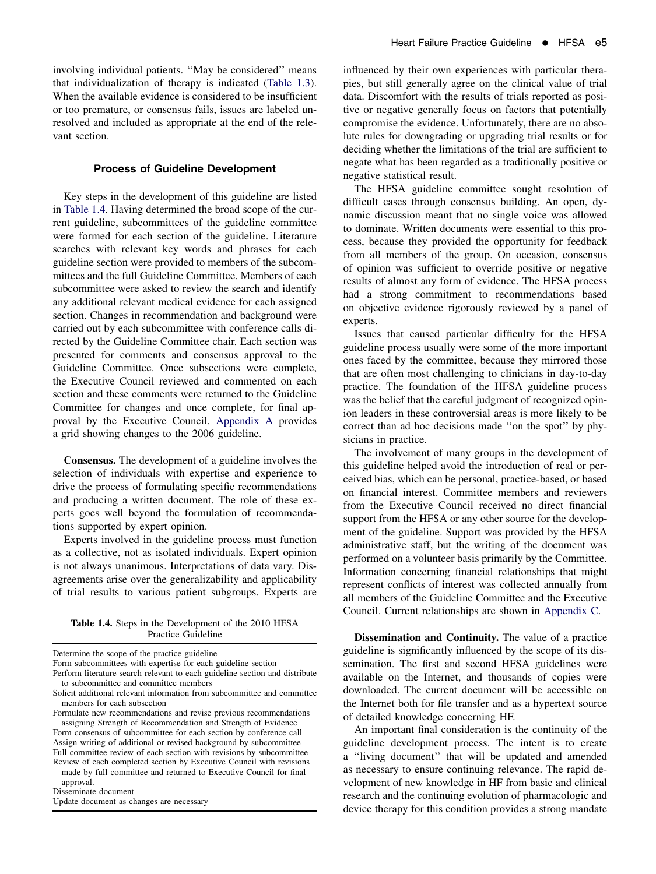involving individual patients. ''May be considered'' means that individualization of therapy is indicated [\(Table 1.3](#page-1-0)). When the available evidence is considered to be insufficient or too premature, or consensus fails, issues are labeled unresolved and included as appropriate at the end of the relevant section.

### Process of Guideline Development

Key steps in the development of this guideline are listed in Table 1.4. Having determined the broad scope of the current guideline, subcommittees of the guideline committee were formed for each section of the guideline. Literature searches with relevant key words and phrases for each guideline section were provided to members of the subcommittees and the full Guideline Committee. Members of each subcommittee were asked to review the search and identify any additional relevant medical evidence for each assigned section. Changes in recommendation and background were carried out by each subcommittee with conference calls directed by the Guideline Committee chair. Each section was presented for comments and consensus approval to the Guideline Committee. Once subsections were complete, the Executive Council reviewed and commented on each section and these comments were returned to the Guideline Committee for changes and once complete, for final approval by the Executive Council. Appendix A provides a grid showing changes to the 2006 guideline.

Consensus. The development of a guideline involves the selection of individuals with expertise and experience to drive the process of formulating specific recommendations and producing a written document. The role of these experts goes well beyond the formulation of recommendations supported by expert opinion.

Experts involved in the guideline process must function as a collective, not as isolated individuals. Expert opinion is not always unanimous. Interpretations of data vary. Disagreements arise over the generalizability and applicability of trial results to various patient subgroups. Experts are

Table 1.4. Steps in the Development of the 2010 HFSA Practice Guideline

Determine the scope of the practice guideline

Form subcommittees with expertise for each guideline section

Formulate new recommendations and revise previous recommendations assigning Strength of Recommendation and Strength of Evidence Form consensus of subcommittee for each section by conference call Assign writing of additional or revised background by subcommittee Full committee review of each section with revisions by subcommittee Review of each completed section by Executive Council with revisions

made by full committee and returned to Executive Council for final approval.

Disseminate document

Update document as changes are necessary

influenced by their own experiences with particular therapies, but still generally agree on the clinical value of trial data. Discomfort with the results of trials reported as positive or negative generally focus on factors that potentially compromise the evidence. Unfortunately, there are no absolute rules for downgrading or upgrading trial results or for deciding whether the limitations of the trial are sufficient to negate what has been regarded as a traditionally positive or negative statistical result.

The HFSA guideline committee sought resolution of difficult cases through consensus building. An open, dynamic discussion meant that no single voice was allowed to dominate. Written documents were essential to this process, because they provided the opportunity for feedback from all members of the group. On occasion, consensus of opinion was sufficient to override positive or negative results of almost any form of evidence. The HFSA process had a strong commitment to recommendations based on objective evidence rigorously reviewed by a panel of experts.

Issues that caused particular difficulty for the HFSA guideline process usually were some of the more important ones faced by the committee, because they mirrored those that are often most challenging to clinicians in day-to-day practice. The foundation of the HFSA guideline process was the belief that the careful judgment of recognized opinion leaders in these controversial areas is more likely to be correct than ad hoc decisions made ''on the spot'' by physicians in practice.

The involvement of many groups in the development of this guideline helped avoid the introduction of real or perceived bias, which can be personal, practice-based, or based on financial interest. Committee members and reviewers from the Executive Council received no direct financial support from the HFSA or any other source for the development of the guideline. Support was provided by the HFSA administrative staff, but the writing of the document was performed on a volunteer basis primarily by the Committee. Information concerning financial relationships that might represent conflicts of interest was collected annually from all members of the Guideline Committee and the Executive Council. Current relationships are shown in Appendix C.

Dissemination and Continuity. The value of a practice guideline is significantly influenced by the scope of its dissemination. The first and second HFSA guidelines were available on the Internet, and thousands of copies were downloaded. The current document will be accessible on the Internet both for file transfer and as a hypertext source of detailed knowledge concerning HF.

An important final consideration is the continuity of the guideline development process. The intent is to create a ''living document'' that will be updated and amended as necessary to ensure continuing relevance. The rapid development of new knowledge in HF from basic and clinical research and the continuing evolution of pharmacologic and device therapy for this condition provides a strong mandate

Perform literature search relevant to each guideline section and distribute to subcommittee and committee members

Solicit additional relevant information from subcommittee and committee members for each subsection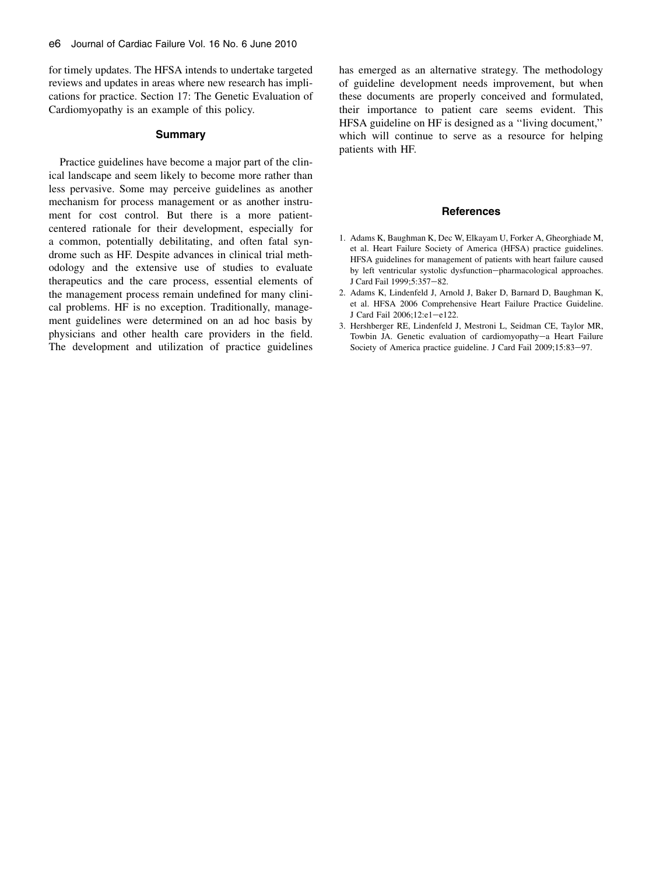<span id="page-3-0"></span>for timely updates. The HFSA intends to undertake targeted reviews and updates in areas where new research has implications for practice. Section 17: The Genetic Evaluation of Cardiomyopathy is an example of this policy.

## **Summary**

Practice guidelines have become a major part of the clinical landscape and seem likely to become more rather than less pervasive. Some may perceive guidelines as another mechanism for process management or as another instrument for cost control. But there is a more patientcentered rationale for their development, especially for a common, potentially debilitating, and often fatal syndrome such as HF. Despite advances in clinical trial methodology and the extensive use of studies to evaluate therapeutics and the care process, essential elements of the management process remain undefined for many clinical problems. HF is no exception. Traditionally, management guidelines were determined on an ad hoc basis by physicians and other health care providers in the field. The development and utilization of practice guidelines

has emerged as an alternative strategy. The methodology of guideline development needs improvement, but when these documents are properly conceived and formulated, their importance to patient care seems evident. This HFSA guideline on HF is designed as a ''living document,'' which will continue to serve as a resource for helping patients with HF.

#### **References**

- 1. Adams K, Baughman K, Dec W, Elkayam U, Forker A, Gheorghiade M, et al. Heart Failure Society of America (HFSA) practice guidelines. HFSA guidelines for management of patients with heart failure caused by left ventricular systolic dysfunction-pharmacological approaches. J Card Fail 1999;5:357-82.
- 2. Adams K, Lindenfeld J, Arnold J, Baker D, Barnard D, Baughman K, et al. HFSA 2006 Comprehensive Heart Failure Practice Guideline. J Card Fail 2006;12:e1-e122.
- 3. Hershberger RE, Lindenfeld J, Mestroni L, Seidman CE, Taylor MR, Towbin JA. Genetic evaluation of cardiomyopathy-a Heart Failure Society of America practice guideline. J Card Fail 2009;15:83-97.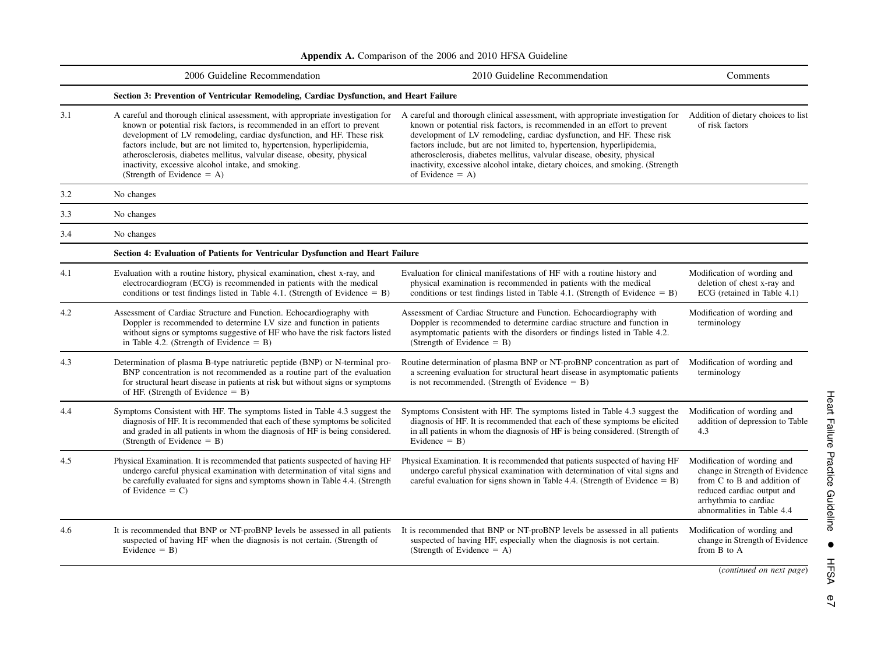|     | 2006 Guideline Recommendation                                                                                                                                                                                                                                                                                                                                                                                                                                                  | 2010 Guideline Recommendation                                                                                                                                                                                                                                                                                                                                                                                                                                                                   | Comments                                                                                                                                                                          |
|-----|--------------------------------------------------------------------------------------------------------------------------------------------------------------------------------------------------------------------------------------------------------------------------------------------------------------------------------------------------------------------------------------------------------------------------------------------------------------------------------|-------------------------------------------------------------------------------------------------------------------------------------------------------------------------------------------------------------------------------------------------------------------------------------------------------------------------------------------------------------------------------------------------------------------------------------------------------------------------------------------------|-----------------------------------------------------------------------------------------------------------------------------------------------------------------------------------|
|     | Section 3: Prevention of Ventricular Remodeling, Cardiac Dysfunction, and Heart Failure                                                                                                                                                                                                                                                                                                                                                                                        |                                                                                                                                                                                                                                                                                                                                                                                                                                                                                                 |                                                                                                                                                                                   |
| 3.1 | A careful and thorough clinical assessment, with appropriate investigation for<br>known or potential risk factors, is recommended in an effort to prevent<br>development of LV remodeling, cardiac dysfunction, and HF. These risk<br>factors include, but are not limited to, hypertension, hyperlipidemia,<br>atherosclerosis, diabetes mellitus, valvular disease, obesity, physical<br>inactivity, excessive alcohol intake, and smoking.<br>(Strength of Evidence $= A$ ) | A careful and thorough clinical assessment, with appropriate investigation for<br>known or potential risk factors, is recommended in an effort to prevent<br>development of LV remodeling, cardiac dysfunction, and HF. These risk<br>factors include, but are not limited to, hypertension, hyperlipidemia,<br>atherosclerosis, diabetes mellitus, valvular disease, obesity, physical<br>inactivity, excessive alcohol intake, dietary choices, and smoking. (Strength<br>of Evidence $= A$ ) | Addition of dietary choices to list<br>of risk factors                                                                                                                            |
| 3.2 | No changes                                                                                                                                                                                                                                                                                                                                                                                                                                                                     |                                                                                                                                                                                                                                                                                                                                                                                                                                                                                                 |                                                                                                                                                                                   |
| 3.3 | No changes                                                                                                                                                                                                                                                                                                                                                                                                                                                                     |                                                                                                                                                                                                                                                                                                                                                                                                                                                                                                 |                                                                                                                                                                                   |
| 3.4 | No changes                                                                                                                                                                                                                                                                                                                                                                                                                                                                     |                                                                                                                                                                                                                                                                                                                                                                                                                                                                                                 |                                                                                                                                                                                   |
|     | Section 4: Evaluation of Patients for Ventricular Dysfunction and Heart Failure                                                                                                                                                                                                                                                                                                                                                                                                |                                                                                                                                                                                                                                                                                                                                                                                                                                                                                                 |                                                                                                                                                                                   |
| 4.1 | Evaluation with a routine history, physical examination, chest x-ray, and<br>electrocardiogram (ECG) is recommended in patients with the medical<br>conditions or test findings listed in Table 4.1. (Strength of Evidence $=$ B)                                                                                                                                                                                                                                              | Evaluation for clinical manifestations of HF with a routine history and<br>physical examination is recommended in patients with the medical<br>conditions or test findings listed in Table 4.1. (Strength of Evidence $=$ B)                                                                                                                                                                                                                                                                    | Modification of wording and<br>deletion of chest x-ray and<br>ECG (retained in Table 4.1)                                                                                         |
| 4.2 | Assessment of Cardiac Structure and Function. Echocardiography with<br>Doppler is recommended to determine LV size and function in patients<br>without signs or symptoms suggestive of HF who have the risk factors listed<br>in Table 4.2. (Strength of Evidence $=$ B)                                                                                                                                                                                                       | Assessment of Cardiac Structure and Function. Echocardiography with<br>Doppler is recommended to determine cardiac structure and function in<br>asymptomatic patients with the disorders or findings listed in Table 4.2.<br>(Strength of Evidence $=$ B)                                                                                                                                                                                                                                       | Modification of wording and<br>terminology                                                                                                                                        |
| 4.3 | Determination of plasma B-type natriuretic peptide (BNP) or N-terminal pro-<br>BNP concentration is not recommended as a routine part of the evaluation<br>for structural heart disease in patients at risk but without signs or symptoms<br>of HF. (Strength of Evidence $=$ B)                                                                                                                                                                                               | Routine determination of plasma BNP or NT-proBNP concentration as part of<br>a screening evaluation for structural heart disease in asymptomatic patients<br>is not recommended. (Strength of Evidence $=$ B)                                                                                                                                                                                                                                                                                   | Modification of wording and<br>terminology                                                                                                                                        |
| 4.4 | Symptoms Consistent with HF. The symptoms listed in Table 4.3 suggest the<br>diagnosis of HF. It is recommended that each of these symptoms be solicited<br>and graded in all patients in whom the diagnosis of HF is being considered.<br>(Strength of Evidence $=$ B)                                                                                                                                                                                                        | Symptoms Consistent with HF. The symptoms listed in Table 4.3 suggest the<br>diagnosis of HF. It is recommended that each of these symptoms be elicited<br>in all patients in whom the diagnosis of HF is being considered. (Strength of<br>Evidence = $B$ )                                                                                                                                                                                                                                    | Modification of wording and<br>addition of depression to Table<br>4.3                                                                                                             |
| 4.5 | Physical Examination. It is recommended that patients suspected of having HF<br>undergo careful physical examination with determination of vital signs and<br>be carefully evaluated for signs and symptoms shown in Table 4.4. (Strength<br>of Evidence $= C$ )                                                                                                                                                                                                               | Physical Examination. It is recommended that patients suspected of having HF<br>undergo careful physical examination with determination of vital signs and<br>careful evaluation for signs shown in Table 4.4. (Strength of Evidence $=$ B)                                                                                                                                                                                                                                                     | Modification of wording and<br>change in Strength of Evidence<br>from C to B and addition of<br>reduced cardiac output and<br>arrhythmia to cardiac<br>abnormalities in Table 4.4 |
| 4.6 | It is recommended that BNP or NT-proBNP levels be assessed in all patients<br>suspected of having HF when the diagnosis is not certain. (Strength of<br>Evidence $=$ B)                                                                                                                                                                                                                                                                                                        | It is recommended that BNP or NT-proBNP levels be assessed in all patients<br>suspected of having HF, especially when the diagnosis is not certain.<br>(Strength of Evidence $= A$ )                                                                                                                                                                                                                                                                                                            | Modification of wording and<br>change in Strength of Evidence<br>from B to A                                                                                                      |

Appendix A. Comparison of the 2006 and 2010 HFSA Guideline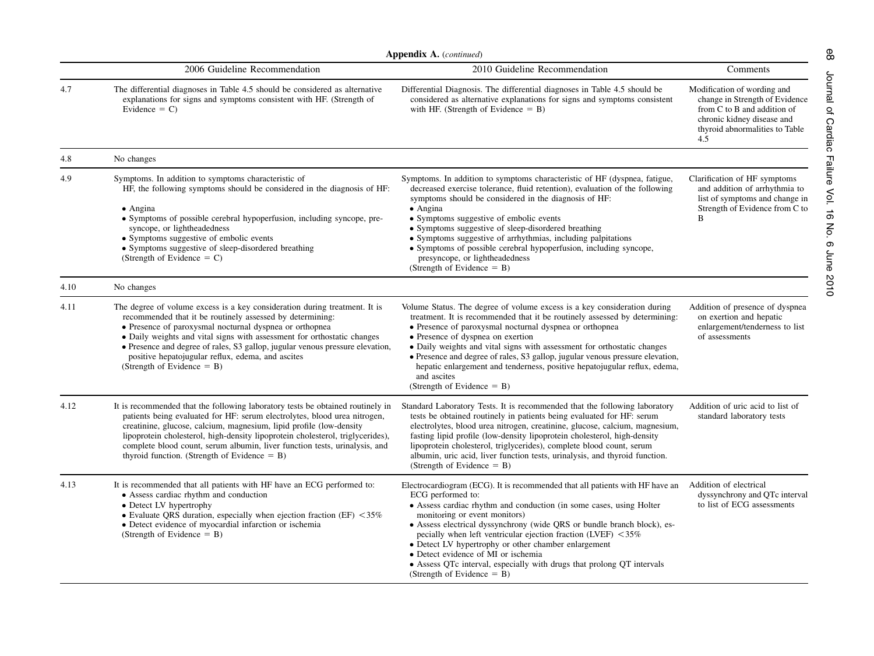|      | Appendix A. (continued)                                                                                                                                                                                                                                                                                                                                                                                                                               |                                                                                                                                                                                                                                                                                                                                                                                                                                                                                                                                                               |                                                                                                                                                                     |  |
|------|-------------------------------------------------------------------------------------------------------------------------------------------------------------------------------------------------------------------------------------------------------------------------------------------------------------------------------------------------------------------------------------------------------------------------------------------------------|---------------------------------------------------------------------------------------------------------------------------------------------------------------------------------------------------------------------------------------------------------------------------------------------------------------------------------------------------------------------------------------------------------------------------------------------------------------------------------------------------------------------------------------------------------------|---------------------------------------------------------------------------------------------------------------------------------------------------------------------|--|
|      | 2006 Guideline Recommendation                                                                                                                                                                                                                                                                                                                                                                                                                         | 2010 Guideline Recommendation                                                                                                                                                                                                                                                                                                                                                                                                                                                                                                                                 | Comments                                                                                                                                                            |  |
| 4.7  | The differential diagnoses in Table 4.5 should be considered as alternative<br>explanations for signs and symptoms consistent with HF. (Strength of<br>Evidence $= C$ )                                                                                                                                                                                                                                                                               | Differential Diagnosis. The differential diagnoses in Table 4.5 should be<br>considered as alternative explanations for signs and symptoms consistent<br>with HF. (Strength of Evidence $=$ B)                                                                                                                                                                                                                                                                                                                                                                | Modification of wording and<br>change in Strength of Evidence<br>from C to B and addition of<br>chronic kidney disease and<br>thyroid abnormalities to Table<br>4.5 |  |
| 4.8  | No changes                                                                                                                                                                                                                                                                                                                                                                                                                                            |                                                                                                                                                                                                                                                                                                                                                                                                                                                                                                                                                               |                                                                                                                                                                     |  |
| 4.9  | Symptoms. In addition to symptoms characteristic of<br>HF, the following symptoms should be considered in the diagnosis of HF:<br>$\bullet$ Angina<br>• Symptoms of possible cerebral hypoperfusion, including syncope, pre-<br>syncope, or lightheadedness<br>• Symptoms suggestive of embolic events<br>• Symptoms suggestive of sleep-disordered breathing<br>(Strength of Evidence $= C$ )                                                        | Symptoms. In addition to symptoms characteristic of HF (dyspnea, fatigue,<br>decreased exercise tolerance, fluid retention), evaluation of the following<br>symptoms should be considered in the diagnosis of HF:<br>$\bullet$ Angina<br>• Symptoms suggestive of embolic events<br>• Symptoms suggestive of sleep-disordered breathing<br>• Symptoms suggestive of arrhythmias, including palpitations<br>• Symptoms of possible cerebral hypoperfusion, including syncope,<br>presyncope, or lightheadedness<br>(Strength of Evidence $=$ B)                | Clarification of HF symptoms<br>and addition of arrhythmia to<br>list of symptoms and change in<br>Strength of Evidence from C to<br>B                              |  |
| 4.10 | No changes                                                                                                                                                                                                                                                                                                                                                                                                                                            |                                                                                                                                                                                                                                                                                                                                                                                                                                                                                                                                                               |                                                                                                                                                                     |  |
| 4.11 | The degree of volume excess is a key consideration during treatment. It is<br>recommended that it be routinely assessed by determining:<br>• Presence of paroxysmal nocturnal dyspnea or orthopnea<br>· Daily weights and vital signs with assessment for orthostatic changes<br>• Presence and degree of rales, S3 gallop, jugular venous pressure elevation,<br>positive hepatojugular reflux, edema, and ascites<br>(Strength of Evidence $=$ B)   | Volume Status. The degree of volume excess is a key consideration during<br>treatment. It is recommended that it be routinely assessed by determining:<br>• Presence of paroxysmal nocturnal dyspnea or orthopnea<br>• Presence of dyspnea on exertion<br>· Daily weights and vital signs with assessment for orthostatic changes<br>• Presence and degree of rales, S3 gallop, jugular venous pressure elevation,<br>hepatic enlargement and tenderness, positive hepatojugular reflux, edema,<br>and ascites<br>(Strength of Evidence $=$ B)                | Addition of presence of dyspnea<br>on exertion and hepatic<br>enlargement/tenderness to list<br>of assessments                                                      |  |
| 4.12 | It is recommended that the following laboratory tests be obtained routinely in<br>patients being evaluated for HF: serum electrolytes, blood urea nitrogen,<br>creatinine, glucose, calcium, magnesium, lipid profile (low-density)<br>lipoprotein cholesterol, high-density lipoprotein cholesterol, triglycerides),<br>complete blood count, serum albumin, liver function tests, urinalysis, and<br>thyroid function. (Strength of Evidence $=$ B) | Standard Laboratory Tests. It is recommended that the following laboratory<br>tests be obtained routinely in patients being evaluated for HF: serum<br>electrolytes, blood urea nitrogen, creatinine, glucose, calcium, magnesium,<br>fasting lipid profile (low-density lipoprotein cholesterol, high-density<br>lipoprotein cholesterol, triglycerides), complete blood count, serum<br>albumin, uric acid, liver function tests, urinalysis, and thyroid function.<br>(Strength of Evidence $=$ B)                                                         | Addition of uric acid to list of<br>standard laboratory tests                                                                                                       |  |
| 4.13 | It is recommended that all patients with HF have an ECG performed to:<br>• Assess cardiac rhythm and conduction<br>• Detect LV hypertrophy<br>$\bullet$ Evaluate QRS duration, especially when ejection fraction (EF) <35%<br>• Detect evidence of myocardial infarction or ischemia<br>(Strength of Evidence $=$ B)                                                                                                                                  | Electrocardiogram (ECG). It is recommended that all patients with HF have an<br>ECG performed to:<br>• Assess cardiac rhythm and conduction (in some cases, using Holter<br>monitoring or event monitors)<br>• Assess electrical dyssynchrony (wide QRS or bundle branch block), es-<br>pecially when left ventricular ejection fraction (LVEF) <35%<br>• Detect LV hypertrophy or other chamber enlargement<br>· Detect evidence of MI or ischemia<br>• Assess QTc interval, especially with drugs that prolong QT intervals<br>(Strength of Evidence $=$ B) | Addition of electrical<br>dyssynchrony and QTc interval<br>to list of ECG assessments                                                                               |  |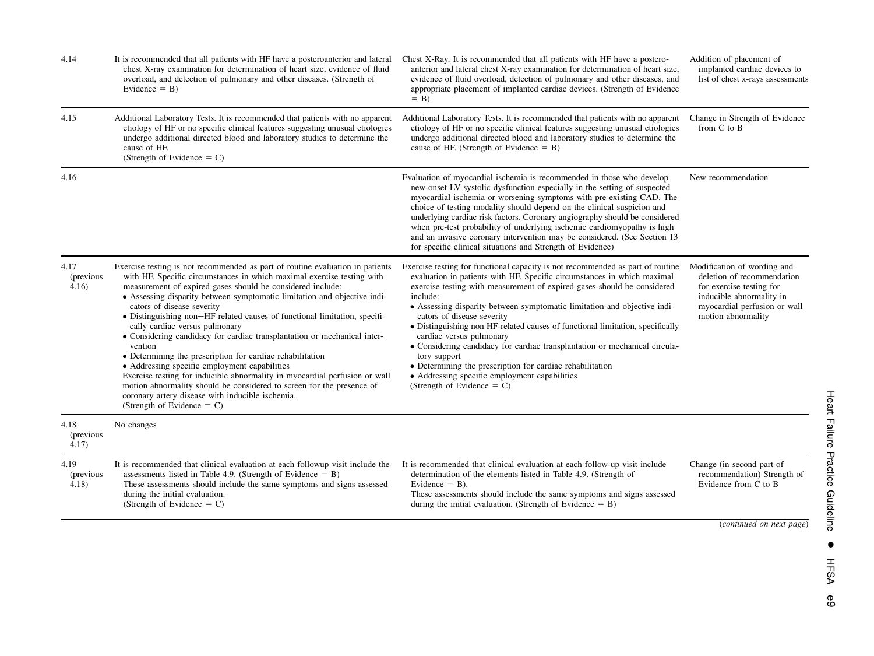| 4.14                       | It is recommended that all patients with HF have a posteroanterior and lateral<br>chest X-ray examination for determination of heart size, evidence of fluid<br>overload, and detection of pulmonary and other diseases. (Strength of<br>Evidence = $B$ )                                                                                                                                                                                                                                                                                                                                                                                                                                                                                                                                                                                                                                       | Chest X-Ray. It is recommended that all patients with HF have a postero-<br>anterior and lateral chest X-ray examination for determination of heart size,<br>evidence of fluid overload, detection of pulmonary and other diseases, and<br>appropriate placement of implanted cardiac devices. (Strength of Evidence<br>$= B$                                                                                                                                                                                                                                                                                                                                                                                        | Addition of placement of<br>implanted cardiac devices to<br>list of chest x-rays assessments                                                                            |
|----------------------------|-------------------------------------------------------------------------------------------------------------------------------------------------------------------------------------------------------------------------------------------------------------------------------------------------------------------------------------------------------------------------------------------------------------------------------------------------------------------------------------------------------------------------------------------------------------------------------------------------------------------------------------------------------------------------------------------------------------------------------------------------------------------------------------------------------------------------------------------------------------------------------------------------|----------------------------------------------------------------------------------------------------------------------------------------------------------------------------------------------------------------------------------------------------------------------------------------------------------------------------------------------------------------------------------------------------------------------------------------------------------------------------------------------------------------------------------------------------------------------------------------------------------------------------------------------------------------------------------------------------------------------|-------------------------------------------------------------------------------------------------------------------------------------------------------------------------|
| 4.15                       | Additional Laboratory Tests. It is recommended that patients with no apparent<br>etiology of HF or no specific clinical features suggesting unusual etiologies<br>undergo additional directed blood and laboratory studies to determine the<br>cause of HF.<br>(Strength of Evidence = $C$ )                                                                                                                                                                                                                                                                                                                                                                                                                                                                                                                                                                                                    | Additional Laboratory Tests. It is recommended that patients with no apparent<br>etiology of HF or no specific clinical features suggesting unusual etiologies<br>undergo additional directed blood and laboratory studies to determine the<br>cause of HF. (Strength of Evidence $=$ B)                                                                                                                                                                                                                                                                                                                                                                                                                             | Change in Strength of Evidence<br>from C to B                                                                                                                           |
| 4.16                       |                                                                                                                                                                                                                                                                                                                                                                                                                                                                                                                                                                                                                                                                                                                                                                                                                                                                                                 | Evaluation of myocardial ischemia is recommended in those who develop<br>new-onset LV systolic dysfunction especially in the setting of suspected<br>myocardial ischemia or worsening symptoms with pre-existing CAD. The<br>choice of testing modality should depend on the clinical suspicion and<br>underlying cardiac risk factors. Coronary angiography should be considered<br>when pre-test probability of underlying ischemic cardiomyopathy is high<br>and an invasive coronary intervention may be considered. (See Section 13<br>for specific clinical situations and Strength of Evidence)                                                                                                               | New recommendation                                                                                                                                                      |
| 4.17<br>(previous<br>4.16) | Exercise testing is not recommended as part of routine evaluation in patients<br>with HF. Specific circumstances in which maximal exercise testing with<br>measurement of expired gases should be considered include:<br>• Assessing disparity between symptomatic limitation and objective indi-<br>cators of disease severity<br>· Distinguishing non-HF-related causes of functional limitation, specifi-<br>cally cardiac versus pulmonary<br>• Considering candidacy for cardiac transplantation or mechanical inter-<br>vention<br>• Determining the prescription for cardiac rehabilitation<br>• Addressing specific employment capabilities<br>Exercise testing for inducible abnormality in myocardial perfusion or wall<br>motion abnormality should be considered to screen for the presence of<br>coronary artery disease with inducible ischemia.<br>(Strength of Evidence = $C$ ) | Exercise testing for functional capacity is not recommended as part of routine<br>evaluation in patients with HF. Specific circumstances in which maximal<br>exercise testing with measurement of expired gases should be considered<br>include:<br>• Assessing disparity between symptomatic limitation and objective indi-<br>cators of disease severity<br>• Distinguishing non HF-related causes of functional limitation, specifically<br>cardiac versus pulmonary<br>• Considering candidacy for cardiac transplantation or mechanical circula-<br>tory support<br>• Determining the prescription for cardiac rehabilitation<br>• Addressing specific employment capabilities<br>(Strength of Evidence = $C$ ) | Modification of wording and<br>deletion of recommendation<br>for exercise testing for<br>inducible abnormality in<br>myocardial perfusion or wall<br>motion abnormality |
| 4.18<br>(previous<br>4.17) | No changes                                                                                                                                                                                                                                                                                                                                                                                                                                                                                                                                                                                                                                                                                                                                                                                                                                                                                      |                                                                                                                                                                                                                                                                                                                                                                                                                                                                                                                                                                                                                                                                                                                      |                                                                                                                                                                         |
| 4.19<br>(previous<br>4.18) | It is recommended that clinical evaluation at each following visit include the<br>assessments listed in Table 4.9. (Strength of Evidence $=$ B)<br>These assessments should include the same symptoms and signs assessed<br>during the initial evaluation.<br>(Strength of Evidence = $C$ )                                                                                                                                                                                                                                                                                                                                                                                                                                                                                                                                                                                                     | It is recommended that clinical evaluation at each follow-up visit include<br>determination of the elements listed in Table 4.9. (Strength of<br>Evidence $=$ B).<br>These assessments should include the same symptoms and signs assessed<br>during the initial evaluation. (Strength of Evidence $=$ B)                                                                                                                                                                                                                                                                                                                                                                                                            | Change (in second part of<br>recommendation) Strength of<br>Evidence from C to B                                                                                        |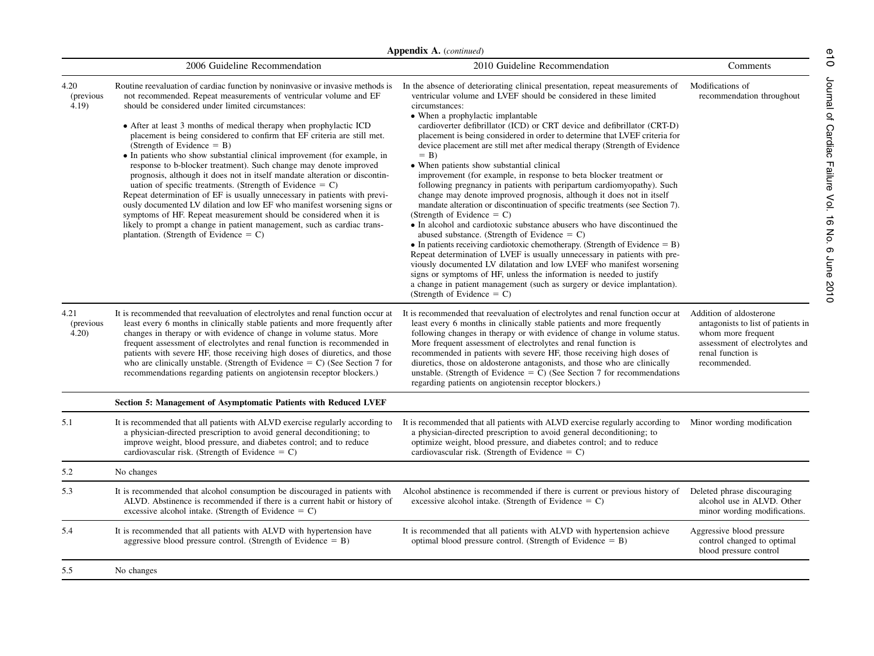|                            | Appendix A. (continued)                                                                                                                                                                                                                                                                                                                                                                                                                                                                                                                                                                                                                                                                                                                                                                                                                                                                                                                                                                                                                         |                                                                                                                                                                                                                                                                                                                                                                                                                                                                                                                                                                                                                                                                                                                                                                                                                                                                                                                                                                                                                                                                                                                                                                                                                                                                                                                                                                                                             |                                                                                                                                                            |  |
|----------------------------|-------------------------------------------------------------------------------------------------------------------------------------------------------------------------------------------------------------------------------------------------------------------------------------------------------------------------------------------------------------------------------------------------------------------------------------------------------------------------------------------------------------------------------------------------------------------------------------------------------------------------------------------------------------------------------------------------------------------------------------------------------------------------------------------------------------------------------------------------------------------------------------------------------------------------------------------------------------------------------------------------------------------------------------------------|-------------------------------------------------------------------------------------------------------------------------------------------------------------------------------------------------------------------------------------------------------------------------------------------------------------------------------------------------------------------------------------------------------------------------------------------------------------------------------------------------------------------------------------------------------------------------------------------------------------------------------------------------------------------------------------------------------------------------------------------------------------------------------------------------------------------------------------------------------------------------------------------------------------------------------------------------------------------------------------------------------------------------------------------------------------------------------------------------------------------------------------------------------------------------------------------------------------------------------------------------------------------------------------------------------------------------------------------------------------------------------------------------------------|------------------------------------------------------------------------------------------------------------------------------------------------------------|--|
|                            | 2006 Guideline Recommendation                                                                                                                                                                                                                                                                                                                                                                                                                                                                                                                                                                                                                                                                                                                                                                                                                                                                                                                                                                                                                   | 2010 Guideline Recommendation                                                                                                                                                                                                                                                                                                                                                                                                                                                                                                                                                                                                                                                                                                                                                                                                                                                                                                                                                                                                                                                                                                                                                                                                                                                                                                                                                                               | Comments                                                                                                                                                   |  |
| 4.20<br>(previous)<br>4.19 | Routine reevaluation of cardiac function by noninvasive or invasive methods is<br>not recommended. Repeat measurements of ventricular volume and EF<br>should be considered under limited circumstances:<br>• After at least 3 months of medical therapy when prophylactic ICD<br>placement is being considered to confirm that EF criteria are still met.<br>(Strength of Evidence $=$ B)<br>• In patients who show substantial clinical improvement (for example, in<br>response to b-blocker treatment). Such change may denote improved<br>prognosis, although it does not in itself mandate alteration or discontin-<br>uation of specific treatments. (Strength of Evidence $= C$ )<br>Repeat determination of EF is usually unnecessary in patients with previ-<br>ously documented LV dilation and low EF who manifest worsening signs or<br>symptoms of HF. Repeat measurement should be considered when it is<br>likely to prompt a change in patient management, such as cardiac trans-<br>plantation. (Strength of Evidence = $C$ ) | In the absence of deteriorating clinical presentation, repeat measurements of<br>ventricular volume and LVEF should be considered in these limited<br>circumstances:<br>• When a prophylactic implantable<br>cardioverter defibrillator (ICD) or CRT device and defibrillator (CRT-D)<br>placement is being considered in order to determine that LVEF criteria for<br>device placement are still met after medical therapy (Strength of Evidence<br>$= B$<br>• When patients show substantial clinical<br>improvement (for example, in response to beta blocker treatment or<br>following pregnancy in patients with peripartum cardiomyopathy). Such<br>change may denote improved prognosis, although it does not in itself<br>mandate alteration or discontinuation of specific treatments (see Section 7).<br>(Strength of Evidence $= C$ )<br>• In alcohol and cardiotoxic substance abusers who have discontinued the<br>abused substance. (Strength of Evidence $= C$ )<br>• In patients receiving cardiotoxic chemotherapy. (Strength of Evidence $=$ B)<br>Repeat determination of LVEF is usually unnecessary in patients with pre-<br>viously documented LV dilatation and low LVEF who manifest worsening<br>signs or symptoms of HF, unless the information is needed to justify<br>a change in patient management (such as surgery or device implantation).<br>(Strength of Evidence $= C$ ) | Modifications of<br>recommendation throughout                                                                                                              |  |
| 4.21<br>(previous<br>4.20  | It is recommended that reevaluation of electrolytes and renal function occur at<br>least every 6 months in clinically stable patients and more frequently after<br>changes in therapy or with evidence of change in volume status. More<br>frequent assessment of electrolytes and renal function is recommended in<br>patients with severe HF, those receiving high doses of diuretics, and those<br>who are clinically unstable. (Strength of Evidence = $C$ ) (See Section 7 for<br>recommendations regarding patients on angiotensin receptor blockers.)                                                                                                                                                                                                                                                                                                                                                                                                                                                                                    | It is recommended that reevaluation of electrolytes and renal function occur at<br>least every 6 months in clinically stable patients and more frequently<br>following changes in therapy or with evidence of change in volume status.<br>More frequent assessment of electrolytes and renal function is<br>recommended in patients with severe HF, those receiving high doses of<br>diuretics, those on aldosterone antagonists, and those who are clinically<br>unstable. (Strength of Evidence = $C$ ) (See Section 7 for recommendations<br>regarding patients on angiotensin receptor blockers.)                                                                                                                                                                                                                                                                                                                                                                                                                                                                                                                                                                                                                                                                                                                                                                                                       | Addition of aldosterone<br>antagonists to list of patients in<br>whom more frequent<br>assessment of electrolytes and<br>renal function is<br>recommended. |  |
|                            | Section 5: Management of Asymptomatic Patients with Reduced LVEF                                                                                                                                                                                                                                                                                                                                                                                                                                                                                                                                                                                                                                                                                                                                                                                                                                                                                                                                                                                |                                                                                                                                                                                                                                                                                                                                                                                                                                                                                                                                                                                                                                                                                                                                                                                                                                                                                                                                                                                                                                                                                                                                                                                                                                                                                                                                                                                                             |                                                                                                                                                            |  |
| 5.1                        | It is recommended that all patients with ALVD exercise regularly according to<br>a physician-directed prescription to avoid general deconditioning; to<br>improve weight, blood pressure, and diabetes control; and to reduce<br>cardiovascular risk. (Strength of Evidence = $C$ )                                                                                                                                                                                                                                                                                                                                                                                                                                                                                                                                                                                                                                                                                                                                                             | It is recommended that all patients with ALVD exercise regularly according to<br>a physician-directed prescription to avoid general deconditioning; to<br>optimize weight, blood pressure, and diabetes control; and to reduce<br>cardiovascular risk. (Strength of Evidence = $C$ )                                                                                                                                                                                                                                                                                                                                                                                                                                                                                                                                                                                                                                                                                                                                                                                                                                                                                                                                                                                                                                                                                                                        | Minor wording modification                                                                                                                                 |  |
| 5.2                        | No changes                                                                                                                                                                                                                                                                                                                                                                                                                                                                                                                                                                                                                                                                                                                                                                                                                                                                                                                                                                                                                                      |                                                                                                                                                                                                                                                                                                                                                                                                                                                                                                                                                                                                                                                                                                                                                                                                                                                                                                                                                                                                                                                                                                                                                                                                                                                                                                                                                                                                             |                                                                                                                                                            |  |
| 5.3                        | It is recommended that alcohol consumption be discouraged in patients with<br>ALVD. Abstinence is recommended if there is a current habit or history of<br>excessive alcohol intake. (Strength of Evidence $= C$ )                                                                                                                                                                                                                                                                                                                                                                                                                                                                                                                                                                                                                                                                                                                                                                                                                              | Alcohol abstinence is recommended if there is current or previous history of<br>excessive alcohol intake. (Strength of Evidence $= C$ )                                                                                                                                                                                                                                                                                                                                                                                                                                                                                                                                                                                                                                                                                                                                                                                                                                                                                                                                                                                                                                                                                                                                                                                                                                                                     | Deleted phrase discouraging<br>alcohol use in ALVD. Other<br>minor wording modifications.                                                                  |  |
| 5.4                        | It is recommended that all patients with ALVD with hypertension have<br>aggressive blood pressure control. (Strength of Evidence $=$ B)                                                                                                                                                                                                                                                                                                                                                                                                                                                                                                                                                                                                                                                                                                                                                                                                                                                                                                         | It is recommended that all patients with ALVD with hypertension achieve<br>optimal blood pressure control. (Strength of Evidence $=$ B)                                                                                                                                                                                                                                                                                                                                                                                                                                                                                                                                                                                                                                                                                                                                                                                                                                                                                                                                                                                                                                                                                                                                                                                                                                                                     | Aggressive blood pressure<br>control changed to optimal<br>blood pressure control                                                                          |  |
| 5.5                        | No changes                                                                                                                                                                                                                                                                                                                                                                                                                                                                                                                                                                                                                                                                                                                                                                                                                                                                                                                                                                                                                                      |                                                                                                                                                                                                                                                                                                                                                                                                                                                                                                                                                                                                                                                                                                                                                                                                                                                                                                                                                                                                                                                                                                                                                                                                                                                                                                                                                                                                             |                                                                                                                                                            |  |

e10

Journal of Cardiac Failure Vol. 16 No. 6 June 2010 Journal of Cardiac Failure Vol. 16 No. 6 June 2010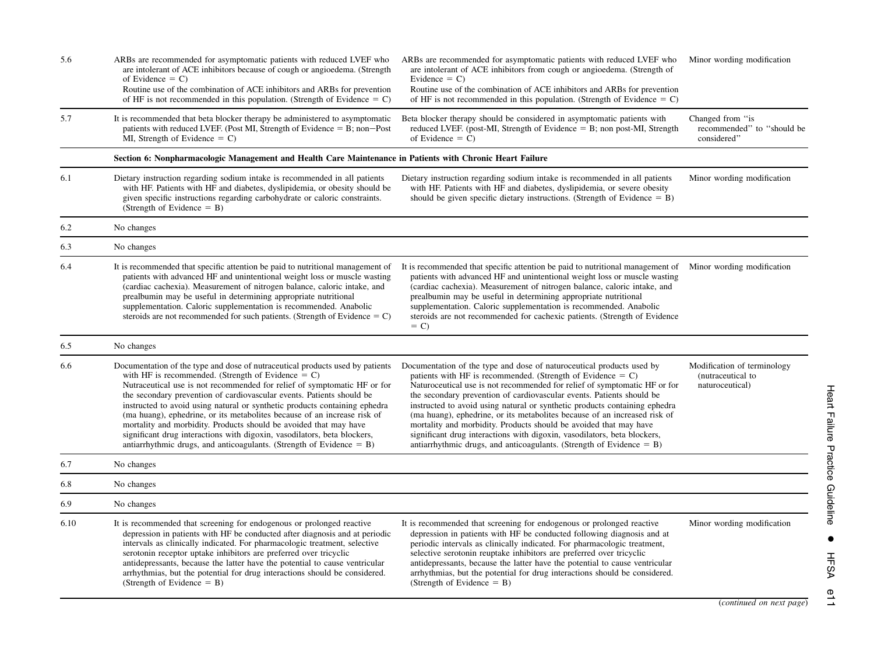| 5.6  | ARBs are recommended for asymptomatic patients with reduced LVEF who<br>are intolerant of ACE inhibitors because of cough or angioedema. (Strength<br>of Evidence $= C$ )<br>Routine use of the combination of ACE inhibitors and ARBs for prevention<br>of HF is not recommended in this population. (Strength of Evidence $= C$ )                                                                                                                                                                                                                                                                                                                                              | ARBs are recommended for asymptomatic patients with reduced LVEF who<br>are intolerant of ACE inhibitors from cough or angioedema. (Strength of<br>Evidence $= C$ )<br>Routine use of the combination of ACE inhibitors and ARBs for prevention<br>of HF is not recommended in this population. (Strength of Evidence $= C$ )                                                                                                                                                                                                                                                                                                                                                     | Minor wording modification                                          |
|------|----------------------------------------------------------------------------------------------------------------------------------------------------------------------------------------------------------------------------------------------------------------------------------------------------------------------------------------------------------------------------------------------------------------------------------------------------------------------------------------------------------------------------------------------------------------------------------------------------------------------------------------------------------------------------------|-----------------------------------------------------------------------------------------------------------------------------------------------------------------------------------------------------------------------------------------------------------------------------------------------------------------------------------------------------------------------------------------------------------------------------------------------------------------------------------------------------------------------------------------------------------------------------------------------------------------------------------------------------------------------------------|---------------------------------------------------------------------|
| 5.7  | It is recommended that beta blocker therapy be administered to asymptomatic<br>patients with reduced LVEF. (Post MI, Strength of Evidence = B; non-Post<br>MI, Strength of Evidence $= C$ )                                                                                                                                                                                                                                                                                                                                                                                                                                                                                      | Beta blocker therapy should be considered in asymptomatic patients with<br>reduced LVEF. (post-MI, Strength of Evidence $=$ B; non post-MI, Strength<br>of Evidence $= C$ )                                                                                                                                                                                                                                                                                                                                                                                                                                                                                                       | Changed from "is"<br>recommended" to "should be<br>considered"      |
|      | Section 6: Nonpharmacologic Management and Health Care Maintenance in Patients with Chronic Heart Failure                                                                                                                                                                                                                                                                                                                                                                                                                                                                                                                                                                        |                                                                                                                                                                                                                                                                                                                                                                                                                                                                                                                                                                                                                                                                                   |                                                                     |
| 6.1  | Dietary instruction regarding sodium intake is recommended in all patients<br>with HF. Patients with HF and diabetes, dyslipidemia, or obesity should be<br>given specific instructions regarding carbohydrate or caloric constraints.<br>(Strength of Evidence $=$ B)                                                                                                                                                                                                                                                                                                                                                                                                           | Dietary instruction regarding sodium intake is recommended in all patients<br>with HF. Patients with HF and diabetes, dyslipidemia, or severe obesity<br>should be given specific dietary instructions. (Strength of Evidence $=$ B)                                                                                                                                                                                                                                                                                                                                                                                                                                              | Minor wording modification                                          |
| 6.2  | No changes                                                                                                                                                                                                                                                                                                                                                                                                                                                                                                                                                                                                                                                                       |                                                                                                                                                                                                                                                                                                                                                                                                                                                                                                                                                                                                                                                                                   |                                                                     |
| 6.3  | No changes                                                                                                                                                                                                                                                                                                                                                                                                                                                                                                                                                                                                                                                                       |                                                                                                                                                                                                                                                                                                                                                                                                                                                                                                                                                                                                                                                                                   |                                                                     |
| 6.4  | It is recommended that specific attention be paid to nutritional management of<br>patients with advanced HF and unintentional weight loss or muscle wasting<br>(cardiac cachexia). Measurement of nitrogen balance, caloric intake, and<br>prealbumin may be useful in determining appropriate nutritional<br>supplementation. Caloric supplementation is recommended. Anabolic<br>steroids are not recommended for such patients. (Strength of Evidence = $C$ )                                                                                                                                                                                                                 | It is recommended that specific attention be paid to nutritional management of<br>patients with advanced HF and unintentional weight loss or muscle wasting<br>(cardiac cachexia). Measurement of nitrogen balance, caloric intake, and<br>prealbumin may be useful in determining appropriate nutritional<br>supplementation. Caloric supplementation is recommended. Anabolic<br>steroids are not recommended for cachexic patients. (Strength of Evidence<br>$= C$                                                                                                                                                                                                             | Minor wording modification                                          |
| 6.5  | No changes                                                                                                                                                                                                                                                                                                                                                                                                                                                                                                                                                                                                                                                                       |                                                                                                                                                                                                                                                                                                                                                                                                                                                                                                                                                                                                                                                                                   |                                                                     |
| 6.6  | Documentation of the type and dose of nutraceutical products used by patients<br>with HF is recommended. (Strength of Evidence $= C$ )<br>Nutraceutical use is not recommended for relief of symptomatic HF or for<br>the secondary prevention of cardiovascular events. Patients should be<br>instructed to avoid using natural or synthetic products containing ephedra<br>(ma huang), ephedrine, or its metabolites because of an increase risk of<br>mortality and morbidity. Products should be avoided that may have<br>significant drug interactions with digoxin, vasodilators, beta blockers,<br>antiarrhythmic drugs, and anticoagulants. (Strength of Evidence $=$ B) | Documentation of the type and dose of naturoceutical products used by<br>patients with HF is recommended. (Strength of Evidence $= C$ )<br>Naturoceutical use is not recommended for relief of symptomatic HF or for<br>the secondary prevention of cardiovascular events. Patients should be<br>instructed to avoid using natural or synthetic products containing ephedra<br>(ma huang), ephedrine, or its metabolites because of an increased risk of<br>mortality and morbidity. Products should be avoided that may have<br>significant drug interactions with digoxin, vasodilators, beta blockers,<br>antiarrhythmic drugs, and anticoagulants. (Strength of Evidence = B) | Modification of terminology<br>(nutraceutical to<br>naturoceutical) |
| 6.7  | No changes                                                                                                                                                                                                                                                                                                                                                                                                                                                                                                                                                                                                                                                                       |                                                                                                                                                                                                                                                                                                                                                                                                                                                                                                                                                                                                                                                                                   |                                                                     |
| 6.8  | No changes                                                                                                                                                                                                                                                                                                                                                                                                                                                                                                                                                                                                                                                                       |                                                                                                                                                                                                                                                                                                                                                                                                                                                                                                                                                                                                                                                                                   |                                                                     |
| 6.9  | No changes                                                                                                                                                                                                                                                                                                                                                                                                                                                                                                                                                                                                                                                                       |                                                                                                                                                                                                                                                                                                                                                                                                                                                                                                                                                                                                                                                                                   |                                                                     |
| 6.10 | It is recommended that screening for endogenous or prolonged reactive<br>depression in patients with HF be conducted after diagnosis and at periodic<br>intervals as clinically indicated. For pharmacologic treatment, selective<br>serotonin receptor uptake inhibitors are preferred over tricyclic<br>antidepressants, because the latter have the potential to cause ventricular<br>arrhythmias, but the potential for drug interactions should be considered.<br>(Strength of Evidence $=$ B)                                                                                                                                                                              | It is recommended that screening for endogenous or prolonged reactive<br>depression in patients with HF be conducted following diagnosis and at<br>periodic intervals as clinically indicated. For pharmacologic treatment,<br>selective serotonin reuptake inhibitors are preferred over tricyclic<br>antidepressants, because the latter have the potential to cause ventricular<br>arrhythmias, but the potential for drug interactions should be considered.<br>(Strength of Evidence $=$ B)                                                                                                                                                                                  | Minor wording modification                                          |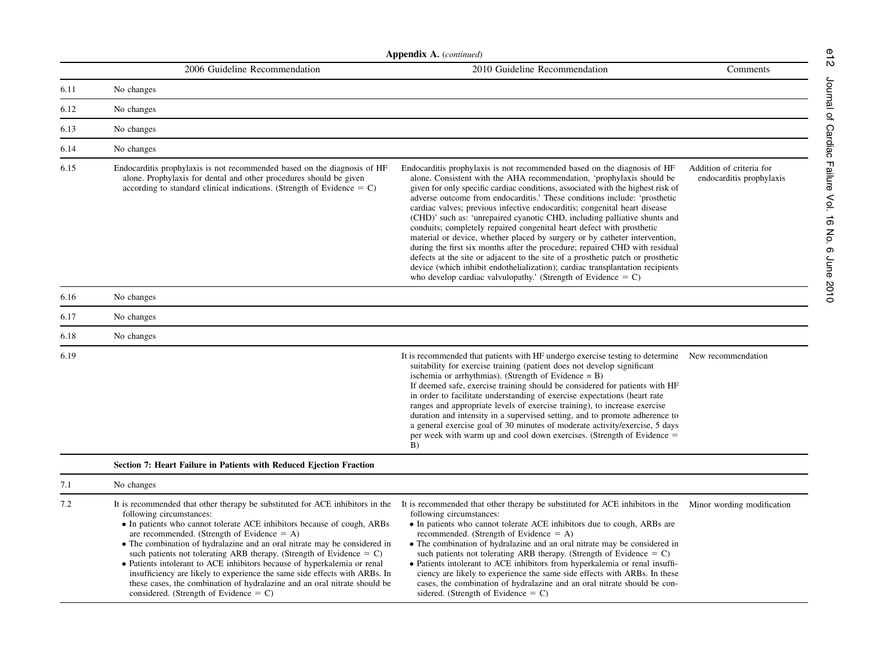|      | Appendix A. (continued)                                                                                                                                                                                                                                                                                                                                                                                                                                                                                                                                                                           |                                                                                                                                                                                                                                                                                                                                                                                                                                                                                                                                                                                                                                                                                                                                                                                                                                                                                                                                                           |                                                      |  |  |
|------|---------------------------------------------------------------------------------------------------------------------------------------------------------------------------------------------------------------------------------------------------------------------------------------------------------------------------------------------------------------------------------------------------------------------------------------------------------------------------------------------------------------------------------------------------------------------------------------------------|-----------------------------------------------------------------------------------------------------------------------------------------------------------------------------------------------------------------------------------------------------------------------------------------------------------------------------------------------------------------------------------------------------------------------------------------------------------------------------------------------------------------------------------------------------------------------------------------------------------------------------------------------------------------------------------------------------------------------------------------------------------------------------------------------------------------------------------------------------------------------------------------------------------------------------------------------------------|------------------------------------------------------|--|--|
|      | 2006 Guideline Recommendation                                                                                                                                                                                                                                                                                                                                                                                                                                                                                                                                                                     | 2010 Guideline Recommendation                                                                                                                                                                                                                                                                                                                                                                                                                                                                                                                                                                                                                                                                                                                                                                                                                                                                                                                             | Comments                                             |  |  |
| 6.11 | No changes                                                                                                                                                                                                                                                                                                                                                                                                                                                                                                                                                                                        |                                                                                                                                                                                                                                                                                                                                                                                                                                                                                                                                                                                                                                                                                                                                                                                                                                                                                                                                                           |                                                      |  |  |
| 6.12 | No changes                                                                                                                                                                                                                                                                                                                                                                                                                                                                                                                                                                                        |                                                                                                                                                                                                                                                                                                                                                                                                                                                                                                                                                                                                                                                                                                                                                                                                                                                                                                                                                           |                                                      |  |  |
| 6.13 | No changes                                                                                                                                                                                                                                                                                                                                                                                                                                                                                                                                                                                        |                                                                                                                                                                                                                                                                                                                                                                                                                                                                                                                                                                                                                                                                                                                                                                                                                                                                                                                                                           |                                                      |  |  |
| 6.14 | No changes                                                                                                                                                                                                                                                                                                                                                                                                                                                                                                                                                                                        |                                                                                                                                                                                                                                                                                                                                                                                                                                                                                                                                                                                                                                                                                                                                                                                                                                                                                                                                                           |                                                      |  |  |
| 6.15 | Endocarditis prophylaxis is not recommended based on the diagnosis of HF<br>alone. Prophylaxis for dental and other procedures should be given<br>according to standard clinical indications. (Strength of Evidence $= C$ )                                                                                                                                                                                                                                                                                                                                                                       | Endocarditis prophylaxis is not recommended based on the diagnosis of HF<br>alone. Consistent with the AHA recommendation, 'prophylaxis should be<br>given for only specific cardiac conditions, associated with the highest risk of<br>adverse outcome from endocarditis.' These conditions include: 'prosthetic<br>cardiac valves; previous infective endocarditis; congenital heart disease<br>(CHD)' such as: 'unrepaired cyanotic CHD, including palliative shunts and<br>conduits; completely repaired congenital heart defect with prosthetic<br>material or device, whether placed by surgery or by catheter intervention,<br>during the first six months after the procedure; repaired CHD with residual<br>defects at the site or adjacent to the site of a prosthetic patch or prosthetic<br>device (which inhibit endothelialization); cardiac transplantation recipients<br>who develop cardiac valvulopathy.' (Strength of Evidence $= C$ ) | Addition of criteria for<br>endocarditis prophylaxis |  |  |
| 6.16 | No changes                                                                                                                                                                                                                                                                                                                                                                                                                                                                                                                                                                                        |                                                                                                                                                                                                                                                                                                                                                                                                                                                                                                                                                                                                                                                                                                                                                                                                                                                                                                                                                           |                                                      |  |  |
| 6.17 | No changes                                                                                                                                                                                                                                                                                                                                                                                                                                                                                                                                                                                        |                                                                                                                                                                                                                                                                                                                                                                                                                                                                                                                                                                                                                                                                                                                                                                                                                                                                                                                                                           |                                                      |  |  |
| 6.18 | No changes                                                                                                                                                                                                                                                                                                                                                                                                                                                                                                                                                                                        |                                                                                                                                                                                                                                                                                                                                                                                                                                                                                                                                                                                                                                                                                                                                                                                                                                                                                                                                                           |                                                      |  |  |
| 6.19 |                                                                                                                                                                                                                                                                                                                                                                                                                                                                                                                                                                                                   | It is recommended that patients with HF undergo exercise testing to determine New recommendation<br>suitability for exercise training (patient does not develop significant<br>ischemia or arrhythmias). (Strength of Evidence = $B$ )<br>If deemed safe, exercise training should be considered for patients with HF<br>in order to facilitate understanding of exercise expectations (heart rate<br>ranges and appropriate levels of exercise training), to increase exercise<br>duration and intensity in a supervised setting, and to promote adherence to<br>a general exercise goal of 30 minutes of moderate activity/exercise, 5 days<br>per week with warm up and cool down exercises. (Strength of Evidence =<br>B)                                                                                                                                                                                                                             |                                                      |  |  |
|      | Section 7: Heart Failure in Patients with Reduced Ejection Fraction                                                                                                                                                                                                                                                                                                                                                                                                                                                                                                                               |                                                                                                                                                                                                                                                                                                                                                                                                                                                                                                                                                                                                                                                                                                                                                                                                                                                                                                                                                           |                                                      |  |  |
| 7.1  | No changes                                                                                                                                                                                                                                                                                                                                                                                                                                                                                                                                                                                        |                                                                                                                                                                                                                                                                                                                                                                                                                                                                                                                                                                                                                                                                                                                                                                                                                                                                                                                                                           |                                                      |  |  |
| 7.2  | following circumstances:<br>• In patients who cannot tolerate ACE inhibitors because of cough, ARBs<br>are recommended. (Strength of Evidence $= A$ )<br>• The combination of hydralazine and an oral nitrate may be considered in<br>such patients not tolerating ARB therapy. (Strength of Evidence = $C$ )<br>• Patients intolerant to ACE inhibitors because of hyperkalemia or renal<br>insufficiency are likely to experience the same side effects with ARBs. In<br>these cases, the combination of hydralazine and an oral nitrate should be<br>considered. (Strength of Evidence = $C$ ) | It is recommended that other therapy be substituted for ACE inhibitors in the It is recommended that other therapy be substituted for ACE inhibitors in the Minor wording modification<br>following circumstances:<br>• In patients who cannot tolerate ACE inhibitors due to cough, ARBs are<br>recommended. (Strength of Evidence $= A$ )<br>• The combination of hydralazine and an oral nitrate may be considered in<br>such patients not tolerating ARB therapy. (Strength of Evidence = $C$ )<br>• Patients intolerant to ACE inhibitors from hyperkalemia or renal insuffi-<br>ciency are likely to experience the same side effects with ARBs. In these<br>cases, the combination of hydralazine and an oral nitrate should be con-<br>sidered. (Strength of Evidence = $C$ )                                                                                                                                                                     |                                                      |  |  |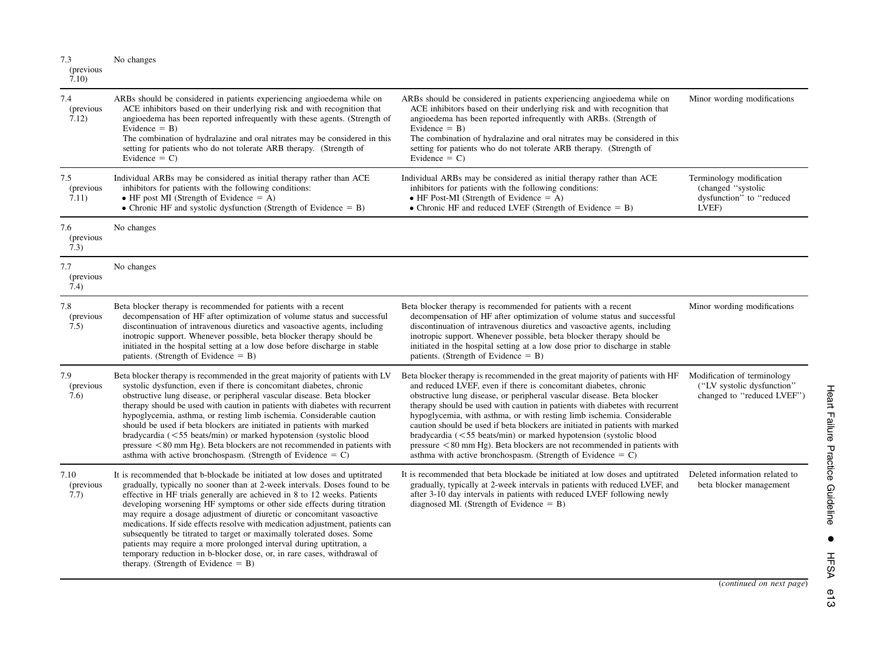| 7.3<br>(previous<br>7.10)  | No changes                                                                                                                                                                                                                                                                                                                                                                                                                                                                                                                                                                                                                                                                                                                                     |                                                                                                                                                                                                                                                                                                                                                                                                                                                                                                                                                                                                                                                                                          |                                                                                         |
|----------------------------|------------------------------------------------------------------------------------------------------------------------------------------------------------------------------------------------------------------------------------------------------------------------------------------------------------------------------------------------------------------------------------------------------------------------------------------------------------------------------------------------------------------------------------------------------------------------------------------------------------------------------------------------------------------------------------------------------------------------------------------------|------------------------------------------------------------------------------------------------------------------------------------------------------------------------------------------------------------------------------------------------------------------------------------------------------------------------------------------------------------------------------------------------------------------------------------------------------------------------------------------------------------------------------------------------------------------------------------------------------------------------------------------------------------------------------------------|-----------------------------------------------------------------------------------------|
| 7.4<br>(previous<br>7.12)  | ARBs should be considered in patients experiencing angioedema while on<br>ACE inhibitors based on their underlying risk and with recognition that<br>angioedema has been reported infrequently with these agents. (Strength of<br>Evidence $=$ B)<br>The combination of hydralazine and oral nitrates may be considered in this<br>setting for patients who do not tolerate ARB therapy. (Strength of<br>Evidence = $C$ )                                                                                                                                                                                                                                                                                                                      | ARBs should be considered in patients experiencing angioedema while on<br>ACE inhibitors based on their underlying risk and with recognition that<br>angioedema has been reported infrequently with ARBs. (Strength of<br>Evidence $=$ B)<br>The combination of hydralazine and oral nitrates may be considered in this<br>setting for patients who do not tolerate ARB therapy. (Strength of<br>Evidence = $C$ )                                                                                                                                                                                                                                                                        | Minor wording modifications                                                             |
| 7.5<br>(previous<br>7.11)  | Individual ARBs may be considered as initial therapy rather than ACE<br>inhibitors for patients with the following conditions:<br>• HF post MI (Strength of Evidence $= A$ )<br>• Chronic HF and systolic dysfunction (Strength of Evidence $=$ B)                                                                                                                                                                                                                                                                                                                                                                                                                                                                                             | Individual ARBs may be considered as initial therapy rather than ACE<br>inhibitors for patients with the following conditions:<br>• HF Post-MI (Strength of Evidence $= A$ )<br>• Chronic HF and reduced LVEF (Strength of Evidence $=$ B)                                                                                                                                                                                                                                                                                                                                                                                                                                               | Terminology modification<br>(changed "systolic<br>dysfunction" to "reduced<br>LVEF)     |
| 7.6<br>(previous<br>7.3)   | No changes                                                                                                                                                                                                                                                                                                                                                                                                                                                                                                                                                                                                                                                                                                                                     |                                                                                                                                                                                                                                                                                                                                                                                                                                                                                                                                                                                                                                                                                          |                                                                                         |
| 7.7<br>(previous<br>7.4)   | No changes                                                                                                                                                                                                                                                                                                                                                                                                                                                                                                                                                                                                                                                                                                                                     |                                                                                                                                                                                                                                                                                                                                                                                                                                                                                                                                                                                                                                                                                          |                                                                                         |
| 7.8<br>(previous)<br>7.5)  | Beta blocker therapy is recommended for patients with a recent<br>decompensation of HF after optimization of volume status and successful<br>discontinuation of intravenous diuretics and vasoactive agents, including<br>inotropic support. Whenever possible, beta blocker therapy should be<br>initiated in the hospital setting at a low dose before discharge in stable<br>patients. (Strength of Evidence = $B$ )                                                                                                                                                                                                                                                                                                                        | Beta blocker therapy is recommended for patients with a recent<br>decompensation of HF after optimization of volume status and successful<br>discontinuation of intravenous diuretics and vasoactive agents, including<br>inotropic support. Whenever possible, beta blocker therapy should be<br>initiated in the hospital setting at a low dose prior to discharge in stable<br>patients. (Strength of Evidence $=$ B)                                                                                                                                                                                                                                                                 | Minor wording modifications                                                             |
| 7.9<br>(previous<br>7.6)   | Beta blocker therapy is recommended in the great majority of patients with LV<br>systolic dysfunction, even if there is concomitant diabetes, chronic<br>obstructive lung disease, or peripheral vascular disease. Beta blocker<br>therapy should be used with caution in patients with diabetes with recurrent<br>hypoglycemia, asthma, or resting limb ischemia. Considerable caution<br>should be used if beta blockers are initiated in patients with marked<br>bradycardia (<55 beats/min) or marked hypotension (systolic blood<br>pressure <80 mm Hg). Beta blockers are not recommended in patients with<br>asthma with active bronchospasm. (Strength of Evidence = $C$ )                                                             | Beta blocker therapy is recommended in the great majority of patients with HF<br>and reduced LVEF, even if there is concomitant diabetes, chronic<br>obstructive lung disease, or peripheral vascular disease. Beta blocker<br>therapy should be used with caution in patients with diabetes with recurrent<br>hypoglycemia, with asthma, or with resting limb ischemia. Considerable<br>caution should be used if beta blockers are initiated in patients with marked<br>bradycardia (<55 beats/min) or marked hypotension (systolic blood<br>pressure <80 mm Hg). Beta blockers are not recommended in patients with<br>asthma with active bronchospasm. (Strength of Evidence = $C$ ) | Modification of terminology<br>("LV systolic dysfunction"<br>changed to "reduced LVEF") |
| 7.10<br>(previous)<br>7.7) | It is recommended that b-blockade be initiated at low doses and uptitrated<br>gradually, typically no sooner than at 2-week intervals. Doses found to be<br>effective in HF trials generally are achieved in 8 to 12 weeks. Patients<br>developing worsening HF symptoms or other side effects during titration<br>may require a dosage adjustment of diuretic or concomitant vasoactive<br>medications. If side effects resolve with medication adjustment, patients can<br>subsequently be titrated to target or maximally tolerated doses. Some<br>patients may require a more prolonged interval during uptitration, a<br>temporary reduction in b-blocker dose, or, in rare cases, withdrawal of<br>therapy. (Strength of Evidence $=$ B) | It is recommended that beta blockade be initiated at low doses and uptitrated<br>gradually, typically at 2-week intervals in patients with reduced LVEF, and<br>after 3-10 day intervals in patients with reduced LVEF following newly<br>diagnosed MI. (Strength of Evidence $=$ B)                                                                                                                                                                                                                                                                                                                                                                                                     | Deleted information related to<br>beta blocker management                               |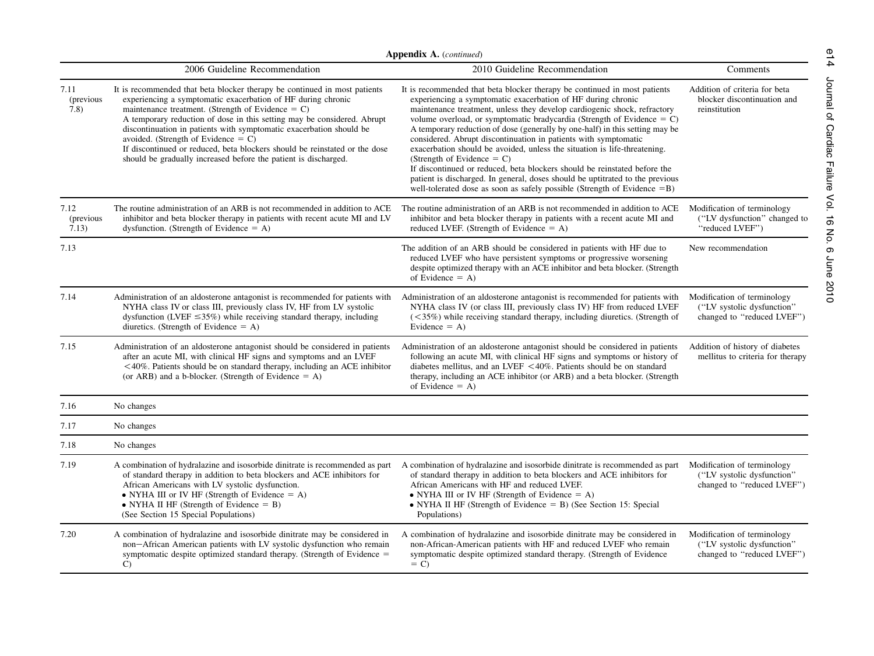|                            | Appendix A. (continued)                                                                                                                                                                                                                                                                                                                                                                                                                                                                                                                        |                                                                                                                                                                                                                                                                                                                                                                                                                                                                                                                                                                                                                                                                                                                                                                                                                  |                                                                                         |  |
|----------------------------|------------------------------------------------------------------------------------------------------------------------------------------------------------------------------------------------------------------------------------------------------------------------------------------------------------------------------------------------------------------------------------------------------------------------------------------------------------------------------------------------------------------------------------------------|------------------------------------------------------------------------------------------------------------------------------------------------------------------------------------------------------------------------------------------------------------------------------------------------------------------------------------------------------------------------------------------------------------------------------------------------------------------------------------------------------------------------------------------------------------------------------------------------------------------------------------------------------------------------------------------------------------------------------------------------------------------------------------------------------------------|-----------------------------------------------------------------------------------------|--|
|                            | 2006 Guideline Recommendation                                                                                                                                                                                                                                                                                                                                                                                                                                                                                                                  | 2010 Guideline Recommendation                                                                                                                                                                                                                                                                                                                                                                                                                                                                                                                                                                                                                                                                                                                                                                                    | Comments                                                                                |  |
| 7.11<br>(previous<br>7.8)  | It is recommended that beta blocker therapy be continued in most patients<br>experiencing a symptomatic exacerbation of HF during chronic<br>maintenance treatment. (Strength of Evidence $= C$ )<br>A temporary reduction of dose in this setting may be considered. Abrupt<br>discontinuation in patients with symptomatic exacerbation should be<br>avoided. (Strength of Evidence $= C$ )<br>If discontinued or reduced, beta blockers should be reinstated or the dose<br>should be gradually increased before the patient is discharged. | It is recommended that beta blocker therapy be continued in most patients<br>experiencing a symptomatic exacerbation of HF during chronic<br>maintenance treatment, unless they develop cardiogenic shock, refractory<br>volume overload, or symptomatic bradycardia (Strength of Evidence = $C$ )<br>A temporary reduction of dose (generally by one-half) in this setting may be<br>considered. Abrupt discontinuation in patients with symptomatic<br>exacerbation should be avoided, unless the situation is life-threatening.<br>(Strength of Evidence $= C$ )<br>If discontinued or reduced, beta blockers should be reinstated before the<br>patient is discharged. In general, doses should be uptitrated to the previous<br>well-tolerated dose as soon as safely possible (Strength of Evidence $=$ B) | Addition of criteria for beta<br>blocker discontinuation and<br>reinstitution           |  |
| 7.12<br>(previous<br>7.13) | The routine administration of an ARB is not recommended in addition to ACE<br>inhibitor and beta blocker therapy in patients with recent acute MI and LV<br>dysfunction. (Strength of Evidence $= A$ )                                                                                                                                                                                                                                                                                                                                         | The routine administration of an ARB is not recommended in addition to ACE<br>inhibitor and beta blocker therapy in patients with a recent acute MI and<br>reduced LVEF. (Strength of Evidence $= A$ )                                                                                                                                                                                                                                                                                                                                                                                                                                                                                                                                                                                                           | Modification of terminology<br>("LV dysfunction" changed to<br>"reduced LVEF")          |  |
| 7.13                       |                                                                                                                                                                                                                                                                                                                                                                                                                                                                                                                                                | The addition of an ARB should be considered in patients with HF due to<br>reduced LVEF who have persistent symptoms or progressive worsening<br>despite optimized therapy with an ACE inhibitor and beta blocker. (Strength<br>of Evidence $= A$ )                                                                                                                                                                                                                                                                                                                                                                                                                                                                                                                                                               | New recommendation                                                                      |  |
| 7.14                       | Administration of an aldosterone antagonist is recommended for patients with<br>NYHA class IV or class III, previously class IV, HF from LV systolic<br>dysfunction (LVEF $\leq$ 35%) while receiving standard therapy, including<br>diuretics. (Strength of Evidence $= A$ )                                                                                                                                                                                                                                                                  | Administration of an aldosterone antagonist is recommended for patients with<br>NYHA class IV (or class III, previously class IV) HF from reduced LVEF<br>$(<$ 35%) while receiving standard therapy, including diuretics. (Strength of<br>Evidence $= A$ )                                                                                                                                                                                                                                                                                                                                                                                                                                                                                                                                                      | Modification of terminology<br>("LV systolic dysfunction"<br>changed to "reduced LVEF") |  |
| 7.15                       | Administration of an aldosterone antagonist should be considered in patients<br>after an acute MI, with clinical HF signs and symptoms and an LVEF<br><40%. Patients should be on standard therapy, including an ACE inhibitor<br>(or ARB) and a b-blocker. (Strength of Evidence $= A$ )                                                                                                                                                                                                                                                      | Administration of an aldosterone antagonist should be considered in patients<br>following an acute MI, with clinical HF signs and symptoms or history of<br>diabetes mellitus, and an LVEF <40%. Patients should be on standard<br>therapy, including an ACE inhibitor (or ARB) and a beta blocker. (Strength<br>of Evidence $= A$ )                                                                                                                                                                                                                                                                                                                                                                                                                                                                             | Addition of history of diabetes<br>mellitus to criteria for therapy                     |  |
| 7.16                       | No changes                                                                                                                                                                                                                                                                                                                                                                                                                                                                                                                                     |                                                                                                                                                                                                                                                                                                                                                                                                                                                                                                                                                                                                                                                                                                                                                                                                                  |                                                                                         |  |
| 7.17                       | No changes                                                                                                                                                                                                                                                                                                                                                                                                                                                                                                                                     |                                                                                                                                                                                                                                                                                                                                                                                                                                                                                                                                                                                                                                                                                                                                                                                                                  |                                                                                         |  |
| 7.18                       | No changes                                                                                                                                                                                                                                                                                                                                                                                                                                                                                                                                     |                                                                                                                                                                                                                                                                                                                                                                                                                                                                                                                                                                                                                                                                                                                                                                                                                  |                                                                                         |  |
| 7.19                       | A combination of hydralazine and isosorbide dinitrate is recommended as part<br>of standard therapy in addition to beta blockers and ACE inhibitors for<br>African Americans with LV systolic dysfunction.<br>• NYHA III or IV HF (Strength of Evidence $= A$ )<br>• NYHA II HF (Strength of Evidence $=$ B)<br>(See Section 15 Special Populations)                                                                                                                                                                                           | A combination of hydralazine and isosorbide dinitrate is recommended as part<br>of standard therapy in addition to beta blockers and ACE inhibitors for<br>African Americans with HF and reduced LVEF.<br>• NYHA III or IV HF (Strength of Evidence $= A$ )<br>• NYHA II HF (Strength of Evidence $=$ B) (See Section 15: Special<br>Populations)                                                                                                                                                                                                                                                                                                                                                                                                                                                                | Modification of terminology<br>("LV systolic dysfunction"<br>changed to "reduced LVEF") |  |
| 7.20                       | A combination of hydralazine and isosorbide dinitrate may be considered in<br>non-African American patients with LV systolic dysfunction who remain<br>symptomatic despite optimized standard therapy. (Strength of Evidence $=$<br>$\mathbf{C}$                                                                                                                                                                                                                                                                                               | A combination of hydralazine and isosorbide dinitrate may be considered in<br>non-African-American patients with HF and reduced LVEF who remain<br>symptomatic despite optimized standard therapy. (Strength of Evidence<br>$= C$                                                                                                                                                                                                                                                                                                                                                                                                                                                                                                                                                                                | Modification of terminology<br>("LV systolic dysfunction"<br>changed to "reduced LVEF") |  |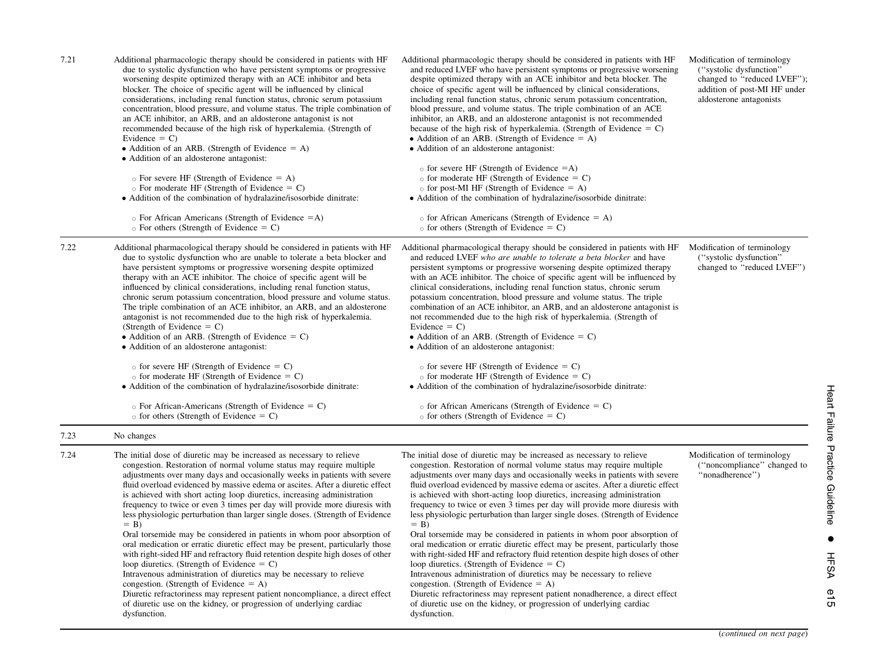| 7.21 | Additional pharmacologic therapy should be considered in patients with HF<br>due to systolic dysfunction who have persistent symptoms or progressive<br>worsening despite optimized therapy with an ACE inhibitor and beta<br>blocker. The choice of specific agent will be influenced by clinical<br>considerations, including renal function status, chronic serum potassium<br>concentration, blood pressure, and volume status. The triple combination of<br>an ACE inhibitor, an ARB, and an aldosterone antagonist is not<br>recommended because of the high risk of hyperkalemia. (Strength of<br>Evidence $= C$ )<br>• Addition of an ARB. (Strength of Evidence $= A$ )<br>• Addition of an aldosterone antagonist:<br>$\circ$ For severe HF (Strength of Evidence = A)<br>$\circ$ For moderate HF (Strength of Evidence = C)<br>• Addition of the combination of hydralazine/isosorbide dinitrate:                                                                                                                                                                                                                                             | Additional pharmacologic therapy should be considered in patients with HF<br>and reduced LVEF who have persistent symptoms or progressive worsening<br>despite optimized therapy with an ACE inhibitor and beta blocker. The<br>choice of specific agent will be influenced by clinical considerations,<br>including renal function status, chronic serum potassium concentration,<br>blood pressure, and volume status. The triple combination of an ACE<br>inhibitor, an ARB, and an aldosterone antagonist is not recommended<br>because of the high risk of hyperkalemia. (Strength of Evidence $= C$ )<br>• Addition of an ARB. (Strength of Evidence $= A$ )<br>• Addition of an aldosterone antagonist:<br>$\circ$ for severe HF (Strength of Evidence = A)<br>$\circ$ for moderate HF (Strength of Evidence = C)<br>$\circ$ for post-MI HF (Strength of Evidence = A)<br>• Addition of the combination of hydralazine/isosorbide dinitrate:                                                                                                                                                                                                     | Modification of terminology<br>("systolic dysfunction"<br>changed to "reduced LVEF");<br>addition of post-MI HF under<br>aldosterone antagonists |
|------|----------------------------------------------------------------------------------------------------------------------------------------------------------------------------------------------------------------------------------------------------------------------------------------------------------------------------------------------------------------------------------------------------------------------------------------------------------------------------------------------------------------------------------------------------------------------------------------------------------------------------------------------------------------------------------------------------------------------------------------------------------------------------------------------------------------------------------------------------------------------------------------------------------------------------------------------------------------------------------------------------------------------------------------------------------------------------------------------------------------------------------------------------------|---------------------------------------------------------------------------------------------------------------------------------------------------------------------------------------------------------------------------------------------------------------------------------------------------------------------------------------------------------------------------------------------------------------------------------------------------------------------------------------------------------------------------------------------------------------------------------------------------------------------------------------------------------------------------------------------------------------------------------------------------------------------------------------------------------------------------------------------------------------------------------------------------------------------------------------------------------------------------------------------------------------------------------------------------------------------------------------------------------------------------------------------------------|--------------------------------------------------------------------------------------------------------------------------------------------------|
|      | $\circ$ For African Americans (Strength of Evidence = A)<br>$\circ$ For others (Strength of Evidence = C)                                                                                                                                                                                                                                                                                                                                                                                                                                                                                                                                                                                                                                                                                                                                                                                                                                                                                                                                                                                                                                                | $\circ$ for African Americans (Strength of Evidence = A)<br>$\circ$ for others (Strength of Evidence = C)                                                                                                                                                                                                                                                                                                                                                                                                                                                                                                                                                                                                                                                                                                                                                                                                                                                                                                                                                                                                                                               |                                                                                                                                                  |
| 7.22 | Additional pharmacological therapy should be considered in patients with HF<br>due to systolic dysfunction who are unable to tolerate a beta blocker and<br>have persistent symptoms or progressive worsening despite optimized<br>therapy with an ACE inhibitor. The choice of specific agent will be<br>influenced by clinical considerations, including renal function status,<br>chronic serum potassium concentration, blood pressure and volume status.<br>The triple combination of an ACE inhibitor, an ARB, and an aldosterone<br>antagonist is not recommended due to the high risk of hyperkalemia.<br>(Strength of Evidence $= C$ )<br>• Addition of an ARB. (Strength of Evidence $= C$ )<br>• Addition of an aldosterone antagonist:<br>$\circ$ for severe HF (Strength of Evidence = C)<br>$\circ$ for moderate HF (Strength of Evidence = C)<br>• Addition of the combination of hydralazine/isosorbide dinitrate:<br>$\circ$ For African-Americans (Strength of Evidence = C)<br>$\circ$ for others (Strength of Evidence = C)                                                                                                          | Additional pharmacological therapy should be considered in patients with HF<br>and reduced LVEF who are unable to tolerate a beta blocker and have<br>persistent symptoms or progressive worsening despite optimized therapy<br>with an ACE inhibitor. The choice of specific agent will be influenced by<br>clinical considerations, including renal function status, chronic serum<br>potassium concentration, blood pressure and volume status. The triple<br>combination of an ACE inhibitor, an ARB, and an aldosterone antagonist is<br>not recommended due to the high risk of hyperkalemia. (Strength of<br>Evidence $= C$ )<br>• Addition of an ARB. (Strength of Evidence $= C$ )<br>• Addition of an aldosterone antagonist:<br>$\circ$ for severe HF (Strength of Evidence = C)<br>$\circ$ for moderate HF (Strength of Evidence = C)<br>• Addition of the combination of hydralazine/isosorbide dinitrate:<br>$\circ$ for African Americans (Strength of Evidence = C)<br>$\circ$ for others (Strength of Evidence = C)                                                                                                                    | Modification of terminology<br>("systolic dysfunction")<br>changed to "reduced LVEF")                                                            |
| 7.23 | No changes                                                                                                                                                                                                                                                                                                                                                                                                                                                                                                                                                                                                                                                                                                                                                                                                                                                                                                                                                                                                                                                                                                                                               |                                                                                                                                                                                                                                                                                                                                                                                                                                                                                                                                                                                                                                                                                                                                                                                                                                                                                                                                                                                                                                                                                                                                                         |                                                                                                                                                  |
| 7.24 | The initial dose of diuretic may be increased as necessary to relieve<br>congestion. Restoration of normal volume status may require multiple<br>adjustments over many days and occasionally weeks in patients with severe<br>fluid overload evidenced by massive edema or ascites. After a diuretic effect<br>is achieved with short acting loop diuretics, increasing administration<br>frequency to twice or even 3 times per day will provide more diuresis with<br>less physiologic perturbation than larger single doses. (Strength of Evidence<br>$= B$<br>Oral torsemide may be considered in patients in whom poor absorption of<br>oral medication or erratic diuretic effect may be present, particularly those<br>with right-sided HF and refractory fluid retention despite high doses of other<br>loop diuretics. (Strength of Evidence $= C$ )<br>Intravenous administration of diuretics may be necessary to relieve<br>congestion. (Strength of Evidence $= A$ )<br>Diuretic refractoriness may represent patient noncompliance, a direct effect<br>of diuretic use on the kidney, or progression of underlying cardiac<br>dysfunction. | The initial dose of diuretic may be increased as necessary to relieve<br>congestion. Restoration of normal volume status may require multiple<br>adjustments over many days and occasionally weeks in patients with severe<br>fluid overload evidenced by massive edema or ascites. After a diuretic effect<br>is achieved with short-acting loop diuretics, increasing administration<br>frequency to twice or even 3 times per day will provide more diuresis with<br>less physiologic perturbation than larger single doses. (Strength of Evidence<br>$= B$<br>Oral torsemide may be considered in patients in whom poor absorption of<br>oral medication or erratic diuretic effect may be present, particularly those<br>with right-sided HF and refractory fluid retention despite high doses of other<br>loop diuretics. (Strength of Evidence $= C$ )<br>Intravenous administration of diuretics may be necessary to relieve<br>congestion. (Strength of Evidence $= A$ )<br>Diuretic refractoriness may represent patient nonadherence, a direct effect<br>of diuretic use on the kidney, or progression of underlying cardiac<br>dysfunction. | Modification of terminology<br>("noncompliance" changed to<br>"nonadherence")                                                                    |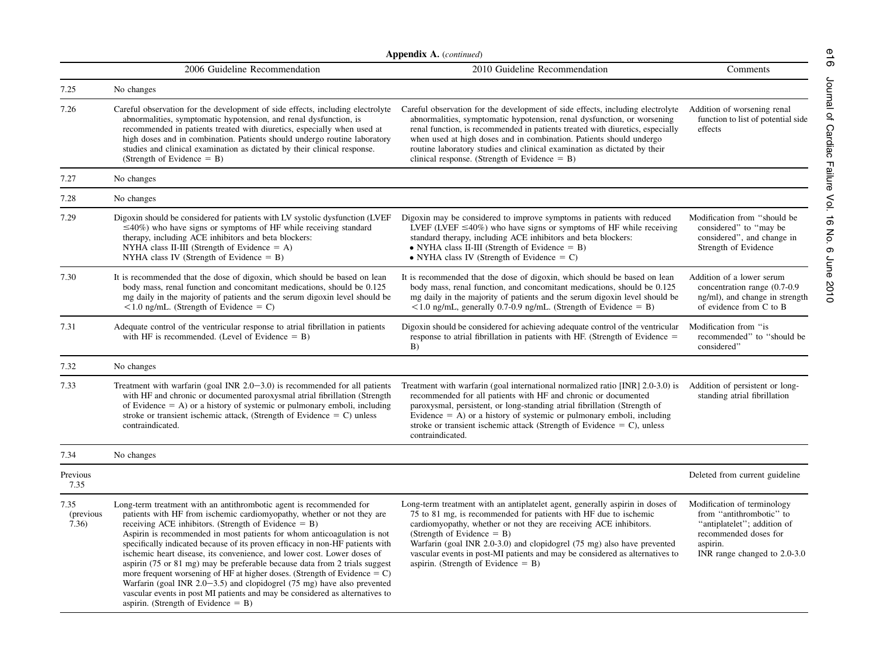|                             | Appendix A. (continued)                                                                                                                                                                                                                                                                                                                                                                                                                                                                                                                                                                                                                                                                                                                                                                                             |                                                                                                                                                                                                                                                                                                                                                                                                                                                            |                                                                                                                                                             |  |  |
|-----------------------------|---------------------------------------------------------------------------------------------------------------------------------------------------------------------------------------------------------------------------------------------------------------------------------------------------------------------------------------------------------------------------------------------------------------------------------------------------------------------------------------------------------------------------------------------------------------------------------------------------------------------------------------------------------------------------------------------------------------------------------------------------------------------------------------------------------------------|------------------------------------------------------------------------------------------------------------------------------------------------------------------------------------------------------------------------------------------------------------------------------------------------------------------------------------------------------------------------------------------------------------------------------------------------------------|-------------------------------------------------------------------------------------------------------------------------------------------------------------|--|--|
|                             | 2006 Guideline Recommendation                                                                                                                                                                                                                                                                                                                                                                                                                                                                                                                                                                                                                                                                                                                                                                                       | 2010 Guideline Recommendation                                                                                                                                                                                                                                                                                                                                                                                                                              | Comments                                                                                                                                                    |  |  |
| 7.25                        | No changes                                                                                                                                                                                                                                                                                                                                                                                                                                                                                                                                                                                                                                                                                                                                                                                                          |                                                                                                                                                                                                                                                                                                                                                                                                                                                            |                                                                                                                                                             |  |  |
| 7.26                        | Careful observation for the development of side effects, including electrolyte<br>abnormalities, symptomatic hypotension, and renal dysfunction, is<br>recommended in patients treated with diuretics, especially when used at<br>high doses and in combination. Patients should undergo routine laboratory<br>studies and clinical examination as dictated by their clinical response.<br>(Strength of Evidence $=$ B)                                                                                                                                                                                                                                                                                                                                                                                             | Careful observation for the development of side effects, including electrolyte<br>abnormalities, symptomatic hypotension, renal dysfunction, or worsening<br>renal function, is recommended in patients treated with diuretics, especially<br>when used at high doses and in combination. Patients should undergo<br>routine laboratory studies and clinical examination as dictated by their<br>clinical response. (Strength of Evidence $=$ B)           | Addition of worsening renal<br>function to list of potential side<br>effects                                                                                |  |  |
| 7.27                        | No changes                                                                                                                                                                                                                                                                                                                                                                                                                                                                                                                                                                                                                                                                                                                                                                                                          |                                                                                                                                                                                                                                                                                                                                                                                                                                                            |                                                                                                                                                             |  |  |
| 7.28                        | No changes                                                                                                                                                                                                                                                                                                                                                                                                                                                                                                                                                                                                                                                                                                                                                                                                          |                                                                                                                                                                                                                                                                                                                                                                                                                                                            |                                                                                                                                                             |  |  |
| 7.29                        | Digoxin should be considered for patients with LV systolic dysfunction (LVEF<br>$\leq 40\%$ ) who have signs or symptoms of HF while receiving standard<br>therapy, including ACE inhibitors and beta blockers:<br>NYHA class II-III (Strength of Evidence $= A$ )<br>NYHA class IV (Strength of Evidence $=$ B)                                                                                                                                                                                                                                                                                                                                                                                                                                                                                                    | Digoxin may be considered to improve symptoms in patients with reduced<br>LVEF (LVEF $\leq 40\%$ ) who have signs or symptoms of HF while receiving<br>standard therapy, including ACE inhibitors and beta blockers:<br>• NYHA class II-III (Strength of Evidence $=$ B)<br>• NYHA class IV (Strength of Evidence $= C$ )                                                                                                                                  | Modification from "should be<br>considered" to "may be<br>considered", and change in<br>Strength of Evidence                                                |  |  |
| 7.30                        | It is recommended that the dose of digoxin, which should be based on lean<br>body mass, renal function and concomitant medications, should be 0.125<br>mg daily in the majority of patients and the serum digoxin level should be<br>$\langle 1.0 \text{ ng/mL.}$ (Strength of Evidence = C)                                                                                                                                                                                                                                                                                                                                                                                                                                                                                                                        | It is recommended that the dose of digoxin, which should be based on lean<br>body mass, renal function, and concomitant medications, should be 0.125<br>mg daily in the majority of patients and the serum digoxin level should be<br>$\leq$ 1.0 ng/mL, generally 0.7-0.9 ng/mL. (Strength of Evidence = B)                                                                                                                                                | Addition of a lower serum<br>concentration range (0.7-0.9)<br>ng/ml), and change in strength<br>of evidence from C to B                                     |  |  |
| 7.31                        | Adequate control of the ventricular response to atrial fibrillation in patients<br>with HF is recommended. (Level of Evidence $=$ B)                                                                                                                                                                                                                                                                                                                                                                                                                                                                                                                                                                                                                                                                                | Digoxin should be considered for achieving adequate control of the ventricular<br>response to atrial fibrillation in patients with HF. (Strength of Evidence $=$<br>B)                                                                                                                                                                                                                                                                                     | Modification from "is<br>recommended" to "should be<br>considered"                                                                                          |  |  |
| 7.32                        | No changes                                                                                                                                                                                                                                                                                                                                                                                                                                                                                                                                                                                                                                                                                                                                                                                                          |                                                                                                                                                                                                                                                                                                                                                                                                                                                            |                                                                                                                                                             |  |  |
| 7.33                        | Treatment with warfarin (goal INR $2.0-3.0$ ) is recommended for all patients<br>with HF and chronic or documented paroxysmal atrial fibrillation (Strength<br>of Evidence $= A$ ) or a history of systemic or pulmonary emboli, including<br>stroke or transient ischemic attack, (Strength of Evidence = $C$ ) unless<br>contraindicated.                                                                                                                                                                                                                                                                                                                                                                                                                                                                         | Treatment with warfarin (goal international normalized ratio [INR] 2.0-3.0) is<br>recommended for all patients with HF and chronic or documented<br>paroxysmal, persistent, or long-standing atrial fibrillation (Strength of<br>Evidence $= A$ ) or a history of systemic or pulmonary emboli, including<br>stroke or transient ischemic attack (Strength of Evidence $= C$ ), unless<br>contraindicated.                                                 | Addition of persistent or long-<br>standing atrial fibrillation                                                                                             |  |  |
| 7.34                        | No changes                                                                                                                                                                                                                                                                                                                                                                                                                                                                                                                                                                                                                                                                                                                                                                                                          |                                                                                                                                                                                                                                                                                                                                                                                                                                                            |                                                                                                                                                             |  |  |
| Previous<br>7.35            |                                                                                                                                                                                                                                                                                                                                                                                                                                                                                                                                                                                                                                                                                                                                                                                                                     |                                                                                                                                                                                                                                                                                                                                                                                                                                                            | Deleted from current guideline                                                                                                                              |  |  |
| 7.35<br>(previous)<br>7.36) | Long-term treatment with an antithrombotic agent is recommended for<br>patients with HF from ischemic cardiomyopathy, whether or not they are<br>receiving ACE inhibitors. (Strength of Evidence $=$ B)<br>Aspirin is recommended in most patients for whom anticoagulation is not<br>specifically indicated because of its proven efficacy in non-HF patients with<br>ischemic heart disease, its convenience, and lower cost. Lower doses of<br>aspirin (75 or 81 mg) may be preferable because data from 2 trials suggest<br>more frequent worsening of HF at higher doses. (Strength of Evidence $= C$ )<br>Warfarin (goal INR $2.0-3.5$ ) and clopidogrel (75 mg) have also prevented<br>vascular events in post MI patients and may be considered as alternatives to<br>aspirin. (Strength of Evidence $=$ B) | Long-term treatment with an antiplatelet agent, generally aspirin in doses of<br>75 to 81 mg, is recommended for patients with HF due to ischemic<br>cardiomyopathy, whether or not they are receiving ACE inhibitors.<br>(Strength of Evidence $=$ B)<br>Warfarin (goal INR 2.0-3.0) and clopidogrel (75 mg) also have prevented<br>vascular events in post-MI patients and may be considered as alternatives to<br>aspirin. (Strength of Evidence $=$ B) | Modification of terminology<br>from "antithrombotic" to<br>"antiplatelet"; addition of<br>recommended doses for<br>aspirin.<br>INR range changed to 2.0-3.0 |  |  |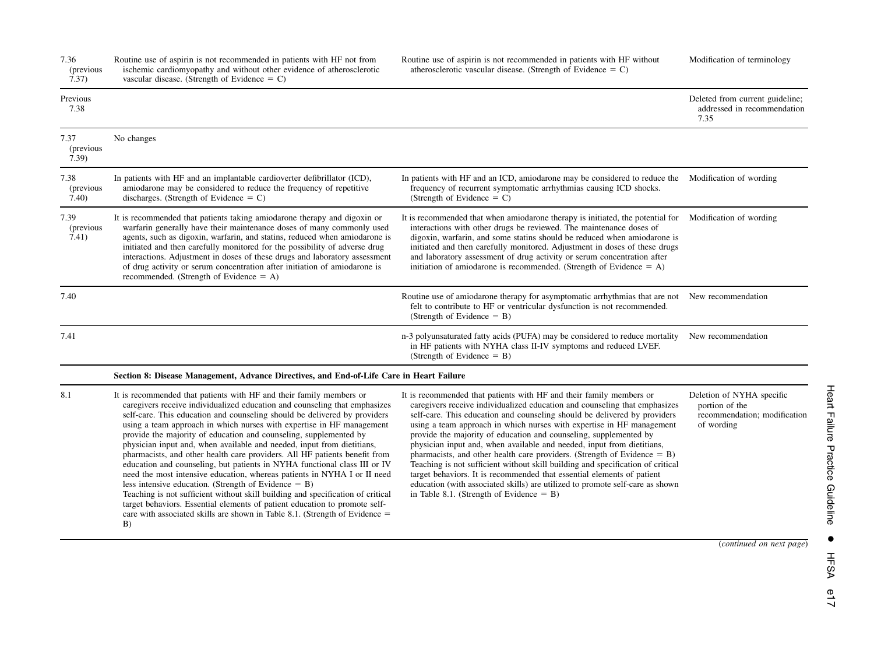| 7.36<br>(previous)<br>7.37) | Routine use of aspirin is not recommended in patients with HF not from<br>ischemic cardiomyopathy and without other evidence of atherosclerotic<br>vascular disease. (Strength of Evidence = $C$ )                                                                                                                                                                                                                                                                                                                                                                                                                                                                                                                                                                                                                                                                                                                                                                                                            | Routine use of aspirin is not recommended in patients with HF without<br>atherosclerotic vascular disease. (Strength of Evidence = $C$ )                                                                                                                                                                                                                                                                                                                                                                                                                                                                                                                                                                                                                                                                                         | Modification of terminology                                                               |
|-----------------------------|---------------------------------------------------------------------------------------------------------------------------------------------------------------------------------------------------------------------------------------------------------------------------------------------------------------------------------------------------------------------------------------------------------------------------------------------------------------------------------------------------------------------------------------------------------------------------------------------------------------------------------------------------------------------------------------------------------------------------------------------------------------------------------------------------------------------------------------------------------------------------------------------------------------------------------------------------------------------------------------------------------------|----------------------------------------------------------------------------------------------------------------------------------------------------------------------------------------------------------------------------------------------------------------------------------------------------------------------------------------------------------------------------------------------------------------------------------------------------------------------------------------------------------------------------------------------------------------------------------------------------------------------------------------------------------------------------------------------------------------------------------------------------------------------------------------------------------------------------------|-------------------------------------------------------------------------------------------|
| Previous<br>7.38            |                                                                                                                                                                                                                                                                                                                                                                                                                                                                                                                                                                                                                                                                                                                                                                                                                                                                                                                                                                                                               |                                                                                                                                                                                                                                                                                                                                                                                                                                                                                                                                                                                                                                                                                                                                                                                                                                  | Deleted from current guideline;<br>addressed in recommendation<br>7.35                    |
| 7.37<br>(previous<br>7.39)  | No changes                                                                                                                                                                                                                                                                                                                                                                                                                                                                                                                                                                                                                                                                                                                                                                                                                                                                                                                                                                                                    |                                                                                                                                                                                                                                                                                                                                                                                                                                                                                                                                                                                                                                                                                                                                                                                                                                  |                                                                                           |
| 7.38<br>(previous)<br>7.40) | In patients with HF and an implantable cardioverter defibrillator (ICD),<br>amiodarone may be considered to reduce the frequency of repetitive<br>discharges. (Strength of Evidence = $C$ )                                                                                                                                                                                                                                                                                                                                                                                                                                                                                                                                                                                                                                                                                                                                                                                                                   | In patients with HF and an ICD, amiodarone may be considered to reduce the Modification of wording<br>frequency of recurrent symptomatic arrhythmias causing ICD shocks.<br>(Strength of Evidence $= C$ )                                                                                                                                                                                                                                                                                                                                                                                                                                                                                                                                                                                                                        |                                                                                           |
| 7.39<br>(previous<br>7.41)  | It is recommended that patients taking amiodarone therapy and digoxin or<br>warfarin generally have their maintenance doses of many commonly used<br>agents, such as digoxin, warfarin, and statins, reduced when amiodarone is<br>initiated and then carefully monitored for the possibility of adverse drug<br>interactions. Adjustment in doses of these drugs and laboratory assessment<br>of drug activity or serum concentration after initiation of amiodarone is<br>recommended. (Strength of Evidence $= A$ )                                                                                                                                                                                                                                                                                                                                                                                                                                                                                        | It is recommended that when amiodarone therapy is initiated, the potential for<br>interactions with other drugs be reviewed. The maintenance doses of<br>digoxin, warfarin, and some statins should be reduced when amiodarone is<br>initiated and then carefully monitored. Adjustment in doses of these drugs<br>and laboratory assessment of drug activity or serum concentration after<br>initiation of amiodarone is recommended. (Strength of Evidence $= A$ )                                                                                                                                                                                                                                                                                                                                                             | Modification of wording                                                                   |
| 7.40                        |                                                                                                                                                                                                                                                                                                                                                                                                                                                                                                                                                                                                                                                                                                                                                                                                                                                                                                                                                                                                               | Routine use of amiodarone therapy for asymptomatic arrhythmias that are not<br>felt to contribute to HF or ventricular dysfunction is not recommended.<br>(Strength of Evidence $=$ B)                                                                                                                                                                                                                                                                                                                                                                                                                                                                                                                                                                                                                                           | New recommendation                                                                        |
| 7.41                        |                                                                                                                                                                                                                                                                                                                                                                                                                                                                                                                                                                                                                                                                                                                                                                                                                                                                                                                                                                                                               | n-3 polyunsaturated fatty acids (PUFA) may be considered to reduce mortality<br>in HF patients with NYHA class II-IV symptoms and reduced LVEF.<br>(Strength of Evidence $=$ B)                                                                                                                                                                                                                                                                                                                                                                                                                                                                                                                                                                                                                                                  | New recommendation                                                                        |
|                             | Section 8: Disease Management, Advance Directives, and End-of-Life Care in Heart Failure                                                                                                                                                                                                                                                                                                                                                                                                                                                                                                                                                                                                                                                                                                                                                                                                                                                                                                                      |                                                                                                                                                                                                                                                                                                                                                                                                                                                                                                                                                                                                                                                                                                                                                                                                                                  |                                                                                           |
| 8.1                         | It is recommended that patients with HF and their family members or<br>caregivers receive individualized education and counseling that emphasizes<br>self-care. This education and counseling should be delivered by providers<br>using a team approach in which nurses with expertise in HF management<br>provide the majority of education and counseling, supplemented by<br>physician input and, when available and needed, input from dietitians,<br>pharmacists, and other health care providers. All HF patients benefit from<br>education and counseling, but patients in NYHA functional class III or IV<br>need the most intensive education, whereas patients in NYHA I or II need<br>less intensive education. (Strength of Evidence $=$ B)<br>Teaching is not sufficient without skill building and specification of critical<br>target behaviors. Essential elements of patient education to promote self-<br>care with associated skills are shown in Table 8.1. (Strength of Evidence =<br>B) | It is recommended that patients with HF and their family members or<br>caregivers receive individualized education and counseling that emphasizes<br>self-care. This education and counseling should be delivered by providers<br>using a team approach in which nurses with expertise in HF management<br>provide the majority of education and counseling, supplemented by<br>physician input and, when available and needed, input from dietitians,<br>pharmacists, and other health care providers. (Strength of Evidence $=$ B)<br>Teaching is not sufficient without skill building and specification of critical<br>target behaviors. It is recommended that essential elements of patient<br>education (with associated skills) are utilized to promote self-care as shown<br>in Table 8.1. (Strength of Evidence $=$ B) | Deletion of NYHA specific<br>portion of the<br>recommendation; modification<br>of wording |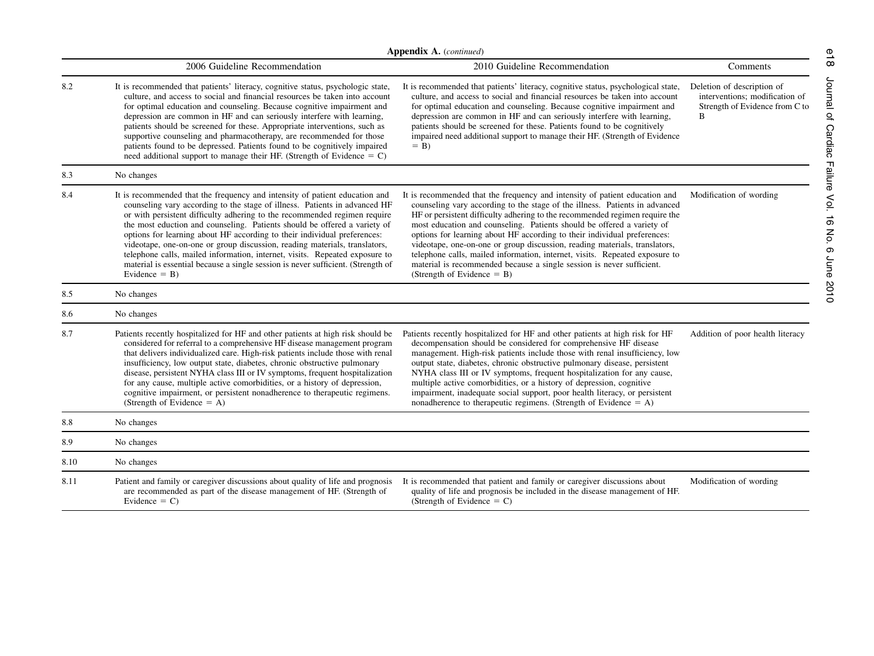|      | <b>Appendix A.</b> (continued)                                                                                                                                                                                                                                                                                                                                                                                                                                                                                                                                                                                                                                       |                                                                                                                                                                                                                                                                                                                                                                                                                                                                                                                                                                                                                                                                       |                                                                                                     |  |  |
|------|----------------------------------------------------------------------------------------------------------------------------------------------------------------------------------------------------------------------------------------------------------------------------------------------------------------------------------------------------------------------------------------------------------------------------------------------------------------------------------------------------------------------------------------------------------------------------------------------------------------------------------------------------------------------|-----------------------------------------------------------------------------------------------------------------------------------------------------------------------------------------------------------------------------------------------------------------------------------------------------------------------------------------------------------------------------------------------------------------------------------------------------------------------------------------------------------------------------------------------------------------------------------------------------------------------------------------------------------------------|-----------------------------------------------------------------------------------------------------|--|--|
|      | 2006 Guideline Recommendation                                                                                                                                                                                                                                                                                                                                                                                                                                                                                                                                                                                                                                        | 2010 Guideline Recommendation                                                                                                                                                                                                                                                                                                                                                                                                                                                                                                                                                                                                                                         | Comments                                                                                            |  |  |
| 8.2  | It is recommended that patients' literacy, cognitive status, psychologic state,<br>culture, and access to social and financial resources be taken into account<br>for optimal education and counseling. Because cognitive impairment and<br>depression are common in HF and can seriously interfere with learning,<br>patients should be screened for these. Appropriate interventions, such as<br>supportive counseling and pharmacotherapy, are recommended for those<br>patients found to be depressed. Patients found to be cognitively impaired<br>need additional support to manage their HF. (Strength of Evidence $= C$ )                                    | It is recommended that patients' literacy, cognitive status, psychological state,<br>culture, and access to social and financial resources be taken into account<br>for optimal education and counseling. Because cognitive impairment and<br>depression are common in HF and can seriously interfere with learning,<br>patients should be screened for these. Patients found to be cognitively<br>impaired need additional support to manage their HF. (Strength of Evidence<br>$= B$                                                                                                                                                                                | Deletion of description of<br>interventions; modification of<br>Strength of Evidence from C to<br>В |  |  |
| 8.3  | No changes                                                                                                                                                                                                                                                                                                                                                                                                                                                                                                                                                                                                                                                           |                                                                                                                                                                                                                                                                                                                                                                                                                                                                                                                                                                                                                                                                       |                                                                                                     |  |  |
| 8.4  | It is recommended that the frequency and intensity of patient education and<br>counseling vary according to the stage of illness. Patients in advanced HF<br>or with persistent difficulty adhering to the recommended regimen require<br>the most eduction and counseling. Patients should be offered a variety of<br>options for learning about HF according to their individual preferences:<br>videotape, one-on-one or group discussion, reading materials, translators,<br>telephone calls, mailed information, internet, visits. Repeated exposure to<br>material is essential because a single session is never sufficient. (Strength of<br>Evidence = $B$ ) | It is recommended that the frequency and intensity of patient education and<br>counseling vary according to the stage of the illness. Patients in advanced<br>HF or persistent difficulty adhering to the recommended regimen require the<br>most education and counseling. Patients should be offered a variety of<br>options for learning about HF according to their individual preferences:<br>videotape, one-on-one or group discussion, reading materials, translators,<br>telephone calls, mailed information, internet, visits. Repeated exposure to<br>material is recommended because a single session is never sufficient.<br>(Strength of Evidence $=$ B) | Modification of wording                                                                             |  |  |
| 8.5  | No changes                                                                                                                                                                                                                                                                                                                                                                                                                                                                                                                                                                                                                                                           |                                                                                                                                                                                                                                                                                                                                                                                                                                                                                                                                                                                                                                                                       |                                                                                                     |  |  |
| 8.6  | No changes                                                                                                                                                                                                                                                                                                                                                                                                                                                                                                                                                                                                                                                           |                                                                                                                                                                                                                                                                                                                                                                                                                                                                                                                                                                                                                                                                       |                                                                                                     |  |  |
| 8.7  | Patients recently hospitalized for HF and other patients at high risk should be<br>considered for referral to a comprehensive HF disease management program<br>that delivers individualized care. High-risk patients include those with renal<br>insufficiency, low output state, diabetes, chronic obstructive pulmonary<br>disease, persistent NYHA class III or IV symptoms, frequent hospitalization<br>for any cause, multiple active comorbidities, or a history of depression,<br>cognitive impairment, or persistent nonadherence to therapeutic regimens.<br>(Strength of Evidence $= A$ )                                                                  | Patients recently hospitalized for HF and other patients at high risk for HF<br>decompensation should be considered for comprehensive HF disease<br>management. High-risk patients include those with renal insufficiency, low<br>output state, diabetes, chronic obstructive pulmonary disease, persistent<br>NYHA class III or IV symptoms, frequent hospitalization for any cause,<br>multiple active comorbidities, or a history of depression, cognitive<br>impairment, inadequate social support, poor health literacy, or persistent<br>nonadherence to the rapeutic regimens. (Strength of Evidence $= A$ )                                                   | Addition of poor health literacy                                                                    |  |  |
| 8.8  | No changes                                                                                                                                                                                                                                                                                                                                                                                                                                                                                                                                                                                                                                                           |                                                                                                                                                                                                                                                                                                                                                                                                                                                                                                                                                                                                                                                                       |                                                                                                     |  |  |
| 8.9  | No changes                                                                                                                                                                                                                                                                                                                                                                                                                                                                                                                                                                                                                                                           |                                                                                                                                                                                                                                                                                                                                                                                                                                                                                                                                                                                                                                                                       |                                                                                                     |  |  |
| 8.10 | No changes                                                                                                                                                                                                                                                                                                                                                                                                                                                                                                                                                                                                                                                           |                                                                                                                                                                                                                                                                                                                                                                                                                                                                                                                                                                                                                                                                       |                                                                                                     |  |  |
| 8.11 | Patient and family or caregiver discussions about quality of life and prognosis<br>are recommended as part of the disease management of HF. (Strength of<br>Evidence = $C$ )                                                                                                                                                                                                                                                                                                                                                                                                                                                                                         | It is recommended that patient and family or caregiver discussions about<br>quality of life and prognosis be included in the disease management of HF.<br>(Strength of Evidence $= C$ )                                                                                                                                                                                                                                                                                                                                                                                                                                                                               | Modification of wording                                                                             |  |  |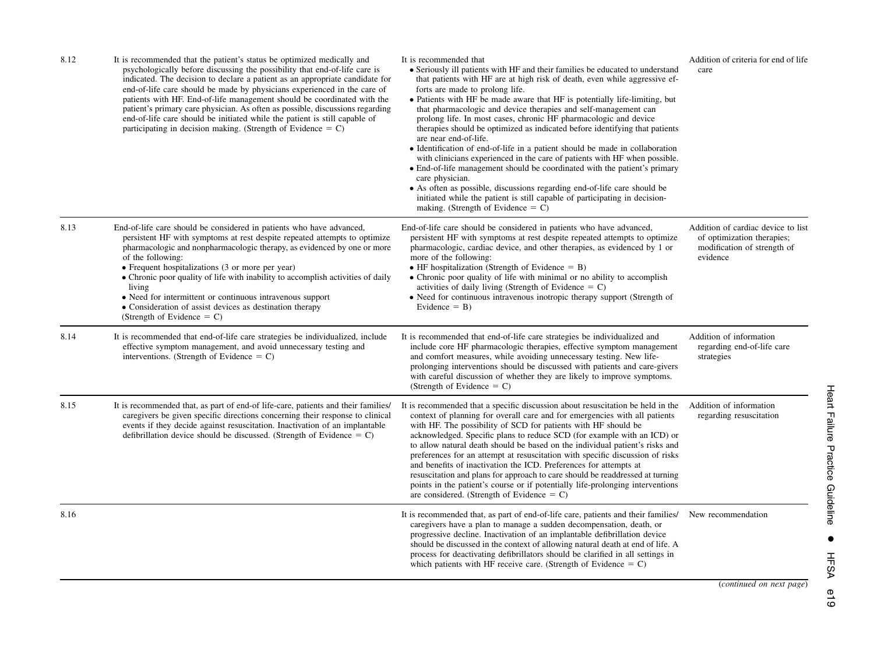| 8.12 | It is recommended that the patient's status be optimized medically and<br>psychologically before discussing the possibility that end-of-life care is<br>indicated. The decision to declare a patient as an appropriate candidate for<br>end-of-life care should be made by physicians experienced in the care of<br>patients with HF. End-of-life management should be coordinated with the<br>patient's primary care physician. As often as possible, discussions regarding<br>end-of-life care should be initiated while the patient is still capable of<br>participating in decision making. (Strength of Evidence = $C$ ) | It is recommended that<br>• Seriously ill patients with HF and their families be educated to understand<br>that patients with HF are at high risk of death, even while aggressive ef-<br>forts are made to prolong life.<br>• Patients with HF be made aware that HF is potentially life-limiting, but<br>that pharmacologic and device therapies and self-management can<br>prolong life. In most cases, chronic HF pharmacologic and device<br>therapies should be optimized as indicated before identifying that patients<br>are near end-of-life.<br>• Identification of end-of-life in a patient should be made in collaboration<br>with clinicians experienced in the care of patients with HF when possible.<br>• End-of-life management should be coordinated with the patient's primary<br>care physician.<br>• As often as possible, discussions regarding end-of-life care should be<br>initiated while the patient is still capable of participating in decision-<br>making. (Strength of Evidence = $\dot{C}$ ) | Addition of criteria for end of life<br>care                                                                |
|------|-------------------------------------------------------------------------------------------------------------------------------------------------------------------------------------------------------------------------------------------------------------------------------------------------------------------------------------------------------------------------------------------------------------------------------------------------------------------------------------------------------------------------------------------------------------------------------------------------------------------------------|------------------------------------------------------------------------------------------------------------------------------------------------------------------------------------------------------------------------------------------------------------------------------------------------------------------------------------------------------------------------------------------------------------------------------------------------------------------------------------------------------------------------------------------------------------------------------------------------------------------------------------------------------------------------------------------------------------------------------------------------------------------------------------------------------------------------------------------------------------------------------------------------------------------------------------------------------------------------------------------------------------------------------|-------------------------------------------------------------------------------------------------------------|
| 8.13 | End-of-life care should be considered in patients who have advanced,<br>persistent HF with symptoms at rest despite repeated attempts to optimize<br>pharmacologic and nonpharmacologic therapy, as evidenced by one or more<br>of the following:<br>• Frequent hospitalizations (3 or more per year)<br>• Chronic poor quality of life with inability to accomplish activities of daily<br>living<br>• Need for intermittent or continuous intravenous support<br>• Consideration of assist devices as destination therapy<br>(Strength of Evidence $= C$ )                                                                  | End-of-life care should be considered in patients who have advanced,<br>persistent HF with symptoms at rest despite repeated attempts to optimize<br>pharmacologic, cardiac device, and other therapies, as evidenced by 1 or<br>more of the following:<br>• HF hospitalization (Strength of Evidence $=$ B)<br>• Chronic poor quality of life with minimal or no ability to accomplish<br>activities of daily living (Strength of Evidence $= C$ )<br>• Need for continuous intravenous inotropic therapy support (Strength of<br>Evidence $= B$ )                                                                                                                                                                                                                                                                                                                                                                                                                                                                          | Addition of cardiac device to list<br>of optimization therapies;<br>modification of strength of<br>evidence |
| 8.14 | It is recommended that end-of-life care strategies be individualized, include<br>effective symptom management, and avoid unnecessary testing and<br>interventions. (Strength of Evidence $= C$ )                                                                                                                                                                                                                                                                                                                                                                                                                              | It is recommended that end-of-life care strategies be individualized and<br>include core HF pharmacologic therapies, effective symptom management<br>and comfort measures, while avoiding unnecessary testing. New life-<br>prolonging interventions should be discussed with patients and care-givers<br>with careful discussion of whether they are likely to improve symptoms.<br>(Strength of Evidence $= C$ )                                                                                                                                                                                                                                                                                                                                                                                                                                                                                                                                                                                                           | Addition of information<br>regarding end-of-life care<br>strategies                                         |
| 8.15 | It is recommended that, as part of end-of life-care, patients and their families/<br>caregivers be given specific directions concerning their response to clinical<br>events if they decide against resuscitation. Inactivation of an implantable<br>defibrillation device should be discussed. (Strength of Evidence $= C$ )                                                                                                                                                                                                                                                                                                 | It is recommended that a specific discussion about resuscitation be held in the<br>context of planning for overall care and for emergencies with all patients<br>with HF. The possibility of SCD for patients with HF should be<br>acknowledged. Specific plans to reduce SCD (for example with an ICD) or<br>to allow natural death should be based on the individual patient's risks and<br>preferences for an attempt at resuscitation with specific discussion of risks<br>and benefits of inactivation the ICD. Preferences for attempts at<br>resuscitation and plans for approach to care should be readdressed at turning<br>points in the patient's course or if potentially life-prolonging interventions<br>are considered. (Strength of Evidence $= C$ )                                                                                                                                                                                                                                                         | Addition of information<br>regarding resuscitation                                                          |
| 8.16 |                                                                                                                                                                                                                                                                                                                                                                                                                                                                                                                                                                                                                               | It is recommended that, as part of end-of-life care, patients and their families/<br>caregivers have a plan to manage a sudden decompensation, death, or<br>progressive decline. Inactivation of an implantable defibrillation device<br>should be discussed in the context of allowing natural death at end of life. A<br>process for deactivating defibrillators should be clarified in all settings in<br>which patients with HF receive care. (Strength of Evidence $= C$ )                                                                                                                                                                                                                                                                                                                                                                                                                                                                                                                                              | New recommendation                                                                                          |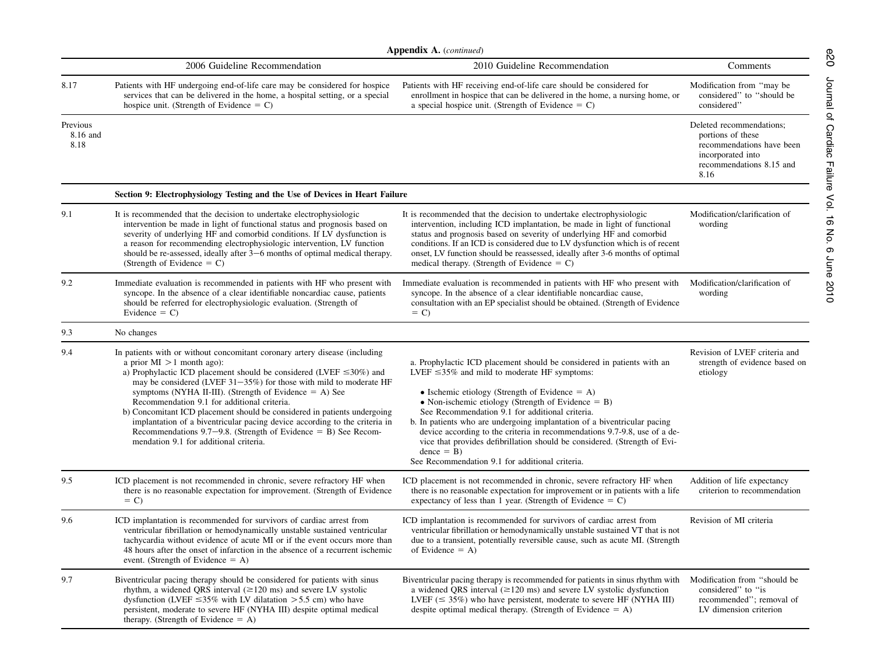|                              | <b>Appendix A.</b> (continued)                                                                                                                                                                                                                                                                                                                                                                                                                                                                                                                                                                                                                      |                                                                                                                                                                                                                                                                                                                                                                                                                                                                                                                                                                                                     |                                                                                                                                     |  |  |
|------------------------------|-----------------------------------------------------------------------------------------------------------------------------------------------------------------------------------------------------------------------------------------------------------------------------------------------------------------------------------------------------------------------------------------------------------------------------------------------------------------------------------------------------------------------------------------------------------------------------------------------------------------------------------------------------|-----------------------------------------------------------------------------------------------------------------------------------------------------------------------------------------------------------------------------------------------------------------------------------------------------------------------------------------------------------------------------------------------------------------------------------------------------------------------------------------------------------------------------------------------------------------------------------------------------|-------------------------------------------------------------------------------------------------------------------------------------|--|--|
|                              | 2006 Guideline Recommendation                                                                                                                                                                                                                                                                                                                                                                                                                                                                                                                                                                                                                       | 2010 Guideline Recommendation                                                                                                                                                                                                                                                                                                                                                                                                                                                                                                                                                                       | Comments                                                                                                                            |  |  |
| 8.17                         | Patients with HF undergoing end-of-life care may be considered for hospice<br>services that can be delivered in the home, a hospital setting, or a special<br>hospice unit. (Strength of Evidence $= C$ )                                                                                                                                                                                                                                                                                                                                                                                                                                           | Patients with HF receiving end-of-life care should be considered for<br>enrollment in hospice that can be delivered in the home, a nursing home, or<br>a special hospice unit. (Strength of Evidence = $C$ )                                                                                                                                                                                                                                                                                                                                                                                        | Modification from "may be<br>considered" to "should be<br>considered"                                                               |  |  |
| Previous<br>8.16 and<br>8.18 |                                                                                                                                                                                                                                                                                                                                                                                                                                                                                                                                                                                                                                                     |                                                                                                                                                                                                                                                                                                                                                                                                                                                                                                                                                                                                     | Deleted recommendations;<br>portions of these<br>recommendations have been<br>incorporated into<br>recommendations 8.15 and<br>8.16 |  |  |
|                              | Section 9: Electrophysiology Testing and the Use of Devices in Heart Failure                                                                                                                                                                                                                                                                                                                                                                                                                                                                                                                                                                        |                                                                                                                                                                                                                                                                                                                                                                                                                                                                                                                                                                                                     |                                                                                                                                     |  |  |
| 9.1                          | It is recommended that the decision to undertake electrophysiologic<br>intervention be made in light of functional status and prognosis based on<br>severity of underlying HF and comorbid conditions. If LV dysfunction is<br>a reason for recommending electrophysiologic intervention, LV function<br>should be re-assessed, ideally after 3-6 months of optimal medical therapy.<br>(Strength of Evidence $= C$ )                                                                                                                                                                                                                               | It is recommended that the decision to undertake electrophysiologic<br>intervention, including ICD implantation, be made in light of functional<br>status and prognosis based on severity of underlying HF and comorbid<br>conditions. If an ICD is considered due to LV dysfunction which is of recent<br>onset, LV function should be reassessed, ideally after 3-6 months of optimal<br>medical therapy. (Strength of Evidence $= C$ )                                                                                                                                                           | Modification/clarification of<br>wording                                                                                            |  |  |
| 9.2                          | Immediate evaluation is recommended in patients with HF who present with<br>syncope. In the absence of a clear identifiable noncardiac cause, patients<br>should be referred for electrophysiologic evaluation. (Strength of<br>Evidence $= C$                                                                                                                                                                                                                                                                                                                                                                                                      | Immediate evaluation is recommended in patients with HF who present with<br>syncope. In the absence of a clear identifiable noncardiac cause,<br>consultation with an EP specialist should be obtained. (Strength of Evidence<br>$= C$                                                                                                                                                                                                                                                                                                                                                              | Modification/clarification of<br>wording                                                                                            |  |  |
| 9.3                          | No changes                                                                                                                                                                                                                                                                                                                                                                                                                                                                                                                                                                                                                                          |                                                                                                                                                                                                                                                                                                                                                                                                                                                                                                                                                                                                     |                                                                                                                                     |  |  |
| 9.4                          | In patients with or without concomitant coronary artery disease (including<br>a prior $MI > 1$ month ago):<br>a) Prophylactic ICD placement should be considered (LVEF $\leq$ 30%) and<br>may be considered (LVEF $31-35\%$ ) for those with mild to moderate HF<br>symptoms (NYHA II-III). (Strength of Evidence $=$ A) See<br>Recommendation 9.1 for additional criteria.<br>b) Concomitant ICD placement should be considered in patients undergoing<br>implantation of a biventricular pacing device according to the criteria in<br>Recommendations 9.7–9.8. (Strength of Evidence $=$ B) See Recom-<br>mendation 9.1 for additional criteria. | a. Prophylactic ICD placement should be considered in patients with an<br>LVEF $\leq$ 35% and mild to moderate HF symptoms:<br>• Ischemic etiology (Strength of Evidence $= A$ )<br>• Non-ischemic etiology (Strength of Evidence $=$ B)<br>See Recommendation 9.1 for additional criteria.<br>b. In patients who are undergoing implantation of a biventricular pacing<br>device according to the criteria in recommendations 9.7-9.8, use of a de-<br>vice that provides defibrillation should be considered. (Strength of Evi-<br>$dence = B$<br>See Recommendation 9.1 for additional criteria. | Revision of LVEF criteria and<br>strength of evidence based on<br>etiology                                                          |  |  |
| 9.5                          | ICD placement is not recommended in chronic, severe refractory HF when<br>there is no reasonable expectation for improvement. (Strength of Evidence<br>$= C$                                                                                                                                                                                                                                                                                                                                                                                                                                                                                        | ICD placement is not recommended in chronic, severe refractory HF when<br>there is no reasonable expectation for improvement or in patients with a life<br>expectancy of less than 1 year. (Strength of Evidence = $C$ )                                                                                                                                                                                                                                                                                                                                                                            | Addition of life expectancy<br>criterion to recommendation                                                                          |  |  |
| 9.6                          | ICD implantation is recommended for survivors of cardiac arrest from<br>ventricular fibrillation or hemodynamically unstable sustained ventricular<br>tachycardia without evidence of acute MI or if the event occurs more than<br>48 hours after the onset of infarction in the absence of a recurrent ischemic<br>event. (Strength of Evidence $= A$ )                                                                                                                                                                                                                                                                                            | ICD implantation is recommended for survivors of cardiac arrest from<br>ventricular fibrillation or hemodynamically unstable sustained VT that is not<br>due to a transient, potentially reversible cause, such as acute MI. (Strength<br>of Evidence $= A$ )                                                                                                                                                                                                                                                                                                                                       | Revision of MI criteria                                                                                                             |  |  |
| 9.7                          | Biventricular pacing therapy should be considered for patients with sinus<br>rhythm, a widened QRS interval $(\geq 120 \text{ ms})$ and severe LV systolic<br>dysfunction (LVEF $\leq$ 35% with LV dilatation $>$ 5.5 cm) who have<br>persistent, moderate to severe HF (NYHA III) despite optimal medical<br>therapy. (Strength of Evidence $= A$ )                                                                                                                                                                                                                                                                                                | Biventricular pacing therapy is recommended for patients in sinus rhythm with<br>a widened QRS interval $(\geq 120 \text{ ms})$ and severe LV systolic dysfunction<br>LVEF ( $\leq$ 35%) who have persistent, moderate to severe HF (NYHA III)<br>despite optimal medical therapy. (Strength of Evidence $= A$ )                                                                                                                                                                                                                                                                                    | Modification from "should be<br>considered" to "is<br>recommended"; removal of<br>LV dimension criterion                            |  |  |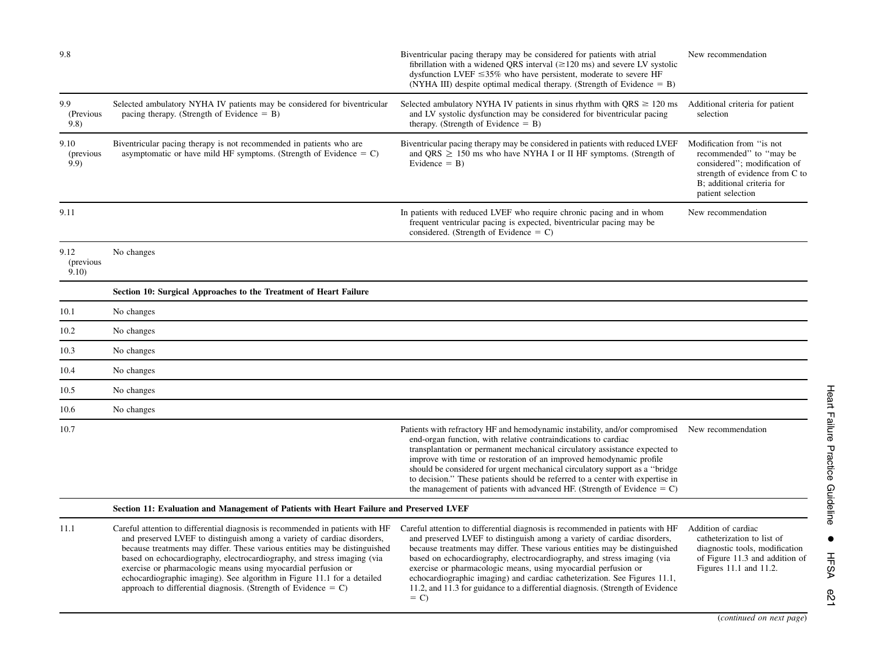| 9.8                       |                                                                                                                                                                                                                                                                                                                                                                                                                                                                                                                                     | Biventricular pacing therapy may be considered for patients with atrial<br>fibrillation with a widened QRS interval $(\geq 120 \text{ ms})$ and severe LV systolic<br>dysfunction LVEF $\leq$ 35% who have persistent, moderate to severe HF<br>(NYHA III) despite optimal medical therapy. (Strength of Evidence = B)                                                                                                                                                                                                                                       | New recommendation                                                                                                                                                        |
|---------------------------|-------------------------------------------------------------------------------------------------------------------------------------------------------------------------------------------------------------------------------------------------------------------------------------------------------------------------------------------------------------------------------------------------------------------------------------------------------------------------------------------------------------------------------------|--------------------------------------------------------------------------------------------------------------------------------------------------------------------------------------------------------------------------------------------------------------------------------------------------------------------------------------------------------------------------------------------------------------------------------------------------------------------------------------------------------------------------------------------------------------|---------------------------------------------------------------------------------------------------------------------------------------------------------------------------|
| 9.9<br>(Previous)<br>9.8) | Selected ambulatory NYHA IV patients may be considered for biventricular<br>pacing therapy. (Strength of Evidence $=$ B)                                                                                                                                                                                                                                                                                                                                                                                                            | Selected ambulatory NYHA IV patients in sinus rhythm with $QRS \ge 120$ ms<br>and LV systolic dysfunction may be considered for biventricular pacing<br>therapy. (Strength of Evidence $=$ B)                                                                                                                                                                                                                                                                                                                                                                | Additional criteria for patient<br>selection                                                                                                                              |
| 9.10<br>(previous<br>9.9) | Biventricular pacing therapy is not recommended in patients who are<br>asymptomatic or have mild HF symptoms. (Strength of Evidence $= C$ )                                                                                                                                                                                                                                                                                                                                                                                         | Biventricular pacing therapy may be considered in patients with reduced LVEF<br>and QRS $\geq$ 150 ms who have NYHA I or II HF symptoms. (Strength of<br>Evidence $= B$ )                                                                                                                                                                                                                                                                                                                                                                                    | Modification from "is not<br>recommended" to "may be<br>considered"; modification of<br>strength of evidence from C to<br>B; additional criteria for<br>patient selection |
| 9.11                      |                                                                                                                                                                                                                                                                                                                                                                                                                                                                                                                                     | In patients with reduced LVEF who require chronic pacing and in whom<br>frequent ventricular pacing is expected, biventricular pacing may be<br>considered. (Strength of Evidence = $C$ )                                                                                                                                                                                                                                                                                                                                                                    | New recommendation                                                                                                                                                        |
| 9.12<br>(previous<br>9.10 | No changes                                                                                                                                                                                                                                                                                                                                                                                                                                                                                                                          |                                                                                                                                                                                                                                                                                                                                                                                                                                                                                                                                                              |                                                                                                                                                                           |
|                           | Section 10: Surgical Approaches to the Treatment of Heart Failure                                                                                                                                                                                                                                                                                                                                                                                                                                                                   |                                                                                                                                                                                                                                                                                                                                                                                                                                                                                                                                                              |                                                                                                                                                                           |
| 10.1                      | No changes                                                                                                                                                                                                                                                                                                                                                                                                                                                                                                                          |                                                                                                                                                                                                                                                                                                                                                                                                                                                                                                                                                              |                                                                                                                                                                           |
| 10.2                      | No changes                                                                                                                                                                                                                                                                                                                                                                                                                                                                                                                          |                                                                                                                                                                                                                                                                                                                                                                                                                                                                                                                                                              |                                                                                                                                                                           |
| 10.3                      | No changes                                                                                                                                                                                                                                                                                                                                                                                                                                                                                                                          |                                                                                                                                                                                                                                                                                                                                                                                                                                                                                                                                                              |                                                                                                                                                                           |
| 10.4                      | No changes                                                                                                                                                                                                                                                                                                                                                                                                                                                                                                                          |                                                                                                                                                                                                                                                                                                                                                                                                                                                                                                                                                              |                                                                                                                                                                           |
| 10.5                      | No changes                                                                                                                                                                                                                                                                                                                                                                                                                                                                                                                          |                                                                                                                                                                                                                                                                                                                                                                                                                                                                                                                                                              |                                                                                                                                                                           |
| 10.6                      | No changes                                                                                                                                                                                                                                                                                                                                                                                                                                                                                                                          |                                                                                                                                                                                                                                                                                                                                                                                                                                                                                                                                                              |                                                                                                                                                                           |
| 10.7                      |                                                                                                                                                                                                                                                                                                                                                                                                                                                                                                                                     | Patients with refractory HF and hemodynamic instability, and/or compromised<br>end-organ function, with relative contraindications to cardiac<br>transplantation or permanent mechanical circulatory assistance expected to<br>improve with time or restoration of an improved hemodynamic profile<br>should be considered for urgent mechanical circulatory support as a "bridge"<br>to decision." These patients should be referred to a center with expertise in<br>the management of patients with advanced HF. (Strength of Evidence $= C$ )            | New recommendation                                                                                                                                                        |
|                           | Section 11: Evaluation and Management of Patients with Heart Failure and Preserved LVEF                                                                                                                                                                                                                                                                                                                                                                                                                                             |                                                                                                                                                                                                                                                                                                                                                                                                                                                                                                                                                              |                                                                                                                                                                           |
| 11.1                      | Careful attention to differential diagnosis is recommended in patients with HF<br>and preserved LVEF to distinguish among a variety of cardiac disorders,<br>because treatments may differ. These various entities may be distinguished<br>based on echocardiography, electrocardiography, and stress imaging (via<br>exercise or pharmacologic means using myocardial perfusion or<br>echocardiographic imaging). See algorithm in Figure 11.1 for a detailed<br>approach to differential diagnosis. (Strength of Evidence = $C$ ) | Careful attention to differential diagnosis is recommended in patients with HF<br>and preserved LVEF to distinguish among a variety of cardiac disorders,<br>because treatments may differ. These various entities may be distinguished<br>based on echocardiography, electrocardiography, and stress imaging (via<br>exercise or pharmacologic means, using myocardial perfusion or<br>echocardiographic imaging) and cardiac catheterization. See Figures 11.1,<br>11.2, and 11.3 for guidance to a differential diagnosis. (Strength of Evidence<br>$= C$ | Addition of cardiac<br>catheterization to list of<br>diagnostic tools, modification<br>of Figure 11.3 and addition of<br>Figures 11.1 and 11.2.                           |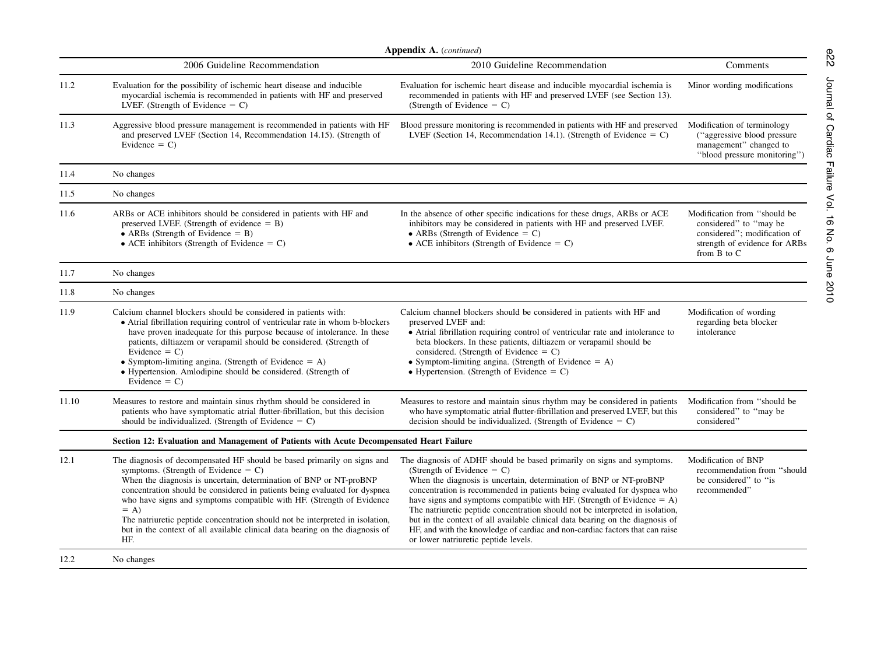|       | <b>Appendix A.</b> (continued)                                                                                                                                                                                                                                                                                                                                                                                                                                                                                                     |                                                                                                                                                                                                                                                                                                                                                                                                                                                                                                                                                                                                                                  |                                                                                                                                            |  |  |
|-------|------------------------------------------------------------------------------------------------------------------------------------------------------------------------------------------------------------------------------------------------------------------------------------------------------------------------------------------------------------------------------------------------------------------------------------------------------------------------------------------------------------------------------------|----------------------------------------------------------------------------------------------------------------------------------------------------------------------------------------------------------------------------------------------------------------------------------------------------------------------------------------------------------------------------------------------------------------------------------------------------------------------------------------------------------------------------------------------------------------------------------------------------------------------------------|--------------------------------------------------------------------------------------------------------------------------------------------|--|--|
|       | 2006 Guideline Recommendation                                                                                                                                                                                                                                                                                                                                                                                                                                                                                                      | 2010 Guideline Recommendation                                                                                                                                                                                                                                                                                                                                                                                                                                                                                                                                                                                                    | Comments                                                                                                                                   |  |  |
| 11.2  | Evaluation for the possibility of ischemic heart disease and inducible<br>myocardial ischemia is recommended in patients with HF and preserved<br>LVEF. (Strength of Evidence $= C$ )                                                                                                                                                                                                                                                                                                                                              | Evaluation for ischemic heart disease and inducible myocardial ischemia is<br>recommended in patients with HF and preserved LVEF (see Section 13).<br>(Strength of Evidence $= C$ )                                                                                                                                                                                                                                                                                                                                                                                                                                              | Minor wording modifications                                                                                                                |  |  |
| 11.3  | Aggressive blood pressure management is recommended in patients with HF<br>and preserved LVEF (Section 14, Recommendation 14.15). (Strength of<br>Evidence $= C$ )                                                                                                                                                                                                                                                                                                                                                                 | Blood pressure monitoring is recommended in patients with HF and preserved<br>LVEF (Section 14, Recommendation 14.1). (Strength of Evidence = $C$ )                                                                                                                                                                                                                                                                                                                                                                                                                                                                              | Modification of terminology<br>("aggressive blood pressure<br>management" changed to<br>"blood pressure monitoring")                       |  |  |
| 11.4  | No changes                                                                                                                                                                                                                                                                                                                                                                                                                                                                                                                         |                                                                                                                                                                                                                                                                                                                                                                                                                                                                                                                                                                                                                                  |                                                                                                                                            |  |  |
| 11.5  | No changes                                                                                                                                                                                                                                                                                                                                                                                                                                                                                                                         |                                                                                                                                                                                                                                                                                                                                                                                                                                                                                                                                                                                                                                  |                                                                                                                                            |  |  |
| 11.6  | ARBs or ACE inhibitors should be considered in patients with HF and<br>preserved LVEF. (Strength of evidence $=$ B)<br>• ARBs (Strength of Evidence $=$ B)<br>• ACE inhibitors (Strength of Evidence = $C$ )                                                                                                                                                                                                                                                                                                                       | In the absence of other specific indications for these drugs, ARBs or ACE<br>inhibitors may be considered in patients with HF and preserved LVEF.<br>• ARBs (Strength of Evidence = $C$ )<br>• ACE inhibitors (Strength of Evidence = $C$ )                                                                                                                                                                                                                                                                                                                                                                                      | Modification from "should be<br>considered" to "may be<br>considered"; modification of<br>strength of evidence for ARBs<br>from $B$ to $C$ |  |  |
| 11.7  | No changes                                                                                                                                                                                                                                                                                                                                                                                                                                                                                                                         |                                                                                                                                                                                                                                                                                                                                                                                                                                                                                                                                                                                                                                  |                                                                                                                                            |  |  |
| 11.8  | No changes                                                                                                                                                                                                                                                                                                                                                                                                                                                                                                                         |                                                                                                                                                                                                                                                                                                                                                                                                                                                                                                                                                                                                                                  |                                                                                                                                            |  |  |
| 11.9  | Calcium channel blockers should be considered in patients with:<br>• Atrial fibrillation requiring control of ventricular rate in whom b-blockers<br>have proven inadequate for this purpose because of intolerance. In these<br>patients, diltiazem or verapamil should be considered. (Strength of<br>Evidence = $C$ )<br>• Symptom-limiting angina. (Strength of Evidence $= A$ )<br>• Hypertension. Amlodipine should be considered. (Strength of<br>Evidence = $C$ )                                                          | Calcium channel blockers should be considered in patients with HF and<br>preserved LVEF and:<br>• Atrial fibrillation requiring control of ventricular rate and intolerance to<br>beta blockers. In these patients, diltiazem or verapamil should be<br>considered. (Strength of Evidence = $C$ )<br>• Symptom-limiting angina. (Strength of Evidence $= A$ )<br>• Hypertension. (Strength of Evidence = $C$ )                                                                                                                                                                                                                   | Modification of wording<br>regarding beta blocker<br>intolerance                                                                           |  |  |
| 11.10 | Measures to restore and maintain sinus rhythm should be considered in<br>patients who have symptomatic atrial flutter-fibrillation, but this decision<br>should be individualized. (Strength of Evidence $= C$ )                                                                                                                                                                                                                                                                                                                   | Measures to restore and maintain sinus rhythm may be considered in patients<br>who have symptomatic atrial flutter-fibrillation and preserved LVEF, but this<br>decision should be individualized. (Strength of Evidence = $C$ )                                                                                                                                                                                                                                                                                                                                                                                                 | Modification from "should be<br>considered" to "may be<br>considered"                                                                      |  |  |
|       | Section 12: Evaluation and Management of Patients with Acute Decompensated Heart Failure                                                                                                                                                                                                                                                                                                                                                                                                                                           |                                                                                                                                                                                                                                                                                                                                                                                                                                                                                                                                                                                                                                  |                                                                                                                                            |  |  |
| 12.1  | The diagnosis of decompensated HF should be based primarily on signs and<br>symptoms. (Strength of Evidence = $C$ )<br>When the diagnosis is uncertain, determination of BNP or NT-proBNP<br>concentration should be considered in patients being evaluated for dyspnea<br>who have signs and symptoms compatible with HF. (Strength of Evidence<br>$= A$<br>The natriuretic peptide concentration should not be interpreted in isolation,<br>but in the context of all available clinical data bearing on the diagnosis of<br>HF. | The diagnosis of ADHF should be based primarily on signs and symptoms.<br>(Strength of Evidence $= C$ )<br>When the diagnosis is uncertain, determination of BNP or NT-proBNP<br>concentration is recommended in patients being evaluated for dyspnea who<br>have signs and symptoms compatible with HF. (Strength of Evidence $= A$ )<br>The natriuretic peptide concentration should not be interpreted in isolation,<br>but in the context of all available clinical data bearing on the diagnosis of<br>HF, and with the knowledge of cardiac and non-cardiac factors that can raise<br>or lower natriuretic peptide levels. | Modification of BNP<br>recommendation from "should<br>be considered" to "is<br>recommended"                                                |  |  |
| 12.2  | No changes                                                                                                                                                                                                                                                                                                                                                                                                                                                                                                                         |                                                                                                                                                                                                                                                                                                                                                                                                                                                                                                                                                                                                                                  |                                                                                                                                            |  |  |
|       |                                                                                                                                                                                                                                                                                                                                                                                                                                                                                                                                    |                                                                                                                                                                                                                                                                                                                                                                                                                                                                                                                                                                                                                                  |                                                                                                                                            |  |  |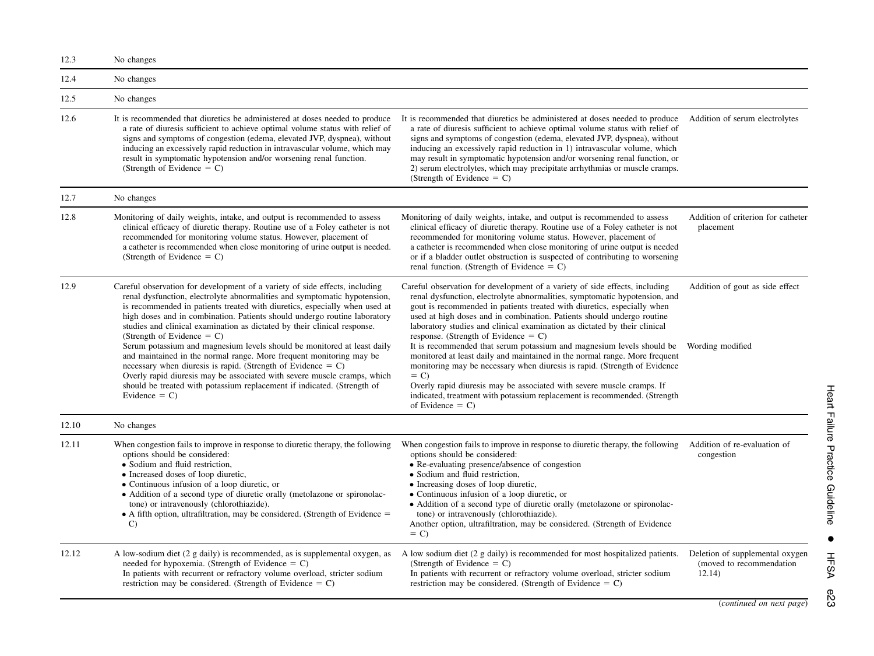| 12.3  | No changes                                                                                                                                                                                                                                                                                                                                                                                                                                                                                                                                                                                                                                                                                                                                                                                                                       |                                                                                                                                                                                                                                                                                                                                                                                                                                                                                                                                                                                                                                                                                                                                                                                                                                                                  |                                                                        |
|-------|----------------------------------------------------------------------------------------------------------------------------------------------------------------------------------------------------------------------------------------------------------------------------------------------------------------------------------------------------------------------------------------------------------------------------------------------------------------------------------------------------------------------------------------------------------------------------------------------------------------------------------------------------------------------------------------------------------------------------------------------------------------------------------------------------------------------------------|------------------------------------------------------------------------------------------------------------------------------------------------------------------------------------------------------------------------------------------------------------------------------------------------------------------------------------------------------------------------------------------------------------------------------------------------------------------------------------------------------------------------------------------------------------------------------------------------------------------------------------------------------------------------------------------------------------------------------------------------------------------------------------------------------------------------------------------------------------------|------------------------------------------------------------------------|
| 12.4  | No changes                                                                                                                                                                                                                                                                                                                                                                                                                                                                                                                                                                                                                                                                                                                                                                                                                       |                                                                                                                                                                                                                                                                                                                                                                                                                                                                                                                                                                                                                                                                                                                                                                                                                                                                  |                                                                        |
| 12.5  | No changes                                                                                                                                                                                                                                                                                                                                                                                                                                                                                                                                                                                                                                                                                                                                                                                                                       |                                                                                                                                                                                                                                                                                                                                                                                                                                                                                                                                                                                                                                                                                                                                                                                                                                                                  |                                                                        |
| 12.6  | It is recommended that diuretics be administered at doses needed to produce<br>a rate of diuresis sufficient to achieve optimal volume status with relief of<br>signs and symptoms of congestion (edema, elevated JVP, dyspnea), without<br>inducing an excessively rapid reduction in intravascular volume, which may<br>result in symptomatic hypotension and/or worsening renal function.<br>(Strength of Evidence $= C$ )                                                                                                                                                                                                                                                                                                                                                                                                    | It is recommended that diuretics be administered at doses needed to produce<br>a rate of diuresis sufficient to achieve optimal volume status with relief of<br>signs and symptoms of congestion (edema, elevated JVP, dyspnea), without<br>inducing an excessively rapid reduction in 1) intravascular volume, which<br>may result in symptomatic hypotension and/or worsening renal function, or<br>2) serum electrolytes, which may precipitate arrhythmias or muscle cramps.<br>(Strength of Evidence = $C$ )                                                                                                                                                                                                                                                                                                                                                | Addition of serum electrolytes                                         |
| 12.7  | No changes                                                                                                                                                                                                                                                                                                                                                                                                                                                                                                                                                                                                                                                                                                                                                                                                                       |                                                                                                                                                                                                                                                                                                                                                                                                                                                                                                                                                                                                                                                                                                                                                                                                                                                                  |                                                                        |
| 12.8  | Monitoring of daily weights, intake, and output is recommended to assess<br>clinical efficacy of diuretic therapy. Routine use of a Foley catheter is not<br>recommended for monitoring volume status. However, placement of<br>a catheter is recommended when close monitoring of urine output is needed.<br>(Strength of Evidence $= C$ )                                                                                                                                                                                                                                                                                                                                                                                                                                                                                      | Monitoring of daily weights, intake, and output is recommended to assess<br>clinical efficacy of diuretic therapy. Routine use of a Foley catheter is not<br>recommended for monitoring volume status. However, placement of<br>a catheter is recommended when close monitoring of urine output is needed<br>or if a bladder outlet obstruction is suspected of contributing to worsening<br>renal function. (Strength of Evidence $= C$ )                                                                                                                                                                                                                                                                                                                                                                                                                       | Addition of criterion for catheter<br>placement                        |
| 12.9  | Careful observation for development of a variety of side effects, including<br>renal dysfunction, electrolyte abnormalities and symptomatic hypotension,<br>is recommended in patients treated with diuretics, especially when used at<br>high doses and in combination. Patients should undergo routine laboratory<br>studies and clinical examination as dictated by their clinical response.<br>(Strength of Evidence = $C$ )<br>Serum potassium and magnesium levels should be monitored at least daily<br>and maintained in the normal range. More frequent monitoring may be<br>necessary when diuresis is rapid. (Strength of Evidence $= C$ )<br>Overly rapid diuresis may be associated with severe muscle cramps, which<br>should be treated with potassium replacement if indicated. (Strength of<br>Evidence $= C$ ) | Careful observation for development of a variety of side effects, including<br>renal dysfunction, electrolyte abnormalities, symptomatic hypotension, and<br>gout is recommended in patients treated with diuretics, especially when<br>used at high doses and in combination. Patients should undergo routine<br>laboratory studies and clinical examination as dictated by their clinical<br>response. (Strength of Evidence = $C$ )<br>It is recommended that serum potassium and magnesium levels should be<br>monitored at least daily and maintained in the normal range. More frequent<br>monitoring may be necessary when diuresis is rapid. (Strength of Evidence<br>$= C$<br>Overly rapid diuresis may be associated with severe muscle cramps. If<br>indicated, treatment with potassium replacement is recommended. (Strength<br>of Evidence $= C$ ) | Addition of gout as side effect<br>Wording modified                    |
| 12.10 | No changes                                                                                                                                                                                                                                                                                                                                                                                                                                                                                                                                                                                                                                                                                                                                                                                                                       |                                                                                                                                                                                                                                                                                                                                                                                                                                                                                                                                                                                                                                                                                                                                                                                                                                                                  |                                                                        |
| 12.11 | When congestion fails to improve in response to diuretic therapy, the following<br>options should be considered:<br>• Sodium and fluid restriction,<br>• Increased doses of loop diuretic,<br>• Continuous infusion of a loop diuretic, or<br>• Addition of a second type of diuretic orally (metolazone or spironolac-<br>tone) or intravenously (chlorothiazide).<br>• A fifth option, ultrafiltration, may be considered. (Strength of Evidence =<br>$\mathbf{C}$                                                                                                                                                                                                                                                                                                                                                             | When congestion fails to improve in response to diuretic therapy, the following<br>options should be considered:<br>• Re-evaluating presence/absence of congestion<br>· Sodium and fluid restriction,<br>• Increasing doses of loop diuretic,<br>• Continuous infusion of a loop diuretic, or<br>• Addition of a second type of diuretic orally (metolazone or spironolac-<br>tone) or intravenously (chlorothiazide).<br>Another option, ultrafiltration, may be considered. (Strength of Evidence<br>$= C$                                                                                                                                                                                                                                                                                                                                                     | Addition of re-evaluation of<br>congestion                             |
| 12.12 | A low-sodium diet (2 g daily) is recommended, as is supplemental oxygen, as<br>needed for hypoxemia. (Strength of Evidence $= C$ )<br>In patients with recurrent or refractory volume overload, stricter sodium<br>restriction may be considered. (Strength of Evidence = $C$ )                                                                                                                                                                                                                                                                                                                                                                                                                                                                                                                                                  | A low sodium diet (2 g daily) is recommended for most hospitalized patients.<br>(Strength of Evidence $= C$ )<br>In patients with recurrent or refractory volume overload, stricter sodium<br>restriction may be considered. (Strength of Evidence = $C$ )                                                                                                                                                                                                                                                                                                                                                                                                                                                                                                                                                                                                       | Deletion of supplemental oxygen<br>(moved to recommendation)<br>12.14) |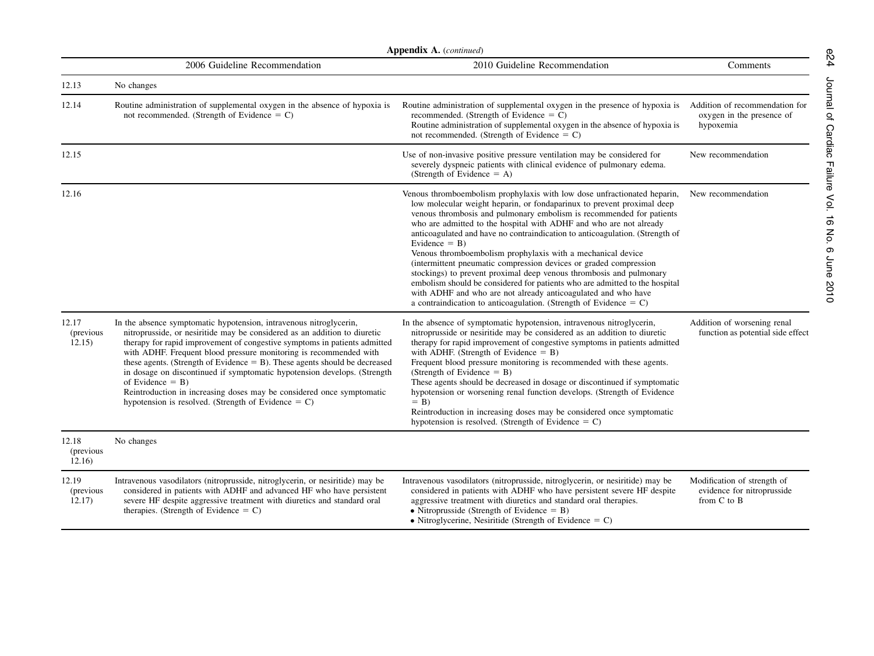|                               |                                                                                                                                                                                                                                                                                                                                                                                                                                                                                                                                                                                                                        | <b>Appendix A.</b> (continued)                                                                                                                                                                                                                                                                                                                                                                                                                                                                                                                                                                                                                                                                                                                                                                                                          |                                                                          |
|-------------------------------|------------------------------------------------------------------------------------------------------------------------------------------------------------------------------------------------------------------------------------------------------------------------------------------------------------------------------------------------------------------------------------------------------------------------------------------------------------------------------------------------------------------------------------------------------------------------------------------------------------------------|-----------------------------------------------------------------------------------------------------------------------------------------------------------------------------------------------------------------------------------------------------------------------------------------------------------------------------------------------------------------------------------------------------------------------------------------------------------------------------------------------------------------------------------------------------------------------------------------------------------------------------------------------------------------------------------------------------------------------------------------------------------------------------------------------------------------------------------------|--------------------------------------------------------------------------|
|                               | 2006 Guideline Recommendation                                                                                                                                                                                                                                                                                                                                                                                                                                                                                                                                                                                          | 2010 Guideline Recommendation                                                                                                                                                                                                                                                                                                                                                                                                                                                                                                                                                                                                                                                                                                                                                                                                           | Comments                                                                 |
| 12.13                         | No changes                                                                                                                                                                                                                                                                                                                                                                                                                                                                                                                                                                                                             |                                                                                                                                                                                                                                                                                                                                                                                                                                                                                                                                                                                                                                                                                                                                                                                                                                         |                                                                          |
| 12.14                         | Routine administration of supplemental oxygen in the absence of hypoxia is<br>not recommended. (Strength of Evidence = $C$ )                                                                                                                                                                                                                                                                                                                                                                                                                                                                                           | Routine administration of supplemental oxygen in the presence of hypoxia is<br>recommended. (Strength of Evidence = $C$ )<br>Routine administration of supplemental oxygen in the absence of hypoxia is<br>not recommended. (Strength of Evidence = $C$ )                                                                                                                                                                                                                                                                                                                                                                                                                                                                                                                                                                               | Addition of recommendation for<br>oxygen in the presence of<br>hypoxemia |
| 12.15                         |                                                                                                                                                                                                                                                                                                                                                                                                                                                                                                                                                                                                                        | Use of non-invasive positive pressure ventilation may be considered for<br>severely dyspneic patients with clinical evidence of pulmonary edema.<br>(Strength of Evidence $= A$ )                                                                                                                                                                                                                                                                                                                                                                                                                                                                                                                                                                                                                                                       | New recommendation                                                       |
| 12.16                         |                                                                                                                                                                                                                                                                                                                                                                                                                                                                                                                                                                                                                        | Venous thromboembolism prophylaxis with low dose unfractionated heparin,<br>low molecular weight heparin, or fondaparinux to prevent proximal deep<br>venous thrombosis and pulmonary embolism is recommended for patients<br>who are admitted to the hospital with ADHF and who are not already<br>anticoagulated and have no contraindication to anticoagulation. (Strength of<br>Evidence = $B$ )<br>Venous thromboembolism prophylaxis with a mechanical device<br>(intermittent pneumatic compression devices or graded compression<br>stockings) to prevent proximal deep venous thrombosis and pulmonary<br>embolism should be considered for patients who are admitted to the hospital<br>with ADHF and who are not already anticoagulated and who have<br>a contraindication to anticoagulation. (Strength of Evidence = $C$ ) | New recommendation                                                       |
| 12.17<br>(previous)<br>12.15) | In the absence symptomatic hypotension, intravenous nitroglycerin,<br>nitroprusside, or nesiritide may be considered as an addition to diuretic<br>therapy for rapid improvement of congestive symptoms in patients admitted<br>with ADHF. Frequent blood pressure monitoring is recommended with<br>these agents. (Strength of Evidence $=$ B). These agents should be decreased<br>in dosage on discontinued if symptomatic hypotension develops. (Strength<br>of Evidence $=$ B)<br>Reintroduction in increasing doses may be considered once symptomatic<br>hypotension is resolved. (Strength of Evidence = $C$ ) | In the absence of symptomatic hypotension, intravenous nitroglycerin,<br>nitroprusside or nesiritide may be considered as an addition to diuretic<br>therapy for rapid improvement of congestive symptoms in patients admitted<br>with ADHF. (Strength of Evidence $=$ B)<br>Frequent blood pressure monitoring is recommended with these agents.<br>(Strength of Evidence $=$ B)<br>These agents should be decreased in dosage or discontinued if symptomatic<br>hypotension or worsening renal function develops. (Strength of Evidence<br>$= B$<br>Reintroduction in increasing doses may be considered once symptomatic<br>hypotension is resolved. (Strength of Evidence = $C$ )                                                                                                                                                   | Addition of worsening renal<br>function as potential side effect         |
| 12.18<br>(previous)<br>12.16) | No changes                                                                                                                                                                                                                                                                                                                                                                                                                                                                                                                                                                                                             |                                                                                                                                                                                                                                                                                                                                                                                                                                                                                                                                                                                                                                                                                                                                                                                                                                         |                                                                          |
| 12.19<br>(previous)<br>12.17) | Intravenous vasodilators (nitroprusside, nitroglycerin, or nesiritide) may be<br>considered in patients with ADHF and advanced HF who have persistent<br>severe HF despite aggressive treatment with diuretics and standard oral<br>therapies. (Strength of Evidence $= C$ )                                                                                                                                                                                                                                                                                                                                           | Intravenous vasodilators (nitroprusside, nitroglycerin, or nesiritide) may be<br>considered in patients with ADHF who have persistent severe HF despite<br>aggressive treatment with diuretics and standard oral therapies.<br>• Nitroprusside (Strength of Evidence $=$ B)<br>• Nitroglycerine, Nesiritide (Strength of Evidence = $C$ )                                                                                                                                                                                                                                                                                                                                                                                                                                                                                               | Modification of strength of<br>evidence for nitroprusside<br>from C to B |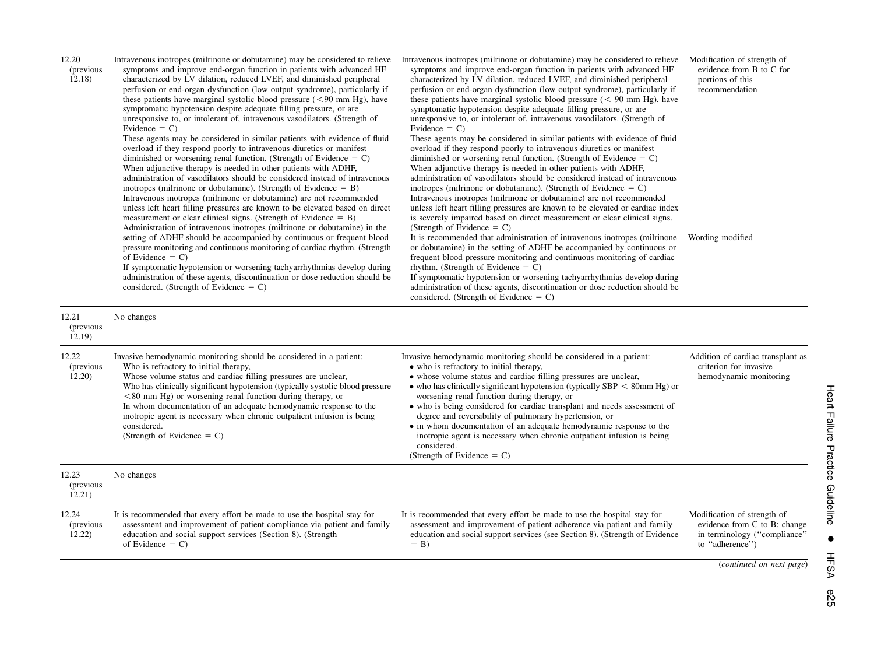| 12.20<br>(previous)<br>12.18) | Intravenous inotropes (milrinone or dobutamine) may be considered to relieve<br>symptoms and improve end-organ function in patients with advanced HF<br>characterized by LV dilation, reduced LVEF, and diminished peripheral<br>perfusion or end-organ dysfunction (low output syndrome), particularly if<br>these patients have marginal systolic blood pressure $(< 90$ mm Hg), have<br>symptomatic hypotension despite adequate filling pressure, or are<br>unresponsive to, or intolerant of, intravenous vasodilators. (Strength of<br>Evidence $= C$ )<br>These agents may be considered in similar patients with evidence of fluid<br>overload if they respond poorly to intravenous diuretics or manifest<br>diminished or worsening renal function. (Strength of Evidence $= C$ )<br>When adjunctive therapy is needed in other patients with ADHF,<br>administration of vasodilators should be considered instead of intravenous<br>inotropes (milrinone or dobutamine). (Strength of Evidence $=$ B)<br>Intravenous inotropes (milrinone or dobutamine) are not recommended<br>unless left heart filling pressures are known to be elevated based on direct<br>measurement or clear clinical signs. (Strength of Evidence $=$ B)<br>Administration of intravenous inotropes (milrinone or dobutamine) in the | Intravenous inotropes (milrinone or dobutamine) may be considered to relieve<br>symptoms and improve end-organ function in patients with advanced HF<br>characterized by LV dilation, reduced LVEF, and diminished peripheral<br>perfusion or end-organ dysfunction (low output syndrome), particularly if<br>these patients have marginal systolic blood pressure $(< 90$ mm Hg), have<br>symptomatic hypotension despite adequate filling pressure, or are<br>unresponsive to, or intolerant of, intravenous vasodilators. (Strength of<br>Evidence $= C$<br>These agents may be considered in similar patients with evidence of fluid<br>overload if they respond poorly to intravenous diuretics or manifest<br>diminished or worsening renal function. (Strength of Evidence $= C$ )<br>When adjunctive therapy is needed in other patients with ADHF,<br>administration of vasodilators should be considered instead of intravenous<br>inotropes (milrinone or dobutamine). (Strength of Evidence $= C$ )<br>Intravenous inotropes (milrinone or dobutamine) are not recommended<br>unless left heart filling pressures are known to be elevated or cardiac index<br>is severely impaired based on direct measurement or clear clinical signs.<br>(Strength of Evidence $= C$ ) | Modification of strength of<br>evidence from B to C for<br>portions of this<br>recommendation |
|-------------------------------|--------------------------------------------------------------------------------------------------------------------------------------------------------------------------------------------------------------------------------------------------------------------------------------------------------------------------------------------------------------------------------------------------------------------------------------------------------------------------------------------------------------------------------------------------------------------------------------------------------------------------------------------------------------------------------------------------------------------------------------------------------------------------------------------------------------------------------------------------------------------------------------------------------------------------------------------------------------------------------------------------------------------------------------------------------------------------------------------------------------------------------------------------------------------------------------------------------------------------------------------------------------------------------------------------------------------------|---------------------------------------------------------------------------------------------------------------------------------------------------------------------------------------------------------------------------------------------------------------------------------------------------------------------------------------------------------------------------------------------------------------------------------------------------------------------------------------------------------------------------------------------------------------------------------------------------------------------------------------------------------------------------------------------------------------------------------------------------------------------------------------------------------------------------------------------------------------------------------------------------------------------------------------------------------------------------------------------------------------------------------------------------------------------------------------------------------------------------------------------------------------------------------------------------------------------------------------------------------------------------------------|-----------------------------------------------------------------------------------------------|
|                               | setting of ADHF should be accompanied by continuous or frequent blood<br>pressure monitoring and continuous monitoring of cardiac rhythm. (Strength<br>of Evidence $= C$ )<br>If symptomatic hypotension or worsening tachyarrhythmias develop during<br>administration of these agents, discontinuation or dose reduction should be<br>considered. (Strength of Evidence = $C$ )                                                                                                                                                                                                                                                                                                                                                                                                                                                                                                                                                                                                                                                                                                                                                                                                                                                                                                                                        | It is recommended that administration of intravenous inotropes (milrinone<br>or dobutamine) in the setting of ADHF be accompanied by continuous or<br>frequent blood pressure monitoring and continuous monitoring of cardiac<br>rhythm. (Strength of Evidence $= C$ )<br>If symptomatic hypotension or worsening tachyarrhythmias develop during<br>administration of these agents, discontinuation or dose reduction should be<br>considered. (Strength of Evidence = $C$ )                                                                                                                                                                                                                                                                                                                                                                                                                                                                                                                                                                                                                                                                                                                                                                                                         | Wording modified                                                                              |
| 12.21<br>(previous)           | No changes                                                                                                                                                                                                                                                                                                                                                                                                                                                                                                                                                                                                                                                                                                                                                                                                                                                                                                                                                                                                                                                                                                                                                                                                                                                                                                               |                                                                                                                                                                                                                                                                                                                                                                                                                                                                                                                                                                                                                                                                                                                                                                                                                                                                                                                                                                                                                                                                                                                                                                                                                                                                                       |                                                                                               |

| 12.22<br>(previous)<br>12.20) | Invasive hemodynamic monitoring should be considered in a patient:<br>Who is refractory to initial therapy,<br>Whose volume status and cardiac filling pressures are unclear,<br>Who has clinically significant hypotension (typically systolic blood pressure<br>$< 80$ mm Hg) or worsening renal function during therapy, or<br>In whom documentation of an adequate hemodynamic response to the<br>inotropic agent is necessary when chronic outpatient infusion is being<br>considered.<br>(Strength of Evidence $= C$ ) | Invasive hemodynamic monitoring should be considered in a patient:<br>• who is refractory to initial therapy,<br>• whose volume status and cardiac filling pressures are unclear,<br>• who has clinically significant hypotension (typically SBP $\lt$ 80mm Hg) or<br>worsening renal function during therapy, or<br>• who is being considered for cardiac transplant and needs assessment of<br>degree and reversibility of pulmonary hypertension, or<br>• in whom documentation of an adequate hemodynamic response to the<br>inotropic agent is necessary when chronic outpatient infusion is being<br>considered.<br>(Strength of Evidence $= C$ ) | Addition of cardiac transplant as<br>criterion for invasive<br>hemodynamic monitoring                          |
|-------------------------------|------------------------------------------------------------------------------------------------------------------------------------------------------------------------------------------------------------------------------------------------------------------------------------------------------------------------------------------------------------------------------------------------------------------------------------------------------------------------------------------------------------------------------|---------------------------------------------------------------------------------------------------------------------------------------------------------------------------------------------------------------------------------------------------------------------------------------------------------------------------------------------------------------------------------------------------------------------------------------------------------------------------------------------------------------------------------------------------------------------------------------------------------------------------------------------------------|----------------------------------------------------------------------------------------------------------------|
| 12.23<br>(previous)<br>12.21) | No changes                                                                                                                                                                                                                                                                                                                                                                                                                                                                                                                   |                                                                                                                                                                                                                                                                                                                                                                                                                                                                                                                                                                                                                                                         |                                                                                                                |
| 12.24<br>(previous)<br>12.22) | It is recommended that every effort be made to use the hospital stay for<br>assessment and improvement of patient compliance via patient and family<br>education and social support services (Section 8). (Strength<br>of Evidence $= C$ )                                                                                                                                                                                                                                                                                   | It is recommended that every effort be made to use the hospital stay for<br>assessment and improvement of patient adherence via patient and family<br>education and social support services (see Section 8). (Strength of Evidence<br>$= B$                                                                                                                                                                                                                                                                                                                                                                                                             | Modification of strength of<br>evidence from C to B; change<br>in terminology ("compliance"<br>to "adherence") |
|                               |                                                                                                                                                                                                                                                                                                                                                                                                                                                                                                                              |                                                                                                                                                                                                                                                                                                                                                                                                                                                                                                                                                                                                                                                         | (continued on next page)                                                                                       |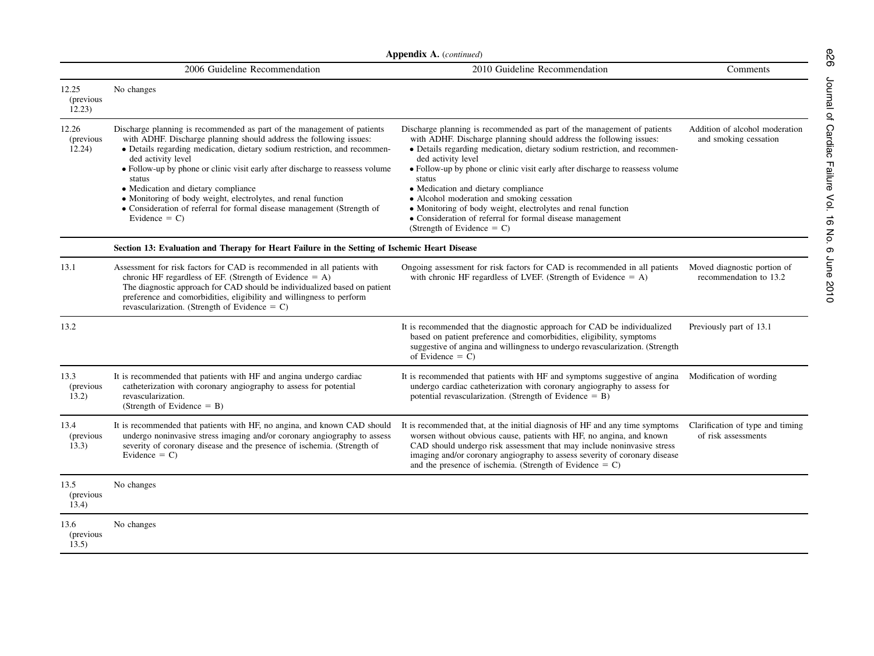|                              | Appendix A. (continued)                                                                                                                                                                                                                                                                                                                                                                                                                                                                                                                           |                                                                                                                                                                                                                                                                                                                                                                                                                                                                                                                                                                                                |                                                         |  |  |
|------------------------------|---------------------------------------------------------------------------------------------------------------------------------------------------------------------------------------------------------------------------------------------------------------------------------------------------------------------------------------------------------------------------------------------------------------------------------------------------------------------------------------------------------------------------------------------------|------------------------------------------------------------------------------------------------------------------------------------------------------------------------------------------------------------------------------------------------------------------------------------------------------------------------------------------------------------------------------------------------------------------------------------------------------------------------------------------------------------------------------------------------------------------------------------------------|---------------------------------------------------------|--|--|
|                              | 2006 Guideline Recommendation                                                                                                                                                                                                                                                                                                                                                                                                                                                                                                                     | 2010 Guideline Recommendation                                                                                                                                                                                                                                                                                                                                                                                                                                                                                                                                                                  | Comments                                                |  |  |
| 12.25<br>(previous<br>12.23) | No changes                                                                                                                                                                                                                                                                                                                                                                                                                                                                                                                                        |                                                                                                                                                                                                                                                                                                                                                                                                                                                                                                                                                                                                |                                                         |  |  |
| 12.26<br>(previous<br>12.24) | Discharge planning is recommended as part of the management of patients<br>with ADHF. Discharge planning should address the following issues:<br>· Details regarding medication, dietary sodium restriction, and recommen-<br>ded activity level<br>• Follow-up by phone or clinic visit early after discharge to reassess volume<br>status<br>• Medication and dietary compliance<br>· Monitoring of body weight, electrolytes, and renal function<br>· Consideration of referral for formal disease management (Strength of<br>Evidence $= C$ ) | Discharge planning is recommended as part of the management of patients<br>with ADHF. Discharge planning should address the following issues:<br>• Details regarding medication, dietary sodium restriction, and recommen-<br>ded activity level<br>• Follow-up by phone or clinic visit early after discharge to reassess volume<br>status<br>• Medication and dietary compliance<br>• Alcohol moderation and smoking cessation<br>• Monitoring of body weight, electrolytes and renal function<br>• Consideration of referral for formal disease management<br>(Strength of Evidence $= C$ ) | Addition of alcohol moderation<br>and smoking cessation |  |  |
|                              | Section 13: Evaluation and Therapy for Heart Failure in the Setting of Ischemic Heart Disease                                                                                                                                                                                                                                                                                                                                                                                                                                                     |                                                                                                                                                                                                                                                                                                                                                                                                                                                                                                                                                                                                |                                                         |  |  |
| 13.1                         | Assessment for risk factors for CAD is recommended in all patients with<br>chronic HF regardless of EF. (Strength of Evidence $= A$ )<br>The diagnostic approach for CAD should be individualized based on patient<br>preference and comorbidities, eligibility and willingness to perform<br>revascularization. (Strength of Evidence = $C$ )                                                                                                                                                                                                    | Ongoing assessment for risk factors for CAD is recommended in all patients<br>with chronic HF regardless of LVEF. (Strength of Evidence $= A$ )                                                                                                                                                                                                                                                                                                                                                                                                                                                | Moved diagnostic portion of<br>recommendation to 13.2   |  |  |
| 13.2                         |                                                                                                                                                                                                                                                                                                                                                                                                                                                                                                                                                   | It is recommended that the diagnostic approach for CAD be individualized<br>based on patient preference and comorbidities, eligibility, symptoms<br>suggestive of angina and willingness to undergo revascularization. (Strength<br>of Evidence $= C$ )                                                                                                                                                                                                                                                                                                                                        | Previously part of 13.1                                 |  |  |
| 13.3<br>(previous<br>13.2)   | It is recommended that patients with HF and angina undergo cardiac<br>catheterization with coronary angiography to assess for potential<br>revascularization.<br>(Strength of Evidence $=$ B)                                                                                                                                                                                                                                                                                                                                                     | It is recommended that patients with HF and symptoms suggestive of angina<br>undergo cardiac catheterization with coronary angiography to assess for<br>potential revascularization. (Strength of Evidence $=$ B)                                                                                                                                                                                                                                                                                                                                                                              | Modification of wording                                 |  |  |
| 13.4<br>(previous<br>13.3)   | It is recommended that patients with HF, no angina, and known CAD should<br>undergo noninvasive stress imaging and/or coronary angiography to assess<br>severity of coronary disease and the presence of ischemia. (Strength of<br>Evidence = $C$ )                                                                                                                                                                                                                                                                                               | It is recommended that, at the initial diagnosis of HF and any time symptoms<br>worsen without obvious cause, patients with HF, no angina, and known<br>CAD should undergo risk assessment that may include noninvasive stress<br>imaging and/or coronary angiography to assess severity of coronary disease<br>and the presence of ischemia. (Strength of Evidence $= C$ )                                                                                                                                                                                                                    | Clarification of type and timing<br>of risk assessments |  |  |
| 13.5<br>(previous<br>13.4)   | No changes                                                                                                                                                                                                                                                                                                                                                                                                                                                                                                                                        |                                                                                                                                                                                                                                                                                                                                                                                                                                                                                                                                                                                                |                                                         |  |  |
| 13.6<br>(previous<br>13.5)   | No changes                                                                                                                                                                                                                                                                                                                                                                                                                                                                                                                                        |                                                                                                                                                                                                                                                                                                                                                                                                                                                                                                                                                                                                |                                                         |  |  |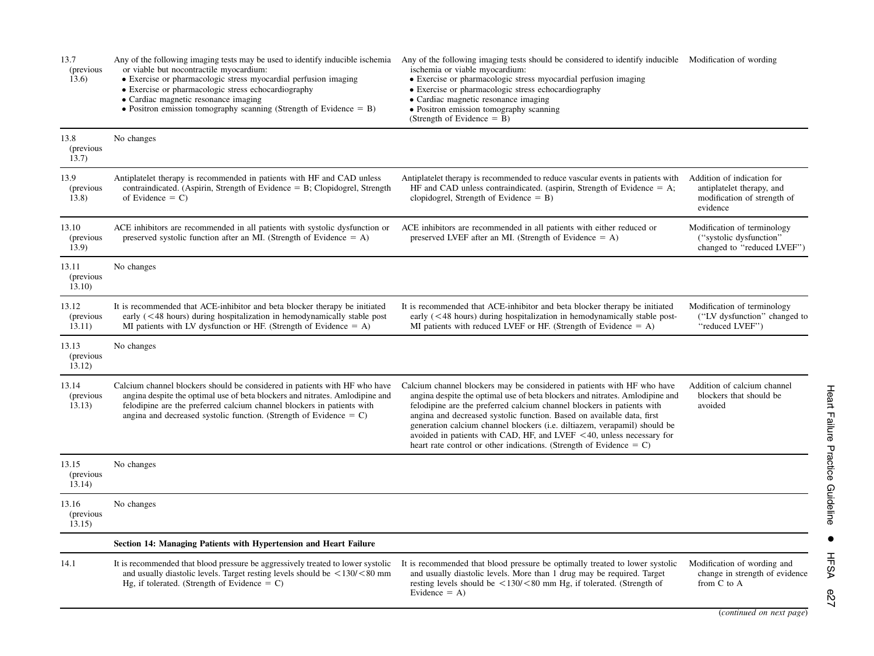| 13.7<br>(previous)<br>13.6)   | Any of the following imaging tests may be used to identify inducible ischemia<br>or viable but nocontractile myocardium:<br>• Exercise or pharmacologic stress myocardial perfusion imaging<br>• Exercise or pharmacologic stress echocardiography<br>• Cardiac magnetic resonance imaging<br>• Positron emission tomography scanning (Strength of Evidence $=$ B) | Any of the following imaging tests should be considered to identify inducible Modification of wording<br>ischemia or viable myocardium:<br>• Exercise or pharmacologic stress myocardial perfusion imaging<br>• Exercise or pharmacologic stress echocardiography<br>• Cardiac magnetic resonance imaging<br>• Positron emission tomography scanning<br>(Strength of Evidence $=$ B)                                                                                                                                                              |                                                                                                    |
|-------------------------------|--------------------------------------------------------------------------------------------------------------------------------------------------------------------------------------------------------------------------------------------------------------------------------------------------------------------------------------------------------------------|---------------------------------------------------------------------------------------------------------------------------------------------------------------------------------------------------------------------------------------------------------------------------------------------------------------------------------------------------------------------------------------------------------------------------------------------------------------------------------------------------------------------------------------------------|----------------------------------------------------------------------------------------------------|
| 13.8<br>(previous<br>13.7)    | No changes                                                                                                                                                                                                                                                                                                                                                         |                                                                                                                                                                                                                                                                                                                                                                                                                                                                                                                                                   |                                                                                                    |
| 13.9<br>(previous)<br>13.8)   | Antiplatelet therapy is recommended in patients with HF and CAD unless<br>contraindicated. (Aspirin, Strength of Evidence $=$ B; Clopidogrel, Strength<br>of Evidence $= C$ )                                                                                                                                                                                      | Antiplatelet therapy is recommended to reduce vascular events in patients with<br>HF and CAD unless contraindicated. (aspirin, Strength of Evidence = A;<br>clopidogrel, Strength of Evidence $=$ B)                                                                                                                                                                                                                                                                                                                                              | Addition of indication for<br>antiplatelet therapy, and<br>modification of strength of<br>evidence |
| 13.10<br>(previous)<br>13.9)  | ACE inhibitors are recommended in all patients with systolic dysfunction or<br>preserved systolic function after an MI. (Strength of Evidence $= A$ )                                                                                                                                                                                                              | ACE inhibitors are recommended in all patients with either reduced or<br>preserved LVEF after an MI. (Strength of Evidence $= A$ )                                                                                                                                                                                                                                                                                                                                                                                                                | Modification of terminology<br>("systolic dysfunction"<br>changed to "reduced LVEF")               |
| 13.11<br>(previous<br>13.10   | No changes                                                                                                                                                                                                                                                                                                                                                         |                                                                                                                                                                                                                                                                                                                                                                                                                                                                                                                                                   |                                                                                                    |
| 13.12<br>(previous)<br>13.11) | It is recommended that ACE-inhibitor and beta blocker therapy be initiated<br>early $(< 48$ hours) during hospitalization in hemodynamically stable post<br>MI patients with LV dysfunction or HF. (Strength of Evidence $= A$ )                                                                                                                                   | It is recommended that ACE-inhibitor and beta blocker therapy be initiated<br>early $(< 48$ hours) during hospitalization in hemodynamically stable post-<br>MI patients with reduced LVEF or HF. (Strength of Evidence $= A$ )                                                                                                                                                                                                                                                                                                                   | Modification of terminology<br>("LV dysfunction" changed to<br>"reduced LVEF")                     |
| 13.13<br>(previous<br>13.12)  | No changes                                                                                                                                                                                                                                                                                                                                                         |                                                                                                                                                                                                                                                                                                                                                                                                                                                                                                                                                   |                                                                                                    |
| 13.14<br>(previous)<br>13.13) | Calcium channel blockers should be considered in patients with HF who have<br>angina despite the optimal use of beta blockers and nitrates. Amlodipine and<br>felodipine are the preferred calcium channel blockers in patients with<br>angina and decreased systolic function. (Strength of Evidence $= C$ )                                                      | Calcium channel blockers may be considered in patients with HF who have<br>angina despite the optimal use of beta blockers and nitrates. Amlodipine and<br>felodipine are the preferred calcium channel blockers in patients with<br>angina and decreased systolic function. Based on available data, first<br>generation calcium channel blockers (i.e. diltiazem, verapamil) should be<br>avoided in patients with CAD, HF, and LVEF $\leq 40$ , unless necessary for<br>heart rate control or other indications. (Strength of Evidence $= C$ ) | Addition of calcium channel<br>blockers that should be<br>avoided                                  |
| 13.15<br>(previous<br>13.14)  | No changes                                                                                                                                                                                                                                                                                                                                                         |                                                                                                                                                                                                                                                                                                                                                                                                                                                                                                                                                   |                                                                                                    |
| 13.16<br>(previous<br>13.15)  | No changes                                                                                                                                                                                                                                                                                                                                                         |                                                                                                                                                                                                                                                                                                                                                                                                                                                                                                                                                   |                                                                                                    |
|                               | Section 14: Managing Patients with Hypertension and Heart Failure                                                                                                                                                                                                                                                                                                  |                                                                                                                                                                                                                                                                                                                                                                                                                                                                                                                                                   |                                                                                                    |
| 14.1                          | It is recommended that blood pressure be aggressively treated to lower systolic<br>and usually diastolic levels. Target resting levels should be $\langle 130 / \langle 80 \rangle$ mm<br>Hg, if tolerated. (Strength of Evidence $= C$ )                                                                                                                          | It is recommended that blood pressure be optimally treated to lower systolic<br>and usually diastolic levels. More than 1 drug may be required. Target<br>resting levels should be $\langle 130 / \langle 80 \rangle$ mm Hg, if tolerated. (Strength of<br>Evidence $= A$ )                                                                                                                                                                                                                                                                       | Modification of wording and<br>change in strength of evidence<br>from C to A                       |

(continued on next page)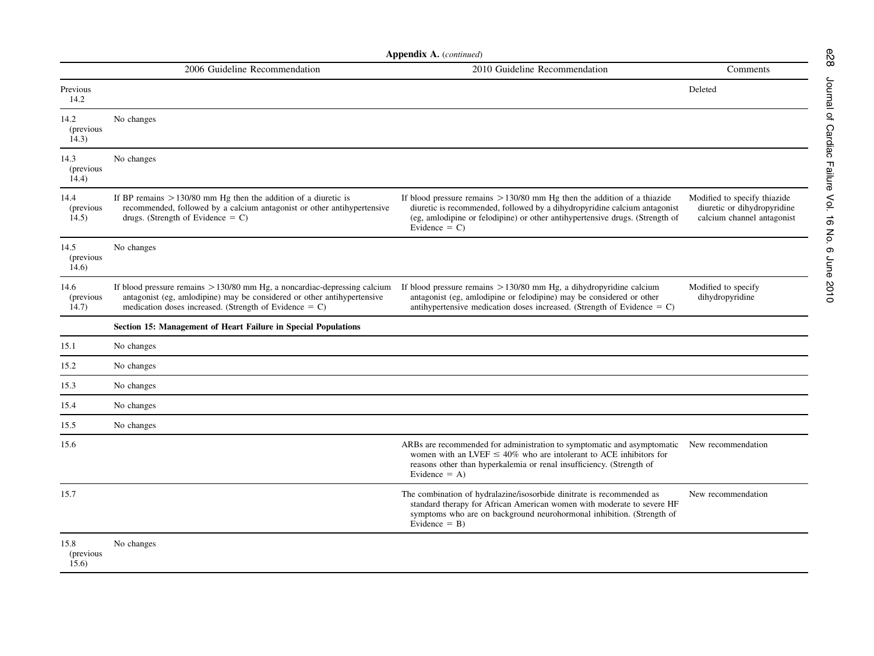| Appendix A. (continued)     |                                                                                                                                                                                                                     |                                                                                                                                                                                                                                                             |                                                                                           |  |  |  |  |  |  |  |
|-----------------------------|---------------------------------------------------------------------------------------------------------------------------------------------------------------------------------------------------------------------|-------------------------------------------------------------------------------------------------------------------------------------------------------------------------------------------------------------------------------------------------------------|-------------------------------------------------------------------------------------------|--|--|--|--|--|--|--|
|                             | 2006 Guideline Recommendation                                                                                                                                                                                       | 2010 Guideline Recommendation                                                                                                                                                                                                                               | Comments                                                                                  |  |  |  |  |  |  |  |
| Previous<br>14.2            |                                                                                                                                                                                                                     |                                                                                                                                                                                                                                                             | Deleted                                                                                   |  |  |  |  |  |  |  |
| 14.2<br>(previous)<br>14.3) | No changes                                                                                                                                                                                                          |                                                                                                                                                                                                                                                             |                                                                                           |  |  |  |  |  |  |  |
| 14.3<br>(previous<br>14.4)  | No changes                                                                                                                                                                                                          |                                                                                                                                                                                                                                                             |                                                                                           |  |  |  |  |  |  |  |
| 14.4<br>(previous)<br>14.5) | If BP remains $> 130/80$ mm Hg then the addition of a diuretic is<br>recommended, followed by a calcium antagonist or other antihypertensive<br>drugs. (Strength of Evidence $= C$ )                                | If blood pressure remains $> 130/80$ mm Hg then the addition of a thiazide<br>diuretic is recommended, followed by a dihydropyridine calcium antagonist<br>(eg, amlodipine or felodipine) or other antihypertensive drugs. (Strength of<br>Evidence = $C$ ) | Modified to specify thiazide<br>diuretic or dihydropyridine<br>calcium channel antagonist |  |  |  |  |  |  |  |
| 14.5<br>(previous<br>14.6)  | No changes                                                                                                                                                                                                          |                                                                                                                                                                                                                                                             |                                                                                           |  |  |  |  |  |  |  |
| 14.6<br>(previous)<br>14.7) | If blood pressure remains $> 130/80$ mm Hg, a noncardiac-depressing calcium<br>antagonist (eg, amlodipine) may be considered or other antihypertensive<br>medication doses increased. (Strength of Evidence = $C$ ) | If blood pressure remains $> 130/80$ mm Hg, a dihydropyridine calcium<br>antagonist (eg, amlodipine or felodipine) may be considered or other<br>antihypertensive medication doses increased. (Strength of Evidence = $C$ )                                 | Modified to specify<br>dihydropyridine                                                    |  |  |  |  |  |  |  |
|                             | Section 15: Management of Heart Failure in Special Populations                                                                                                                                                      |                                                                                                                                                                                                                                                             |                                                                                           |  |  |  |  |  |  |  |
| 15.1                        | No changes                                                                                                                                                                                                          |                                                                                                                                                                                                                                                             |                                                                                           |  |  |  |  |  |  |  |
| 15.2                        | No changes                                                                                                                                                                                                          |                                                                                                                                                                                                                                                             |                                                                                           |  |  |  |  |  |  |  |
| 15.3                        | No changes                                                                                                                                                                                                          |                                                                                                                                                                                                                                                             |                                                                                           |  |  |  |  |  |  |  |
| 15.4                        | No changes                                                                                                                                                                                                          |                                                                                                                                                                                                                                                             |                                                                                           |  |  |  |  |  |  |  |
| 15.5                        | No changes                                                                                                                                                                                                          |                                                                                                                                                                                                                                                             |                                                                                           |  |  |  |  |  |  |  |
| 15.6                        |                                                                                                                                                                                                                     | ARBs are recommended for administration to symptomatic and asymptomatic<br>women with an LVEF $\leq 40\%$ who are intolerant to ACE inhibitors for<br>reasons other than hyperkalemia or renal insufficiency. (Strength of<br>Evidence $= A$ )              | New recommendation                                                                        |  |  |  |  |  |  |  |
| 15.7                        |                                                                                                                                                                                                                     | The combination of hydralazine/isosorbide dinitrate is recommended as<br>standard therapy for African American women with moderate to severe HF<br>symptoms who are on background neurohormonal inhibition. (Strength of<br>Evidence = $B$ )                | New recommendation                                                                        |  |  |  |  |  |  |  |
| 15.8<br>(previous<br>15.6)  | No changes                                                                                                                                                                                                          |                                                                                                                                                                                                                                                             |                                                                                           |  |  |  |  |  |  |  |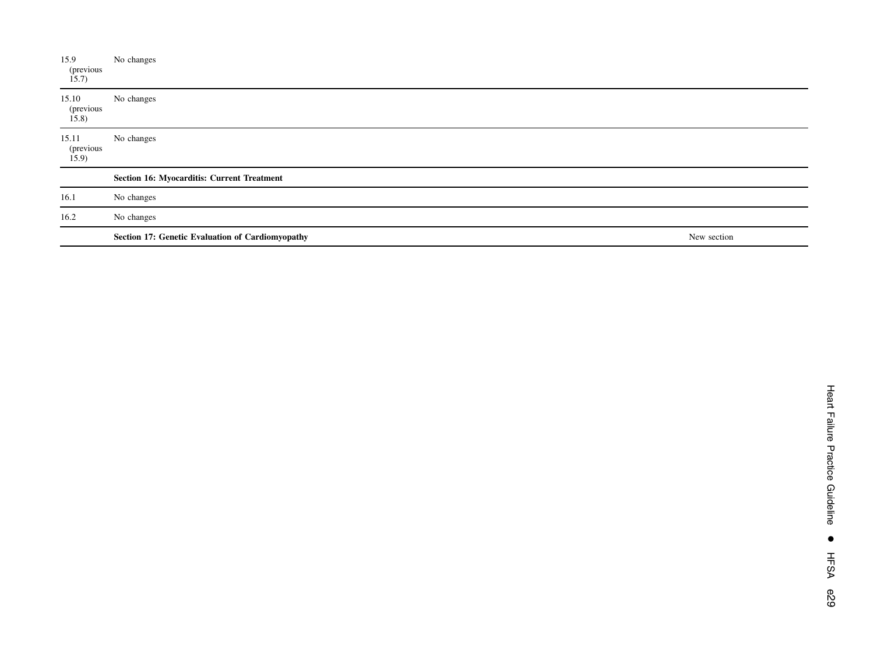| 15.9<br>(previous<br>15.7)  | No changes                                       |             |
|-----------------------------|--------------------------------------------------|-------------|
| 15.10<br>(previous<br>15.8) | No changes                                       |             |
| 15.11<br>(previous<br>15.9) | No changes                                       |             |
|                             | Section 16: Myocarditis: Current Treatment       |             |
| 16.1                        | No changes                                       |             |
| 16.2                        | No changes                                       |             |
|                             | Section 17: Genetic Evaluation of Cardiomyopathy | New section |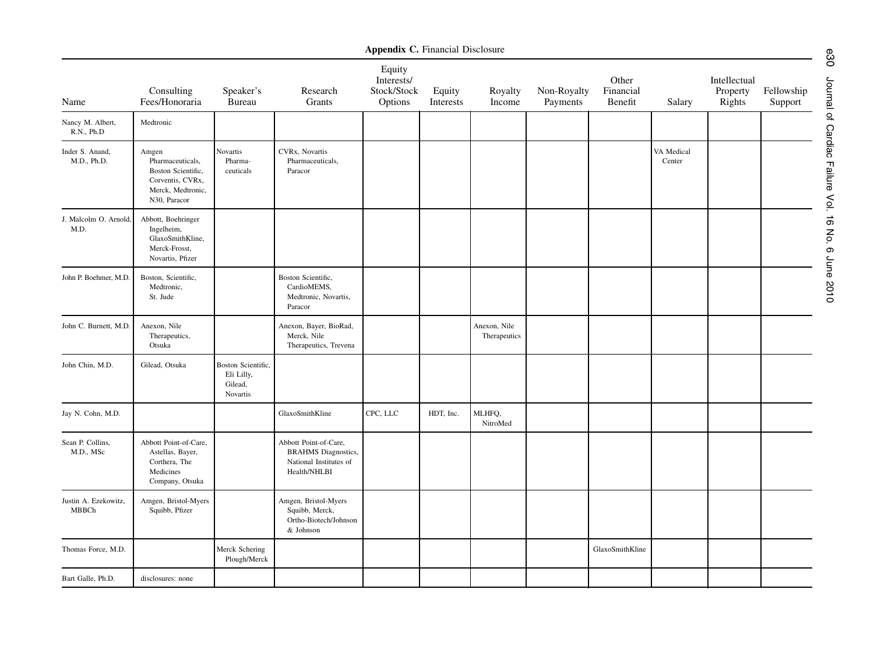| Appendix C. Financial Disclosure |  |  |  |
|----------------------------------|--|--|--|
|----------------------------------|--|--|--|

| Name                           | Consulting<br>Fees/Honoraria                                                                             | Speaker's<br>Bureau                                     | Research<br>Grants                                                                            | Equity<br>Interests/<br>Stock/Stock<br>Options | Equity<br>Interests | Royalty<br>Income            | Non-Royalty<br>Payments | Other<br>Financial<br>Benefit | Salary               | Intellectual<br>Property<br>Rights | Fellowship<br>Support |
|--------------------------------|----------------------------------------------------------------------------------------------------------|---------------------------------------------------------|-----------------------------------------------------------------------------------------------|------------------------------------------------|---------------------|------------------------------|-------------------------|-------------------------------|----------------------|------------------------------------|-----------------------|
| Nancy M. Albert,<br>R.N., Ph.D | Medtronic                                                                                                |                                                         |                                                                                               |                                                |                     |                              |                         |                               |                      |                                    |                       |
| Inder S. Anand,<br>M.D., Ph.D. | Amgen<br>Pharmaceuticals,<br>Boston Scientific,<br>Corventis, CVRx,<br>Merck, Medtronic,<br>N30, Paracor | Novartis<br>Pharma-<br>ceuticals                        | CVRx, Novartis<br>Pharmaceuticals,<br>Paracor                                                 |                                                |                     |                              |                         |                               | VA Medical<br>Center |                                    |                       |
| J. Malcolm O. Arnold,<br>M.D.  | Abbott, Boehringer<br>Ingelheim,<br>GlaxoSmithKline,<br>Merck-Frosst,<br>Novartis, Pfizer                |                                                         |                                                                                               |                                                |                     |                              |                         |                               |                      |                                    |                       |
| John P. Boehmer, M.D.          | Boston, Scientific,<br>Medtronic,<br>St. Jude                                                            |                                                         | Boston Scientific,<br>CardioMEMS,<br>Medtronic, Novartis,<br>Paracor                          |                                                |                     |                              |                         |                               |                      |                                    |                       |
| John C. Burnett, M.D.          | Anexon, Nile<br>Therapeutics,<br>Otsuka                                                                  |                                                         | Anexon, Bayer, BioRad,<br>Merck, Nile<br>Therapeutics, Trevena                                |                                                |                     | Anexon, Nile<br>Therapeutics |                         |                               |                      |                                    |                       |
| John Chin, M.D.                | Gilead, Otsuka                                                                                           | Boston Scientific,<br>Eli Lilly,<br>Gilead,<br>Novartis |                                                                                               |                                                |                     |                              |                         |                               |                      |                                    |                       |
| Jay N. Cohn, M.D.              |                                                                                                          |                                                         | GlaxoSmithKline                                                                               | CPC, LLC                                       | HDT, Inc.           | MLHFQ,<br>NitroMed           |                         |                               |                      |                                    |                       |
| Sean P. Collins,<br>M.D., MSc  | Abbott Point-of-Care,<br>Astellas, Bayer,<br>Corthera, The<br>Medicines<br>Company, Otsuka               |                                                         | Abbott Point-of-Care,<br><b>BRAHMS</b> Diagnostics,<br>National Institutes of<br>Health/NHLBI |                                                |                     |                              |                         |                               |                      |                                    |                       |
| Justin A. Ezekowitz,<br>MBBCh  | Amgen, Bristol-Myers<br>Squibb, Pfizer                                                                   |                                                         | Amgen, Bristol-Myers<br>Squibb, Merck,<br>Ortho-Biotech/Johnson<br>& Johnson                  |                                                |                     |                              |                         |                               |                      |                                    |                       |
| Thomas Force, M.D.             |                                                                                                          | Merck Schering<br>Plough/Merck                          |                                                                                               |                                                |                     |                              |                         | GlaxoSmithKline               |                      |                                    |                       |
| Bart Galle, Ph.D.              | disclosures: none                                                                                        |                                                         |                                                                                               |                                                |                     |                              |                         |                               |                      |                                    |                       |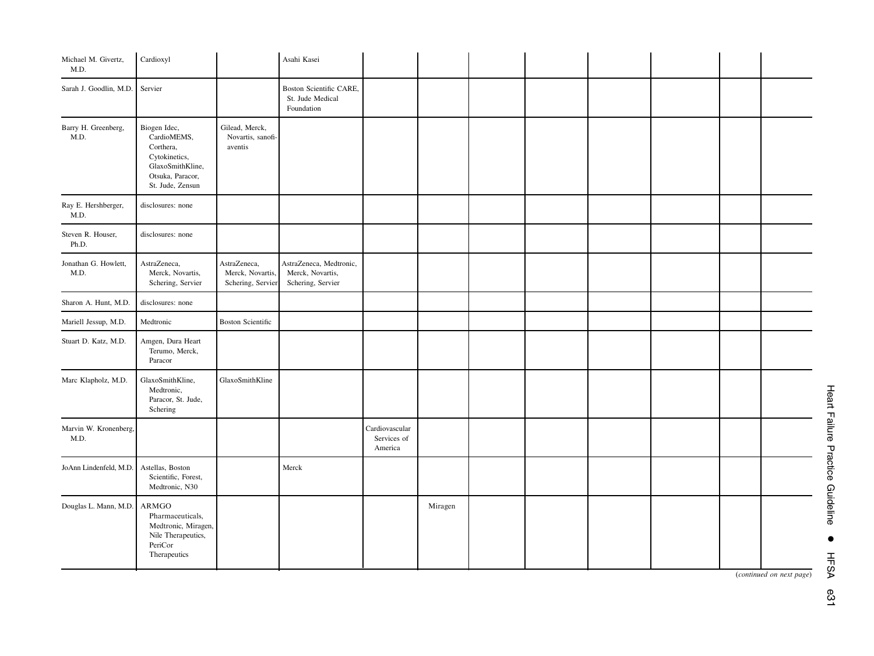| Michael M. Givertz,<br>M.D.   | Cardioxyl                                                                                                             |                                                       | Asahi Kasei                                                      |                                          |         |  |  |  |
|-------------------------------|-----------------------------------------------------------------------------------------------------------------------|-------------------------------------------------------|------------------------------------------------------------------|------------------------------------------|---------|--|--|--|
| Sarah J. Goodlin, M.D.        | Servier                                                                                                               |                                                       | Boston Scientific CARE,<br>St. Jude Medical<br>Foundation        |                                          |         |  |  |  |
| Barry H. Greenberg,<br>M.D.   | Biogen Idec,<br>CardioMEMS,<br>Corthera,<br>Cytokinetics,<br>GlaxoSmithKline,<br>Otsuka, Paracor,<br>St. Jude, Zensun | Gilead, Merck,<br>Novartis, sanofi-<br>aventis        |                                                                  |                                          |         |  |  |  |
| Ray E. Hershberger,<br>M.D.   | disclosures: none                                                                                                     |                                                       |                                                                  |                                          |         |  |  |  |
| Steven R. Houser,<br>Ph.D.    | disclosures: none                                                                                                     |                                                       |                                                                  |                                          |         |  |  |  |
| Jonathan G. Howlett,<br>M.D.  | AstraZeneca,<br>Merck, Novartis,<br>Schering, Servier                                                                 | AstraZeneca,<br>Merck, Novartis,<br>Schering, Servier | AstraZeneca, Medtronic,<br>Merck, Novartis,<br>Schering, Servier |                                          |         |  |  |  |
| Sharon A. Hunt, M.D.          | disclosures: none                                                                                                     |                                                       |                                                                  |                                          |         |  |  |  |
| Mariell Jessup, M.D.          | Medtronic                                                                                                             | <b>Boston Scientific</b>                              |                                                                  |                                          |         |  |  |  |
| Stuart D. Katz, M.D.          | Amgen, Dura Heart<br>Terumo, Merck,<br>Paracor                                                                        |                                                       |                                                                  |                                          |         |  |  |  |
| Marc Klapholz, M.D.           | GlaxoSmithKline,<br>Medtronic,<br>Paracor, St. Jude,<br>Schering                                                      | GlaxoSmithKline                                       |                                                                  |                                          |         |  |  |  |
| Marvin W. Kronenberg,<br>M.D. |                                                                                                                       |                                                       |                                                                  | Cardiovascular<br>Services of<br>America |         |  |  |  |
| JoAnn Lindenfeld, M.D.        | Astellas, Boston<br>Scientific, Forest,<br>Medtronic, N30                                                             |                                                       | Merck                                                            |                                          |         |  |  |  |
| Douglas L. Mann, M.D.         | ARMGO<br>Pharmaceuticals,<br>Medtronic, Miragen,<br>Nile Therapeutics,<br>PeriCor<br>Therapeutics                     |                                                       |                                                                  |                                          | Miragen |  |  |  |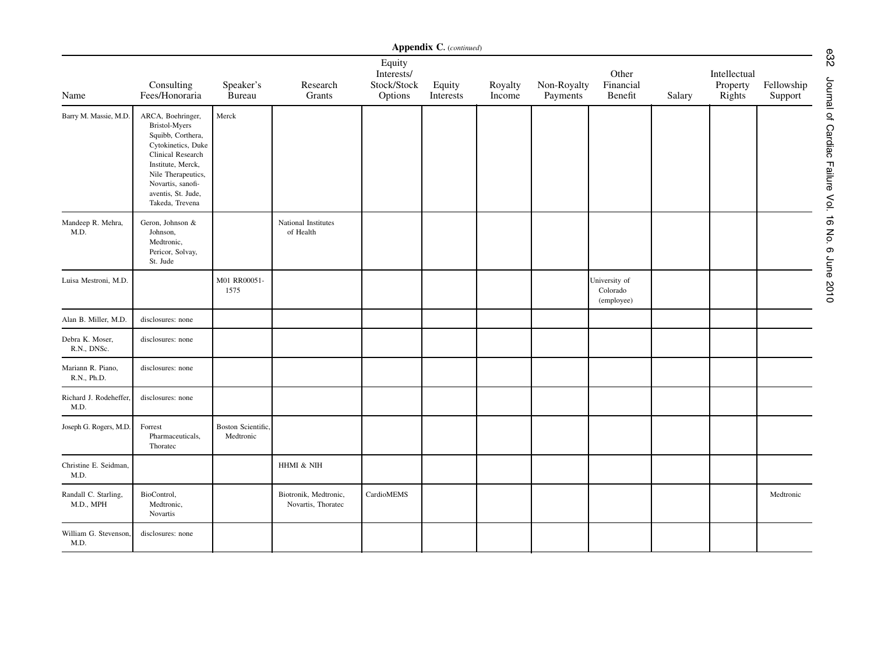|                                   |                                                                                                                                                                                                             |                                 |                                             |                                                | <b>Appendix C.</b> (continued) |                   |                         |                                         |        |                                    |                       |
|-----------------------------------|-------------------------------------------------------------------------------------------------------------------------------------------------------------------------------------------------------------|---------------------------------|---------------------------------------------|------------------------------------------------|--------------------------------|-------------------|-------------------------|-----------------------------------------|--------|------------------------------------|-----------------------|
| Name                              | Consulting<br>Fees/Honoraria                                                                                                                                                                                | Speaker's<br>Bureau             | Research<br>Grants                          | Equity<br>Interests/<br>Stock/Stock<br>Options | Equity<br>Interests            | Royalty<br>Income | Non-Royalty<br>Payments | Other<br>Financial<br>Benefit           | Salary | Intellectual<br>Property<br>Rights | Fellowship<br>Support |
| Barry M. Massie, M.D.             | ARCA, Boehringer,<br>Bristol-Myers<br>Squibb, Corthera,<br>Cytokinetics, Duke<br>Clinical Research<br>Institute, Merck,<br>Nile Therapeutics,<br>Novartis, sanofi-<br>aventis, St. Jude,<br>Takeda, Trevena | Merck                           |                                             |                                                |                                |                   |                         |                                         |        |                                    |                       |
| Mandeep R. Mehra,<br>M.D.         | Geron, Johnson &<br>Johnson,<br>Medtronic,<br>Pericor, Solvay,<br>St. Jude                                                                                                                                  |                                 | National Institutes<br>of Health            |                                                |                                |                   |                         |                                         |        |                                    |                       |
| Luisa Mestroni, M.D.              |                                                                                                                                                                                                             | M01 RR00051-<br>1575            |                                             |                                                |                                |                   |                         | University of<br>Colorado<br>(employee) |        |                                    |                       |
| Alan B. Miller, M.D.              | disclosures: none                                                                                                                                                                                           |                                 |                                             |                                                |                                |                   |                         |                                         |        |                                    |                       |
| Debra K. Moser,<br>R.N., DNSc.    | disclosures: none                                                                                                                                                                                           |                                 |                                             |                                                |                                |                   |                         |                                         |        |                                    |                       |
| Mariann R. Piano,<br>R.N., Ph.D.  | disclosures: none                                                                                                                                                                                           |                                 |                                             |                                                |                                |                   |                         |                                         |        |                                    |                       |
| Richard J. Rodeheffer,<br>M.D.    | disclosures: none                                                                                                                                                                                           |                                 |                                             |                                                |                                |                   |                         |                                         |        |                                    |                       |
| Joseph G. Rogers, M.D.            | Forrest<br>Pharmaceuticals,<br>Thoratec                                                                                                                                                                     | Boston Scientific,<br>Medtronic |                                             |                                                |                                |                   |                         |                                         |        |                                    |                       |
| Christine E. Seidman,<br>M.D.     |                                                                                                                                                                                                             |                                 | HHMI & NIH                                  |                                                |                                |                   |                         |                                         |        |                                    |                       |
| Randall C. Starling,<br>M.D., MPH | BioControl,<br>Medtronic,<br>Novartis                                                                                                                                                                       |                                 | Biotronik, Medtronic,<br>Novartis, Thoratec | CardioMEMS                                     |                                |                   |                         |                                         |        |                                    | Medtronic             |
| William G. Stevenson,<br>M.D.     | disclosures: none                                                                                                                                                                                           |                                 |                                             |                                                |                                |                   |                         |                                         |        |                                    |                       |